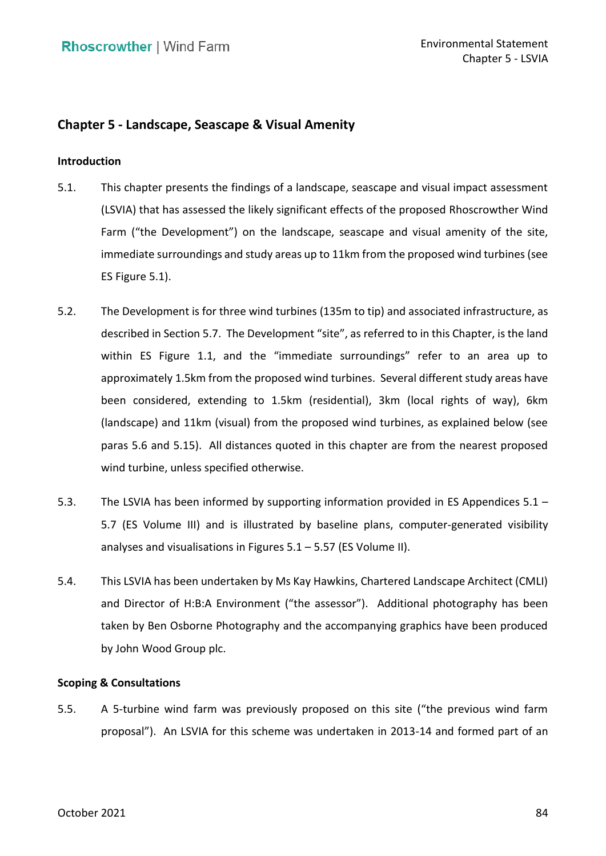# **Chapter 5 - Landscape, Seascape & Visual Amenity**

### **Introduction**

- 5.1. This chapter presents the findings of a landscape, seascape and visual impact assessment (LSVIA) that has assessed the likely significant effects of the proposed Rhoscrowther Wind Farm ("the Development") on the landscape, seascape and visual amenity of the site, immediate surroundings and study areas up to 11km from the proposed wind turbines (see ES Figure 5.1).
- 5.2. The Development is for three wind turbines (135m to tip) and associated infrastructure, as described in Section 5.7. The Development "site", as referred to in this Chapter, is the land within ES Figure 1.1, and the "immediate surroundings" refer to an area up to approximately 1.5km from the proposed wind turbines. Several different study areas have been considered, extending to 1.5km (residential), 3km (local rights of way), 6km (landscape) and 11km (visual) from the proposed wind turbines, as explained below (see paras [5.6](#page-1-0) and [5.15\)](#page-5-0). All distances quoted in this chapter are from the nearest proposed wind turbine, unless specified otherwise.
- 5.3. The LSVIA has been informed by supporting information provided in ES Appendices 5.1 5.7 (ES Volume III) and is illustrated by baseline plans, computer-generated visibility analyses and visualisations in Figures 5.1 – 5.57 (ES Volume II).
- 5.4. This LSVIA has been undertaken by Ms Kay Hawkins, Chartered Landscape Architect (CMLI) and Director of H:B:A Environment ("the assessor"). Additional photography has been taken by Ben Osborne Photography and the accompanying graphics have been produced by John Wood Group plc.

### **Scoping & Consultations**

 5.5. A 5-turbine wind farm was previously proposed on this site ("the previous wind farm proposal"). An LSVIA for this scheme was undertaken in 2013-14 and formed part of an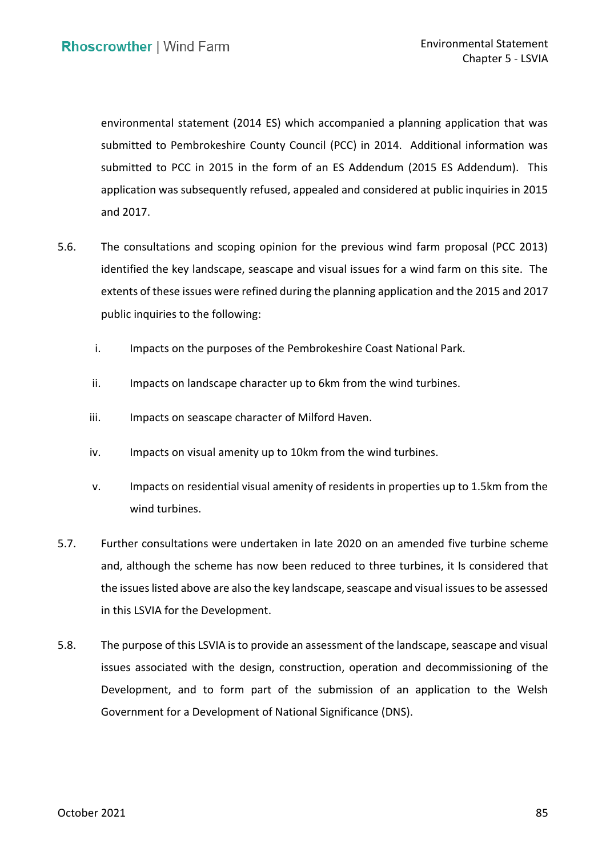environmental statement (2014 ES) which accompanied a planning application that was submitted to Pembrokeshire County Council (PCC) in 2014. Additional information was submitted to PCC in 2015 in the form of an ES Addendum (2015 ES Addendum). This application was subsequently refused, appealed and considered at public inquiries in 2015 and 2017.

- <span id="page-1-0"></span> 5.6. The consultations and scoping opinion for the previous wind farm proposal (PCC 2013) identified the key landscape, seascape and visual issues for a wind farm on this site. The extents of these issues were refined during the planning application and the 2015 and 2017 public inquiries to the following:
	- i. Impacts on the purposes of the Pembrokeshire Coast National Park.
	- ii. Impacts on landscape character up to 6km from the wind turbines.
	- iii. Impacts on seascape character of Milford Haven.
	- iv. Impacts on visual amenity up to 10km from the wind turbines.
	- v. Impacts on residential visual amenity of residents in properties up to 1.5km from the wind turbines.
- 5.7. Further consultations were undertaken in late 2020 on an amended five turbine scheme and, although the scheme has now been reduced to three turbines, it Is considered that in this LSVIA for the Development. the issues listed above are also the key landscape, seascape and visual issues to be assessed
- 5.8. The purpose of this LSVIA is to provide an assessment of the landscape, seascape and visual issues associated with the design, construction, operation and decommissioning of the Development, and to form part of the submission of an application to the Welsh Government for a Development of National Significance (DNS).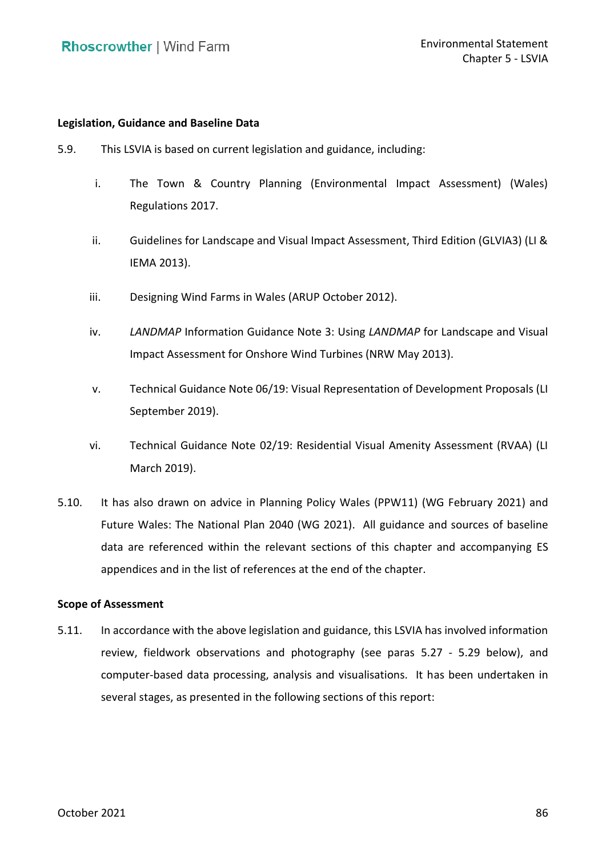### **Legislation, Guidance and Baseline Data**

- 5.9. This LSVIA is based on current legislation and guidance, including:
	- i. The Town & Country Planning (Environmental Impact Assessment) (Wales) Regulations 2017.
	- ii. Guidelines for Landscape and Visual Impact Assessment, Third Edition (GLVIA3) (LI & IEMA 2013).
	- iii. Designing Wind Farms in Wales (ARUP October 2012).
	- iv. *LANDMAP* Information Guidance Note 3: Using *LANDMAP* for Landscape and Visual Impact Assessment for Onshore Wind Turbines (NRW May 2013).
	- v. Technical Guidance Note 06/19: Visual Representation of Development Proposals (LI September 2019).
	- vi. Technical Guidance Note 02/19: Residential Visual Amenity Assessment (RVAA) (LI March 2019).
- 5.10. It has also drawn on advice in Planning Policy Wales (PPW11) (WG February 2021) and Future Wales: The National Plan 2040 (WG 2021). All guidance and sources of baseline data are referenced within the relevant sections of this chapter and accompanying ES appendices and in the list of references at the end of the chapter.

### **Scope of Assessment**

 5.11. In accordance with the above legislation and guidance, this LSVIA has involved information review, fieldwork observations and photography (see paras [5.27](#page-8-0) - [5.29](#page-8-1) below), and computer-based data processing, analysis and visualisations. It has been undertaken in several stages, as presented in the following sections of this report: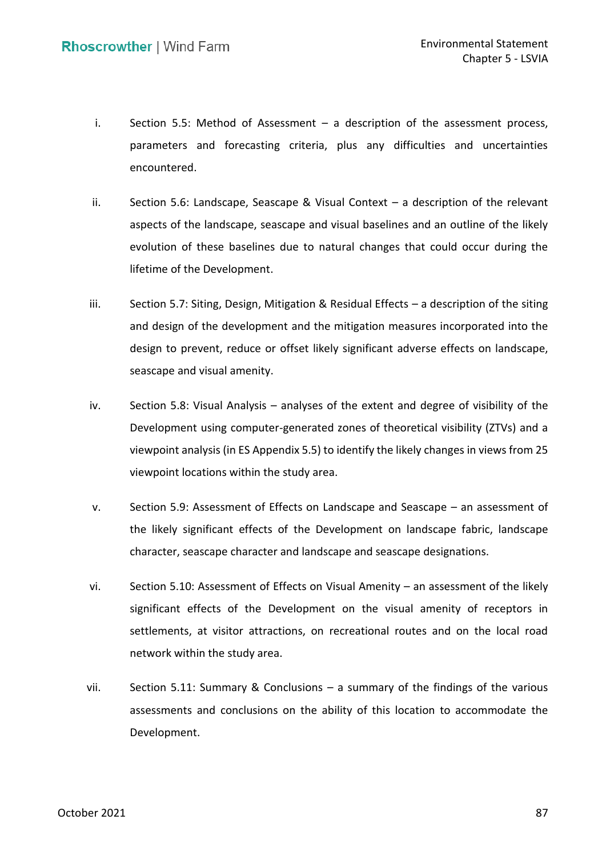- i. Section 5.5: Method of Assessment a description of the assessment process, parameters and forecasting criteria, plus any difficulties and uncertainties encountered.
- ii. Section 5.6: Landscape, Seascape & Visual Context a description of the relevant aspects of the landscape, seascape and visual baselines and an outline of the likely evolution of these baselines due to natural changes that could occur during the lifetime of the Development.
- iii. Section 5.7: Siting, Design, Mitigation & Residual Effects a description of the siting and design of the development and the mitigation measures incorporated into the design to prevent, reduce or offset likely significant adverse effects on landscape, seascape and visual amenity.
- iv. Section 5.8: Visual Analysis analyses of the extent and degree of visibility of the Development using computer-generated zones of theoretical visibility (ZTVs) and a viewpoint analysis (in ES Appendix 5.5) to identify the likely changes in views from 25 viewpoint locations within the study area.
- viewpoint locations within the study area.<br>v. Section 5.9: Assessment of Effects on Landscape and Seascape an assessment of the likely significant effects of the Development on landscape fabric, landscape character, seascape character and landscape and seascape designations.
- vi. Section 5.10: Assessment of Effects on Visual Amenity an assessment of the likely significant effects of the Development on the visual amenity of receptors in settlements, at visitor attractions, on recreational routes and on the local road network within the study area.
- vii. Section 5.11: Summary & Conclusions a summary of the findings of the various assessments and conclusions on the ability of this location to accommodate the Development.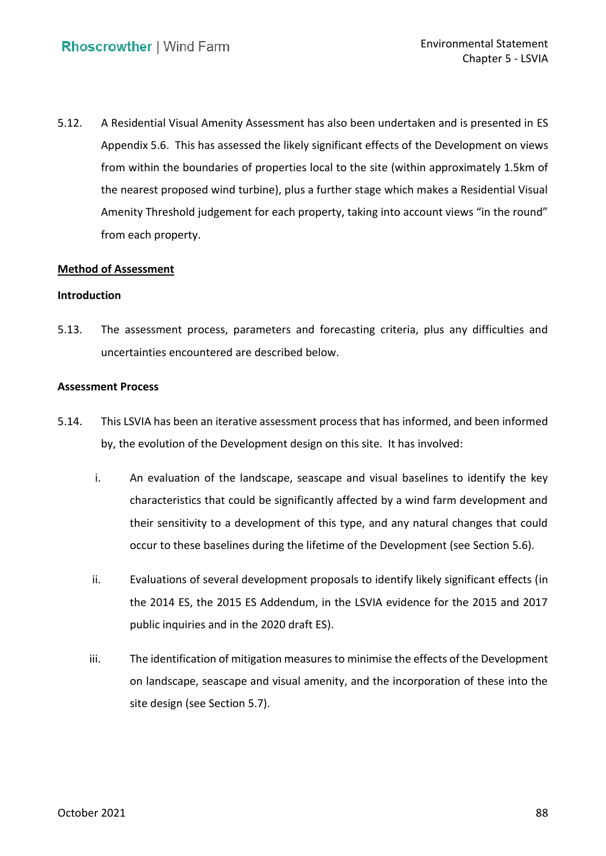5.12. A Residential Visual Amenity Assessment has also been undertaken and is presented in ES Appendix 5.6. This has assessed the likely significant effects of the Development on views from within the boundaries of properties local to the site (within approximately 1.5km of the nearest proposed wind turbine), plus a further stage which makes a Residential Visual Amenity Threshold judgement for each property, taking into account views "in the round" from each property.

### **Method of Assessment**

### **Introduction**

 5.13. The assessment process, parameters and forecasting criteria, plus any difficulties and uncertainties encountered are described below.

### **Assessment Process**

- 5.14. This LSVIA has been an iterative assessment process that has informed, and been informed by, the evolution of the Development design on this site. It has involved:
	- i. An evaluation of the landscape, seascape and visual baselines to identify the key characteristics that could be significantly affected by a wind farm development and their sensitivity to a development of this type, and any natural changes that could occur to these baselines during the lifetime of the Development (see Section 5.6).
	- the 2014 ES, the 2015 ES Addendum, in the LSVIA evidence for the 2015 and 2017 public inquiries and in the 2020 draft ES). ii. Evaluations of several development proposals to identify likely significant effects (in
- iii. The identification of mitigation measures to minimise the effects of the Development on landscape, seascape and visual amenity, and the incorporation of these into the site design (see Section 5.7). site design (see Section 5.7). October 2021 88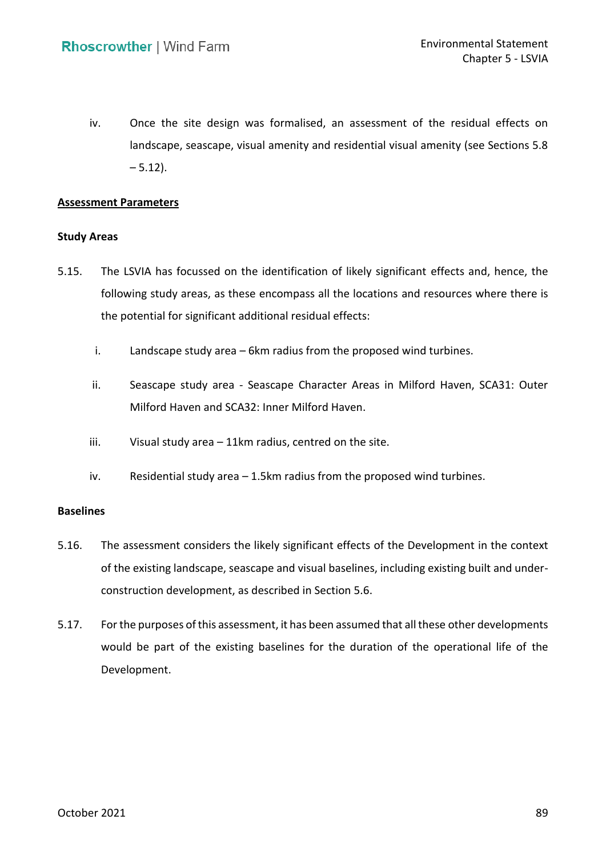iv. Once the site design was formalised, an assessment of the residual effects on landscape, seascape, visual amenity and residential visual amenity (see Sections 5.8  $-5.12$ ).

### **Assessment Parameters**

### **Study Areas**

- <span id="page-5-0"></span> 5.15. The LSVIA has focussed on the identification of likely significant effects and, hence, the following study areas, as these encompass all the locations and resources where there is the potential for significant additional residual effects:
	- i. Landscape study area 6km radius from the proposed wind turbines.
	- ii. Seascape study area Seascape Character Areas in Milford Haven, SCA31: Outer Milford Haven and SCA32: Inner Milford Haven.
	- iii. Visual study area 11km radius, centred on the site.
	- iv. Residential study area 1.5km radius from the proposed wind turbines.

### **Baselines**

- 5.16. The assessment considers the likely significant effects of the Development in the context of the existing landscape, seascape and visual baselines, including existing built and under-construction development, as described in Section 5.6.
- 5.17. For the purposes of this assessment, it has been assumed that all these other developments would be part of the existing baselines for the duration of the operational life of the Development.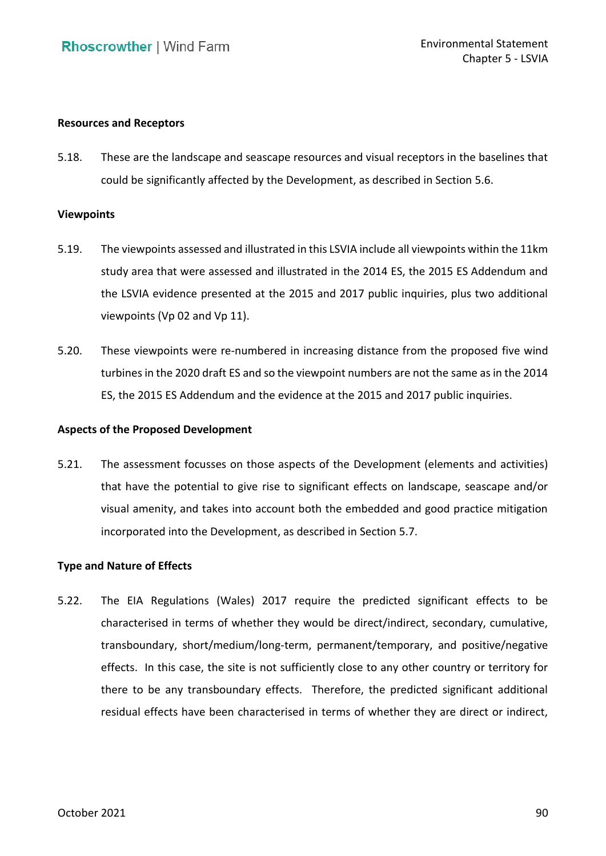### **Resources and Receptors**

 5.18. These are the landscape and seascape resources and visual receptors in the baselines that could be significantly affected by the Development, as described in Section 5.6.

#### **Viewpoints**

- 5.19. The viewpoints assessed and illustrated in this LSVIA include all viewpoints within the 11km study area that were assessed and illustrated in the 2014 ES, the 2015 ES Addendum and the LSVIA evidence presented at the 2015 and 2017 public inquiries, plus two additional viewpoints (Vp 02 and Vp 11).
- 5.20. These viewpoints were re-numbered in increasing distance from the proposed five wind turbines in the 2020 draft ES and so the viewpoint numbers are not the same as in the 2014 ES, the 2015 ES Addendum and the evidence at the 2015 and 2017 public inquiries.

### **Aspects of the Proposed Development**

 5.21. The assessment focusses on those aspects of the Development (elements and activities) that have the potential to give rise to significant effects on landscape, seascape and/or visual amenity, and takes into account both the embedded and good practice mitigation incorporated into the Development, as described in Section 5.7.

### **Type and Nature of Effects**

 5.22. The EIA Regulations (Wales) 2017 require the predicted significant effects to be characterised in terms of whether they would be direct/indirect, secondary, cumulative, effects. In this case, the site is not sufficiently close to any other country or territory for there to be any transboundary effects. Therefore, the predicted significant additional residual effects have been characterised in terms of whether they are direct or indirect, transboundary, short/medium/long-term, permanent/temporary, and positive/negative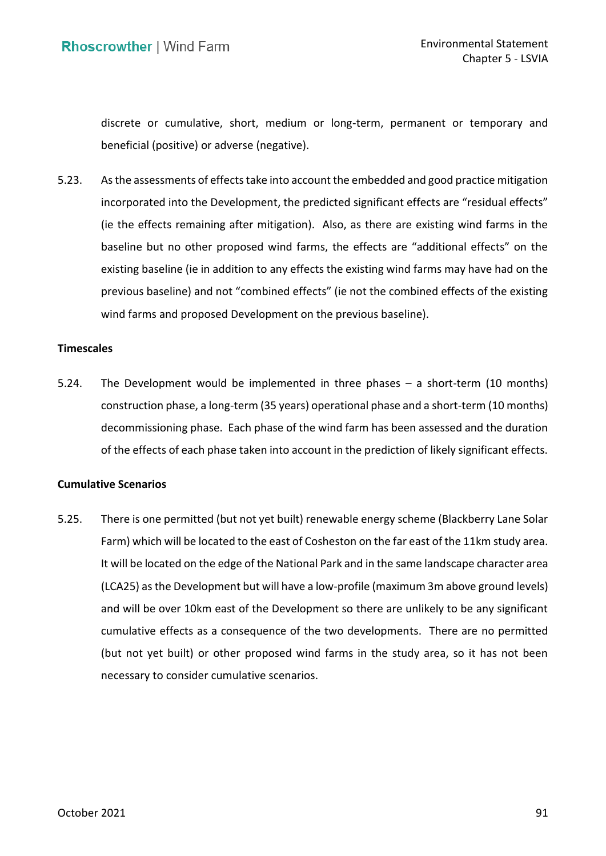discrete or cumulative, short, medium or long-term, permanent or temporary and beneficial (positive) or adverse (negative).

 beneficial (positive) or adverse (negative). 5.23. As the assessments of effects take into account the embedded and good practice mitigation incorporated into the Development, the predicted significant effects are "residual effects" (ie the effects remaining after mitigation). Also, as there are existing wind farms in the baseline but no other proposed wind farms, the effects are "additional effects" on the existing baseline (ie in addition to any effects the existing wind farms may have had on the previous baseline) and not "combined effects" (ie not the combined effects of the existing wind farms and proposed Development on the previous baseline).

### **Timescales**

 5.24. The Development would be implemented in three phases – a short-term (10 months) decommissioning phase. Each phase of the wind farm has been assessed and the duration of the effects of each phase taken into account in the prediction of likely significant effects. construction phase, a long-term (35 years) operational phase and a short-term (10 months)

### **Cumulative Scenarios**

 5.25. There is one permitted (but not yet built) renewable energy scheme (Blackberry Lane Solar Farm) which will be located to the east of Cosheston on the far east of the 11km study area. It will be located on the edge of the National Park and in the same landscape character area (LCA25) as the Development but will have a low-profile (maximum 3m above ground levels) and will be over 10km east of the Development so there are unlikely to be any significant cumulative effects as a consequence of the two developments. There are no permitted (but not yet built) or other proposed wind farms in the study area, so it has not been necessary to consider cumulative scenarios.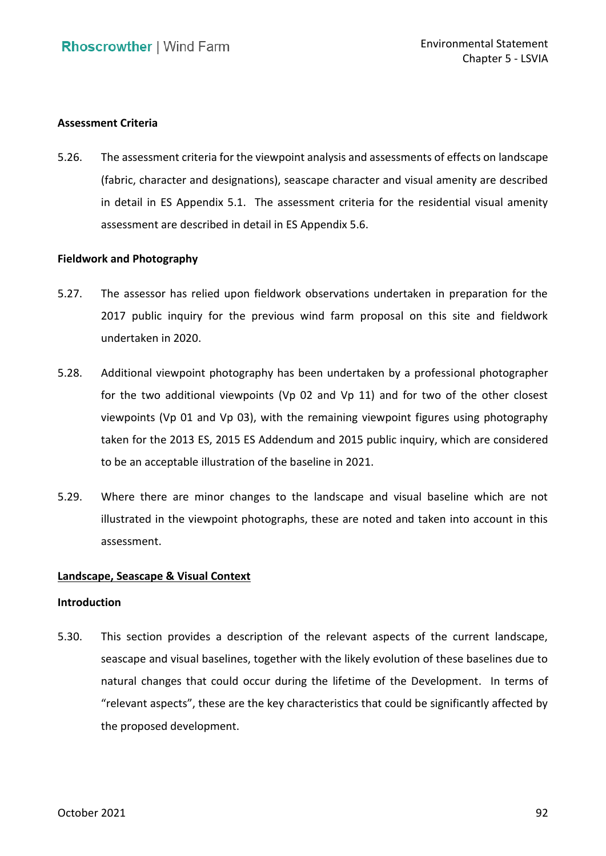### **Assessment Criteria**

 5.26. The assessment criteria for the viewpoint analysis and assessments of effects on landscape (fabric, character and designations), seascape character and visual amenity are described in detail in ES Appendix 5.1. The assessment criteria for the residential visual amenity assessment are described in detail in ES Appendix 5.6.

### **Fieldwork and Photography**

- <span id="page-8-0"></span> 5.27. The assessor has relied upon fieldwork observations undertaken in preparation for the 2017 public inquiry for the previous wind farm proposal on this site and fieldwork undertaken in 2020.
- 5.28. Additional viewpoint photography has been undertaken by a professional photographer for the two additional viewpoints (Vp 02 and Vp 11) and for two of the other closest viewpoints (Vp 01 and Vp 03), with the remaining viewpoint figures using photography taken for the 2013 ES, 2015 ES Addendum and 2015 public inquiry, which are considered to be an acceptable illustration of the baseline in 2021.
- <span id="page-8-1"></span> 5.29. Where there are minor changes to the landscape and visual baseline which are not illustrated in the viewpoint photographs, these are noted and taken into account in this assessment.

### **Landscape, Seascape & Visual Context**

#### **Introduction**

 5.30. This section provides a description of the relevant aspects of the current landscape, seascape and visual baselines, together with the likely evolution of these baselines due to natural changes that could occur during the lifetime of the Development. In terms of "relevant aspects", these are the key characteristics that could be significantly affected by the proposed development.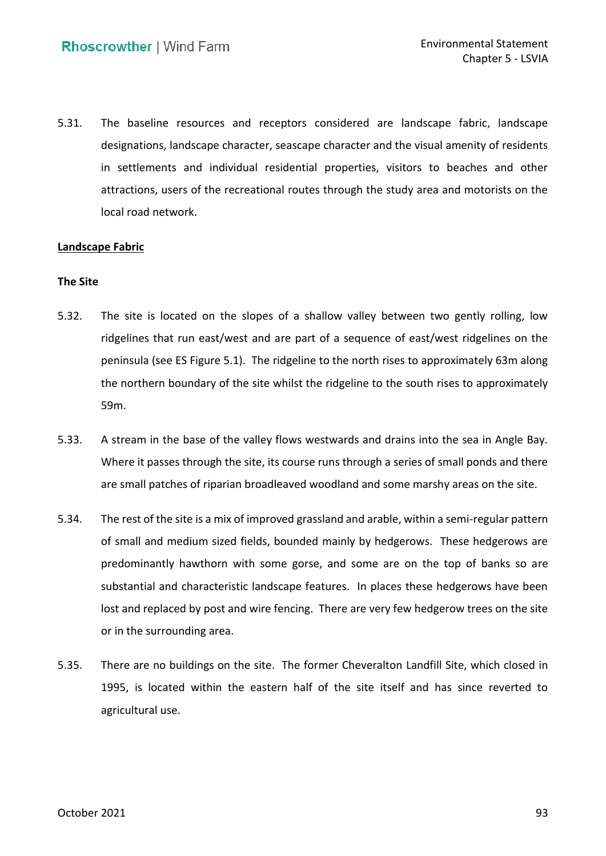5.31. The baseline resources and receptors considered are landscape fabric, landscape designations, landscape character, seascape character and the visual amenity of residents in settlements and individual residential properties, visitors to beaches and other attractions, users of the recreational routes through the study area and motorists on the local road network.

### **Landscape Fabric**

### **The Site**

- 5.32. The site is located on the slopes of a shallow valley between two gently rolling, low ridgelines that run east/west and are part of a sequence of east/west ridgelines on the peninsula (see ES Figure 5.1). The ridgeline to the north rises to approximately 63m along the northern boundary of the site whilst the ridgeline to the south rises to approximately 59m.
- 5.33. A stream in the base of the valley flows westwards and drains into the sea in Angle Bay. Where it passes through the site, its course runs through a series of small ponds and there are small patches of riparian broadleaved woodland and some marshy areas on the site.
- 5.34. The rest of the site is a mix of improved grassland and arable, within a semi-regular pattern of small and medium sized fields, bounded mainly by hedgerows. These hedgerows are predominantly hawthorn with some gorse, and some are on the top of banks so are substantial and characteristic landscape features. In places these hedgerows have been lost and replaced by post and wire fencing. There are very few hedgerow trees on the site or in the surrounding area.
- 5.35. There are no buildings on the site. The former Cheveralton Landfill Site, which closed in 1995, is located within the eastern half of the site itself and has since reverted to agricultural use.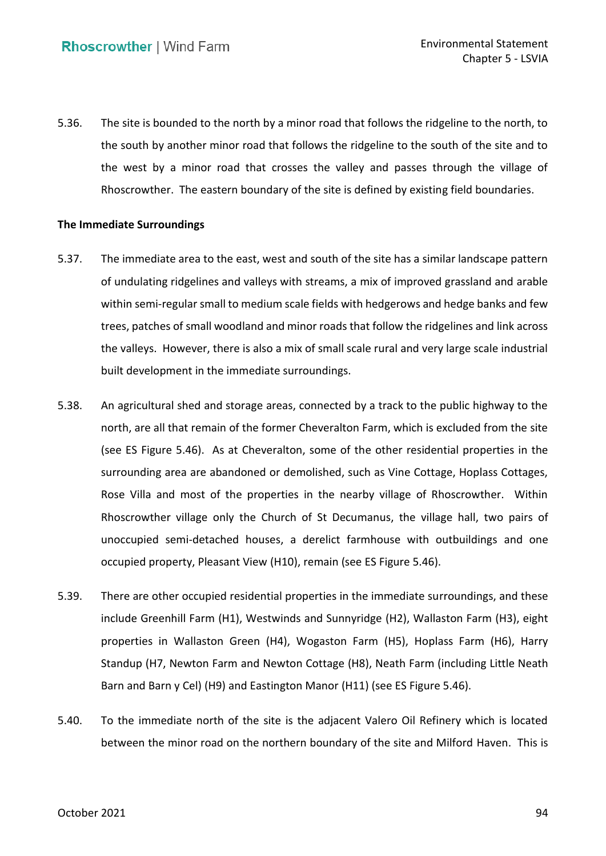5.36. The site is bounded to the north by a minor road that follows the ridgeline to the north, to the south by another minor road that follows the ridgeline to the south of the site and to the west by a minor road that crosses the valley and passes through the village of Rhoscrowther. The eastern boundary of the site is defined by existing field boundaries.

### **The Immediate Surroundings**

- 5.37. The immediate area to the east, west and south of the site has a similar landscape pattern of undulating ridgelines and valleys with streams, a mix of improved grassland and arable within semi-regular small to medium scale fields with hedgerows and hedge banks and few trees, patches of small woodland and minor roads that follow the ridgelines and link across the valleys. However, there is also a mix of small scale rural and very large scale industrial built development in the immediate surroundings.
- 5.38. An agricultural shed and storage areas, connected by a track to the public highway to the north, are all that remain of the former Cheveralton Farm, which is excluded from the site (see ES Figure 5.46). As at Cheveralton, some of the other residential properties in the surrounding area are abandoned or demolished, such as Vine Cottage, Hoplass Cottages, Rose Villa and most of the properties in the nearby village of Rhoscrowther. Within Rhoscrowther village only the Church of St Decumanus, the village hall, two pairs of unoccupied semi-detached houses, a derelict farmhouse with outbuildings and one occupied property, Pleasant View (H10), remain (see ES Figure 5.46).
- 5.39. There are other occupied residential properties in the immediate surroundings, and these properties in Wallaston Green (H4), Wogaston Farm (H5), Hoplass Farm (H6), Harry Standup (H7, Newton Farm and Newton Cottage (H8), Neath Farm (including Little Neath Barn and Barn y Cel) (H9) and Eastington Manor (H11) (see ES Figure 5.46). include Greenhill Farm (H1), Westwinds and Sunnyridge (H2), Wallaston Farm (H3), eight
- 5.40. To the immediate north of the site is the adjacent Valero Oil Refinery which is located between the minor road on the northern boundary of the site and Milford Haven. This is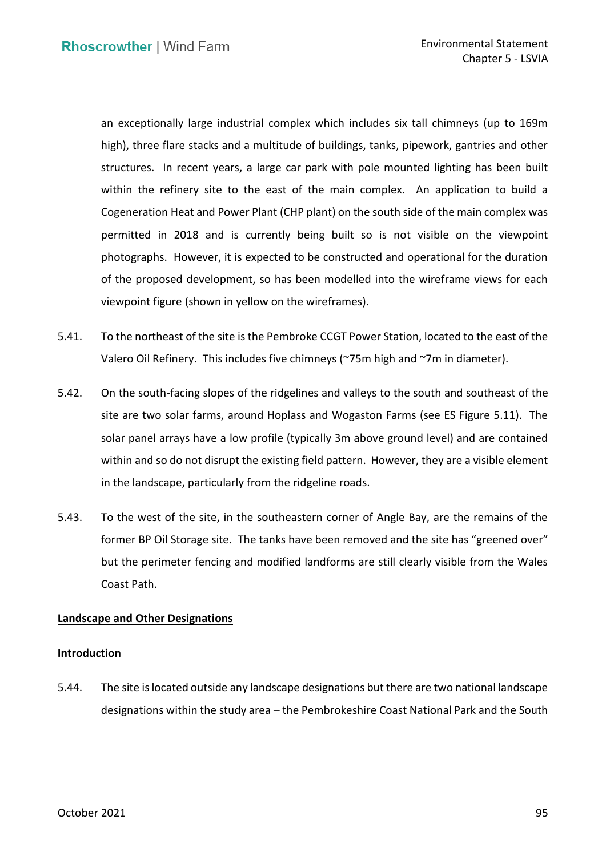an exceptionally large industrial complex which includes six tall chimneys (up to 169m high), three flare stacks and a multitude of buildings, tanks, pipework, gantries and other structures. In recent years, a large car park with pole mounted lighting has been built within the refinery site to the east of the main complex. An application to build a Cogeneration Heat and Power Plant (CHP plant) on the south side of the main complex was permitted in 2018 and is currently being built so is not visible on the viewpoint photographs. However, it is expected to be constructed and operational for the duration of the proposed development, so has been modelled into the wireframe views for each viewpoint figure (shown in yellow on the wireframes).

- 5.41. To the northeast of the site is the Pembroke CCGT Power Station, located to the east of the Valero Oil Refinery. This includes five chimneys (~75m high and ~7m in diameter).
- 5.42. On the south-facing slopes of the ridgelines and valleys to the south and southeast of the site are two solar farms, around Hoplass and Wogaston Farms (see ES Figure 5.11). The solar panel arrays have a low profile (typically 3m above ground level) and are contained within and so do not disrupt the existing field pattern. However, they are a visible element in the landscape, particularly from the ridgeline roads.
- in the landscape, particularly from the ridgeline roads. 5.43. To the west of the site, in the southeastern corner of Angle Bay, are the remains of the former BP Oil Storage site. The tanks have been removed and the site has "greened over" but the perimeter fencing and modified landforms are still clearly visible from the Wales Coast Path.

### **Landscape and Other Designations**

### **Introduction**

 5.44. The site is located outside any landscape designations but there are two national landscape designations within the study area – the Pembrokeshire Coast National Park and the South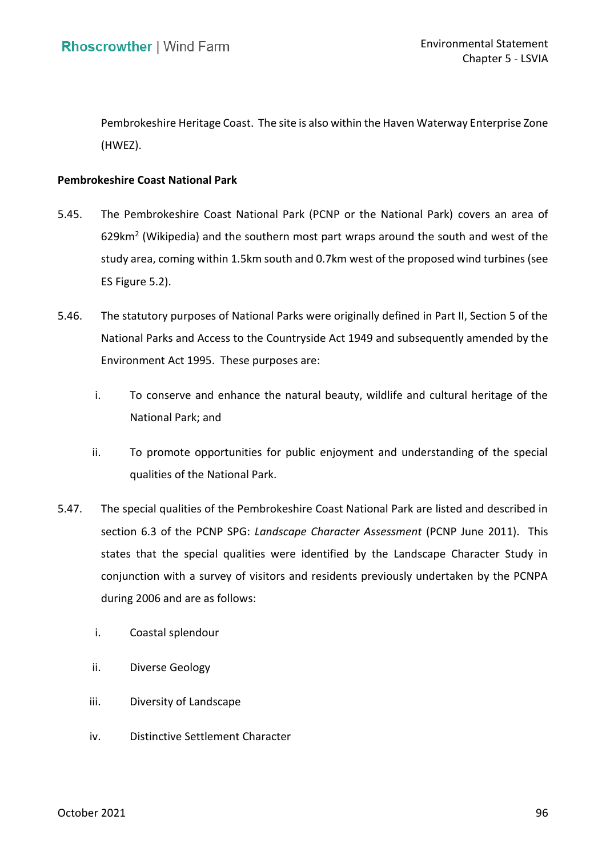Pembrokeshire Heritage Coast. The site is also within the Haven Waterway Enterprise Zone (HWEZ).

### **Pembrokeshire Coast National Park**

- 5.45. The Pembrokeshire Coast National Park (PCNP or the National Park) covers an area of 629 $km^2$  (Wikipedia) and the southern most part wraps around the south and west of the study area, coming within 1.5km south and 0.7km west of the proposed wind turbines (see ES Figure 5.2).
- 5.46. The statutory purposes of National Parks were originally defined in Part II, Section 5 of the National Parks and Access to the Countryside Act 1949 and subsequently amended by the Environment Act 1995. These purposes are:
	- i. To conserve and enhance the natural beauty, wildlife and cultural heritage of the National Park; and
	- ii. To promote opportunities for public enjoyment and understanding of the special qualities of the National Park.
- 5.47. The special qualities of the Pembrokeshire Coast National Park are listed and described in section 6.3 of the PCNP SPG: *Landscape Character Assessment* (PCNP June 2011). This states that the special qualities were identified by the Landscape Character Study in conjunction with a survey of visitors and residents previously undertaken by the PCNPA during 2006 and are as follows:
	- i. Coastal splendour
	- ii. Diverse Geology
	- iii. Diversity of Landscape
	- iv. Distinctive Settlement Character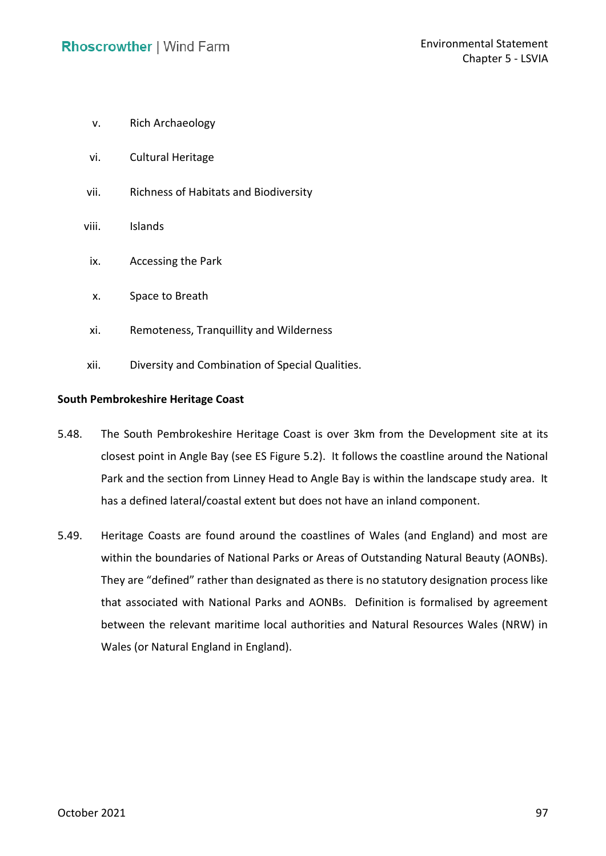- v. Rich Archaeology
- vi. Cultural Heritage
- vii. Richness of Habitats and Biodiversity
- viii. Islands
	- ix. Accessing the Park
	- x. Space to Breath
	- xi. Remoteness, Tranquillity and Wilderness
- xii. Diversity and Combination of Special Qualities.

### **South Pembrokeshire Heritage Coast**

- 5.48. The South Pembrokeshire Heritage Coast is over 3km from the Development site at its closest point in Angle Bay (see ES Figure 5.2). It follows the coastline around the National Park and the section from Linney Head to Angle Bay is within the landscape study area. It has a defined lateral/coastal extent but does not have an inland component.
- 5.49. Heritage Coasts are found around the coastlines of Wales (and England) and most are within the boundaries of National Parks or Areas of Outstanding Natural Beauty (AONBs). They are "defined" rather than designated as there is no statutory designation process like that associated with National Parks and AONBs. Definition is formalised by agreement between the relevant maritime local authorities and Natural Resources Wales (NRW) in Wales (or Natural England in England).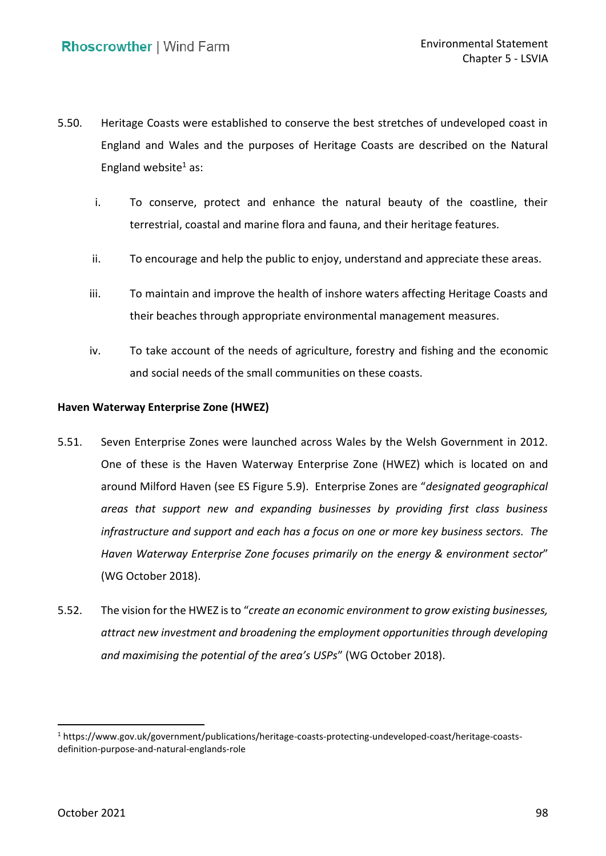- 5.50. Heritage Coasts were established to conserve the best stretches of undeveloped coast in England and Wales and the purposes of Heritage Coasts are described on the Natural England website<sup>1</sup> as:
	- i. To conserve, protect and enhance the natural beauty of the coastline, their terrestrial, coastal and marine flora and fauna, and their heritage features.
	- ii. To encourage and help the public to enjoy, understand and appreciate these areas.
	- iii. To maintain and improve the health of inshore waters affecting Heritage Coasts and their beaches through appropriate environmental management measures.
	- iv. To take account of the needs of agriculture, forestry and fishing and the economic and social needs of the small communities on these coasts.

### **Haven Waterway Enterprise Zone (HWEZ)**

- 5.51. Seven Enterprise Zones were launched across Wales by the Welsh Government in 2012. One of these is the Haven Waterway Enterprise Zone (HWEZ) which is located on and around Milford Haven (see ES Figure 5.9). Enterprise Zones are "*designated geographical areas that support new and expanding businesses by providing first class business infrastructure and support and each has a focus on one or more key business sectors. The Haven Waterway Enterprise Zone focuses primarily on the energy & environment sector*" (WG October 2018).
- 5.52. The vision for the HWEZ is to "*create an economic environment to grow existing businesses, attract new investment and broadening the employment opportunities through developing and maximising the potential of the area's USPs*" (WG October 2018).

<sup>1</sup> <https://www.gov.uk/government/publications/heritage-coasts-protecting-undeveloped-coast/heritage-coasts>definition-purpose-and-natural-englands-role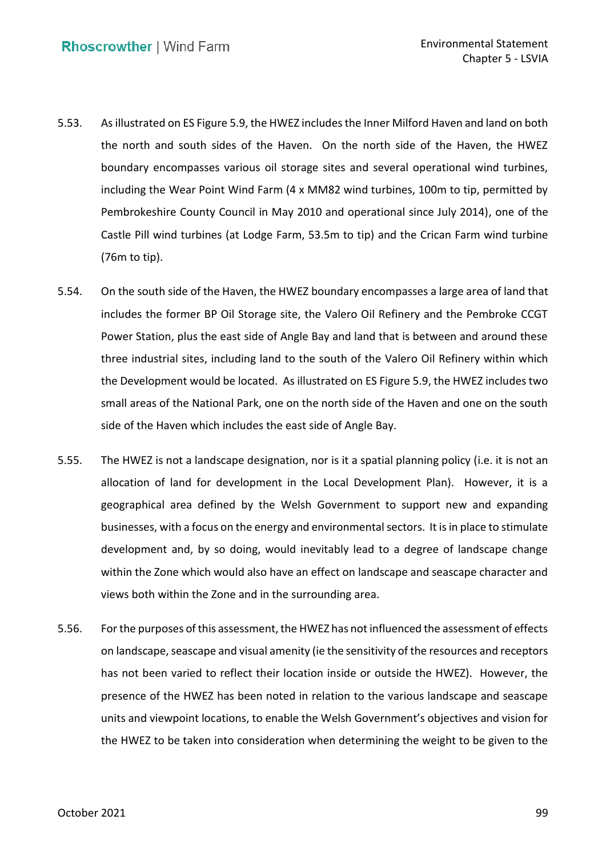- 5.53. As illustrated on ES Figure 5.9, the HWEZ includes the Inner Milford Haven and land on both the north and south sides of the Haven. On the north side of the Haven, the HWEZ boundary encompasses various oil storage sites and several operational wind turbines, including the Wear Point Wind Farm (4 x MM82 wind turbines, 100m to tip, permitted by Pembrokeshire County Council in May 2010 and operational since July 2014), one of the Castle Pill wind turbines (at Lodge Farm, 53.5m to tip) and the Crican Farm wind turbine (76m to tip).
- 5.54. On the south side of the Haven, the HWEZ boundary encompasses a large area of land that includes the former BP Oil Storage site, the Valero Oil Refinery and the Pembroke CCGT Power Station, plus the east side of Angle Bay and land that is between and around these three industrial sites, including land to the south of the Valero Oil Refinery within which the Development would be located. As illustrated on ES Figure 5.9, the HWEZ includes two small areas of the National Park, one on the north side of the Haven and one on the south side of the Haven which includes the east side of Angle Bay.
- 5.55. The HWEZ is not a landscape designation, nor is it a spatial planning policy (i.e. it is not an allocation of land for development in the Local Development Plan). However, it is a geographical area defined by the Welsh Government to support new and expanding businesses, with a focus on the energy and environmental sectors. It is in place to stimulate development and, by so doing, would inevitably lead to a degree of landscape change within the Zone which would also have an effect on landscape and seascape character and views both within the Zone and in the surrounding area.
- 5.56. For the purposes of this assessment, the HWEZ has not influenced the assessment of effects on landscape, seascape and visual amenity (ie the sensitivity of the resources and receptors has not been varied to reflect their location inside or outside the HWEZ). However, the presence of the HWEZ has been noted in relation to the various landscape and seascape units and viewpoint locations, to enable the Welsh Government's objectives and vision for the HWEZ to be taken into consideration when determining the weight to be given to the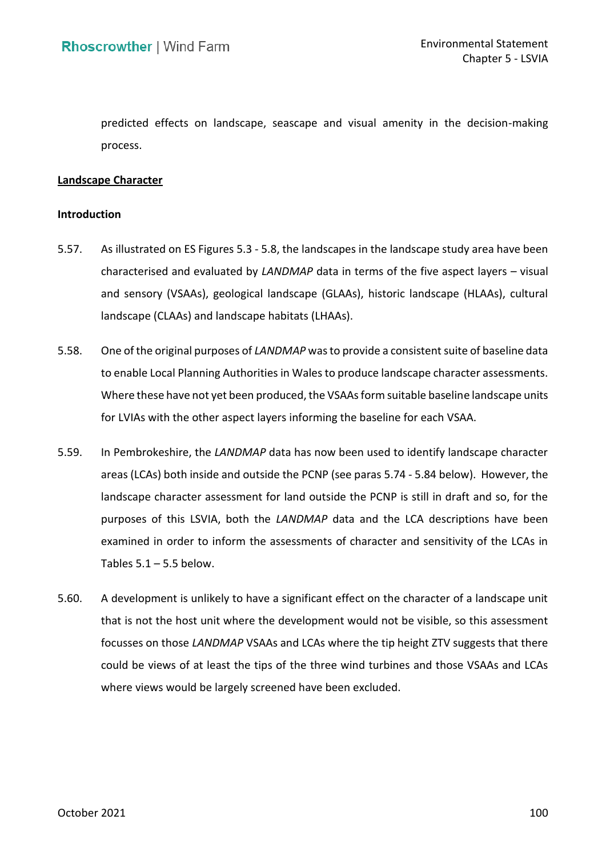predicted effects on landscape, seascape and visual amenity in the decision-making process.

### **Landscape Character**

### **Introduction**

- 5.57. As illustrated on ES Figures 5.3 5.8, the landscapes in the landscape study area have been characterised and evaluated by *LANDMAP* data in terms of the five aspect layers – visual and sensory (VSAAs), geological landscape (GLAAs), historic landscape (HLAAs), cultural landscape (CLAAs) and landscape habitats (LHAAs).
- 5.58. One of the original purposes of *LANDMAP* was to provide a consistent suite of baseline data to enable Local Planning Authorities in Wales to produce landscape character assessments. Where these have not yet been produced, the VSAAs form suitable baseline landscape units for LVIAs with the other aspect layers informing the baseline for each VSAA.
- <span id="page-16-0"></span> 5.59. In Pembrokeshire, the *LANDMAP* data has now been used to identify landscape character areas (LCAs) both inside and outside the PCNP (see paras [5.74](#page-20-0) - [5.84](#page-22-0) below). However, the landscape character assessment for land outside the PCNP is still in draft and so, for the purposes of this LSVIA, both the *LANDMAP* data and the LCA descriptions have been examined in order to inform the assessments of character and sensitivity of the LCAs in Tables  $5.1 - 5.5$  below.
- 5.60. A development is unlikely to have a significant effect on the character of a landscape unit that is not the host unit where the development would not be visible, so this assessment focusses on those *LANDMAP* VSAAs and LCAs where the tip height ZTV suggests that there could be views of at least the tips of the three wind turbines and those VSAAs and LCAs where views would be largely screened have been excluded.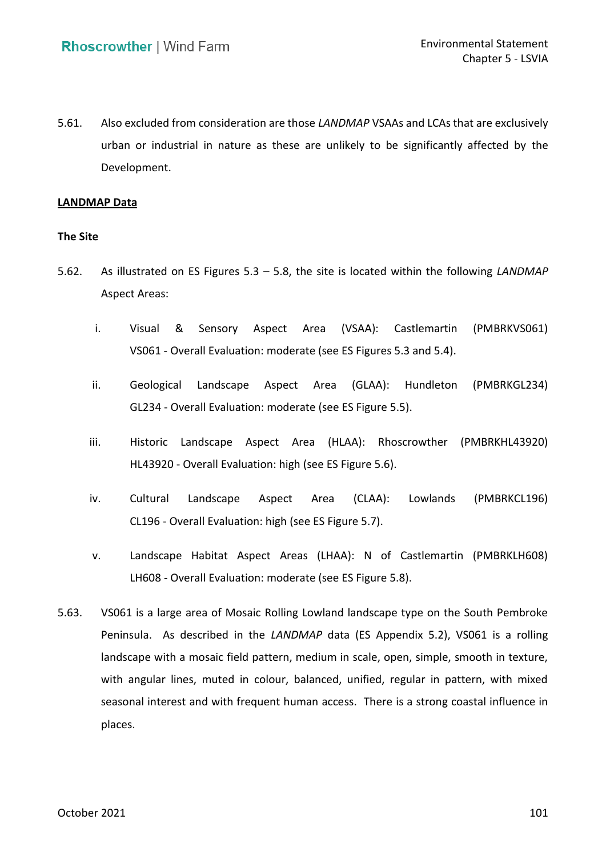5.61. Also excluded from consideration are those *LANDMAP* VSAAs and LCAs that are exclusively urban or industrial in nature as these are unlikely to be significantly affected by the Development.

### **LANDMAP Data**

#### **The Site**

- 5.62. As illustrated on ES Figures 5.3 5.8, the site is located within the following *LANDMAP*  Aspect Areas:
	- Aspect VS061 - Overall Evaluation: moderate (see ES Figures 5.3 and 5.4). i. Visual & Sensory Aspect Area (VSAA): Castlemartin (PMBRKVS061)
	- Landscape GL234 - Overall Evaluation: moderate (see ES Figure 5.5). ii. Geological Landscape Aspect Area (GLAA): Hundleton (PMBRKGL234)
	- iii. Historic Landscape Aspect Area (HLAA): Rhoscrowther (PMBRKHL43920) HL43920 - Overall Evaluation: high (see ES Figure 5.6).
	- Landscape CL196 - Overall Evaluation: high (see ES Figure 5.7). iv. Cultural Landscape Aspect Area (CLAA): Lowlands (PMBRKCL196)
	- v. Landscape Habitat Aspect Areas (LHAA): N of Castlemartin (PMBRKLH608) LH608 - Overall Evaluation: moderate (see ES Figure 5.8).
- 5.63. VS061 is a large area of Mosaic Rolling Lowland landscape type on the South Pembroke Peninsula. As described in the *LANDMAP* data (ES Appendix 5.2), VS061 is a rolling landscape with a mosaic field pattern, medium in scale, open, simple, smooth in texture, with angular lines, muted in colour, balanced, unified, regular in pattern, with mixed seasonal interest and with frequent human access. There is a strong coastal influence in places. places.<br>
October 2021 101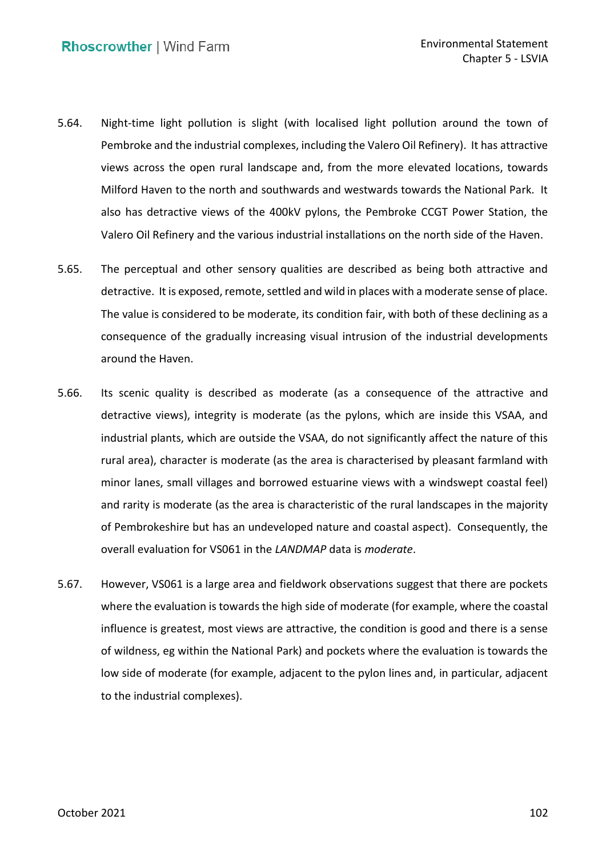- 5.64. Night-time light pollution is slight (with localised light pollution around the town of Pembroke and the industrial complexes, including the Valero Oil Refinery). It has attractive Milford Haven to the north and southwards and westwards towards the National Park. It also has detractive views of the 400kV pylons, the Pembroke CCGT Power Station, the Valero Oil Refinery and the various industrial installations on the north side of the Haven. views across the open rural landscape and, from the more elevated locations, towards
- 5.65. The perceptual and other sensory qualities are described as being both attractive and detractive. It is exposed, remote, settled and wild in places with a moderate sense of place. The value is considered to be moderate, its condition fair, with both of these declining as a consequence of the gradually increasing visual intrusion of the industrial developments around the Haven.
- 5.66. Its scenic quality is described as moderate (as a consequence of the attractive and detractive views), integrity is moderate (as the pylons, which are inside this VSAA, and industrial plants, which are outside the VSAA, do not significantly affect the nature of this rural area), character is moderate (as the area is characterised by pleasant farmland with minor lanes, small villages and borrowed estuarine views with a windswept coastal feel) and rarity is moderate (as the area is characteristic of the rural landscapes in the majority of Pembrokeshire but has an undeveloped nature and coastal aspect). Consequently, the overall evaluation for VS061 in the *LANDMAP* data is *moderate*.
- 5.67. However, VS061 is a large area and fieldwork observations suggest that there are pockets where the evaluation is towards the high side of moderate (for example, where the coastal influence is greatest, most views are attractive, the condition is good and there is a sense of wildness, eg within the National Park) and pockets where the evaluation is towards the low side of moderate (for example, adjacent to the pylon lines and, in particular, adjacent to the industrial complexes).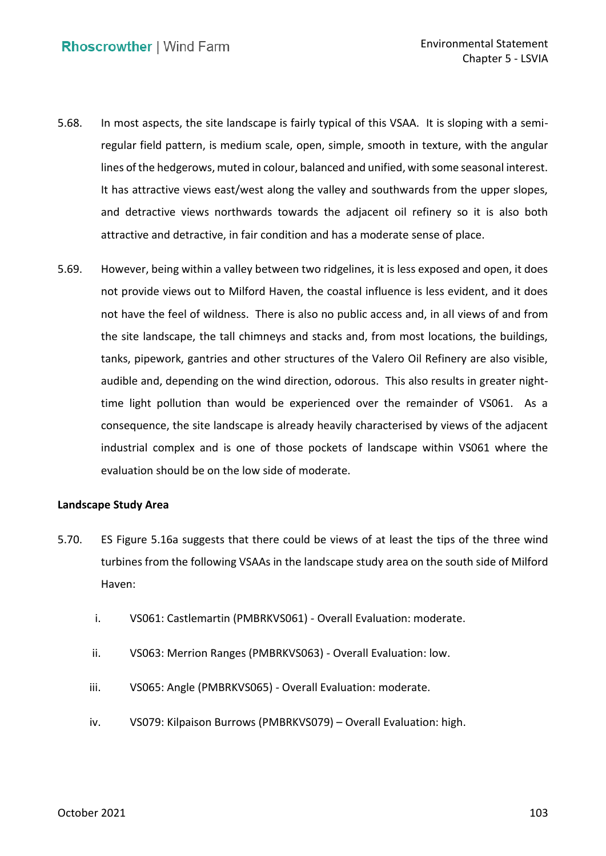- 5.68. In most aspects, the site landscape is fairly typical of this VSAA. It is sloping with a semi- regular field pattern, is medium scale, open, simple, smooth in texture, with the angular lines of the hedgerows, muted in colour, balanced and unified, with some seasonal interest. It has attractive views east/west along the valley and southwards from the upper slopes, attractive and detractive, in fair condition and has a moderate sense of place. and detractive views northwards towards the adjacent oil refinery so it is also both
- 5.69. However, being within a valley between two ridgelines, it is less exposed and open, it does not provide views out to Milford Haven, the coastal influence is less evident, and it does not have the feel of wildness. There is also no public access and, in all views of and from tanks, pipework, gantries and other structures of the Valero Oil Refinery are also visible, audible and, depending on the wind direction, odorous. This also results in greater night- time light pollution than would be experienced over the remainder of VS061. As a consequence, the site landscape is already heavily characterised by views of the adjacent industrial complex and is one of those pockets of landscape within VS061 where the evaluation should be on the low side of moderate. the site landscape, the tall chimneys and stacks and, from most locations, the buildings,

### **Landscape Study Area**

- 5.70. ES Figure 5.16a suggests that there could be views of at least the tips of the three wind turbines from the following VSAAs in the landscape study area on the south side of Milford Haven:
	- i. VS061: Castlemartin (PMBRKVS061) Overall Evaluation: moderate.
	- ii. VS063: Merrion Ranges (PMBRKVS063) Overall Evaluation: low.
	- iii. VS065: Angle (PMBRKVS065) Overall Evaluation: moderate.
	- iv. VS079: Kilpaison Burrows (PMBRKVS079) Overall Evaluation: high.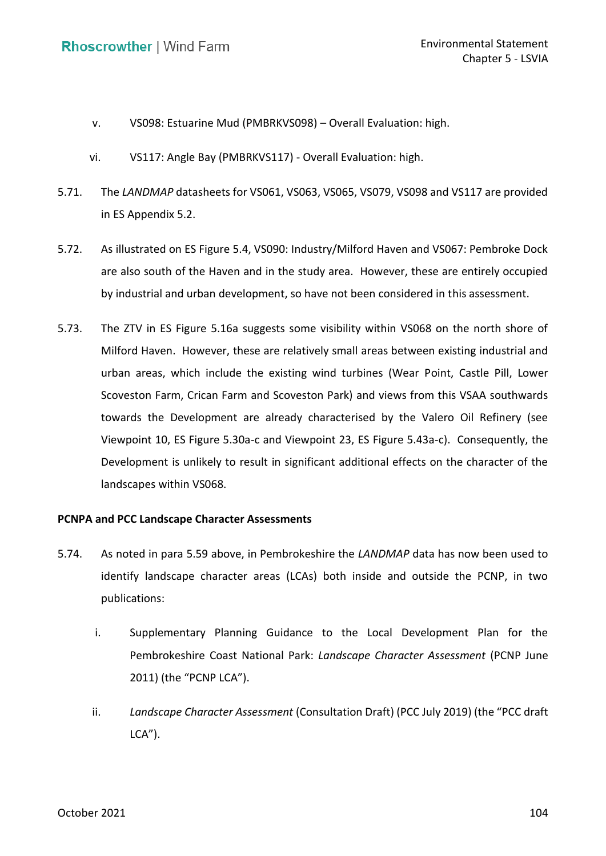- v. VS098: Estuarine Mud (PMBRKVS098) Overall Evaluation: high.
- vi. VS117: Angle Bay (PMBRKVS117) Overall Evaluation: high.
- 5.71. The *LANDMAP* datasheets for VS061, VS063, VS065, VS079, VS098 and VS117 are provided in ES Appendix 5.2.
- 5.72. As illustrated on ES Figure 5.4, VS090: Industry/Milford Haven and VS067: Pembroke Dock are also south of the Haven and in the study area. However, these are entirely occupied by industrial and urban development, so have not been considered in this assessment.
- 5.73. The ZTV in ES Figure 5.16a suggests some visibility within VS068 on the north shore of Milford Haven. However, these are relatively small areas between existing industrial and urban areas, which include the existing wind turbines (Wear Point, Castle Pill, Lower Scoveston Farm, Crican Farm and Scoveston Park) and views from this VSAA southwards Viewpoint 10, ES Figure 5.30a-c and Viewpoint 23, ES Figure 5.43a-c). Consequently, the Development is unlikely to result in significant additional effects on the character of the towards the Development are already characterised by the Valero Oil Refinery (see landscapes within VS068.

### **PCNPA and PCC Landscape Character Assessments**

- <span id="page-20-0"></span> 5.74. As noted in para [5.59](#page-16-0) above, in Pembrokeshire the *LANDMAP* data has now been used to identify landscape character areas (LCAs) both inside and outside the PCNP, in two publications:
	- i. Supplementary Planning Guidance to the Local Development Plan for the Pembrokeshire Coast National Park: *Landscape Character Assessment* (PCNP June 2011) (the "PCNP LCA").
	- ii. *Landscape Character Assessment* (Consultation Draft) (PCC July 2019) (the "PCC draft  $LCA$ ").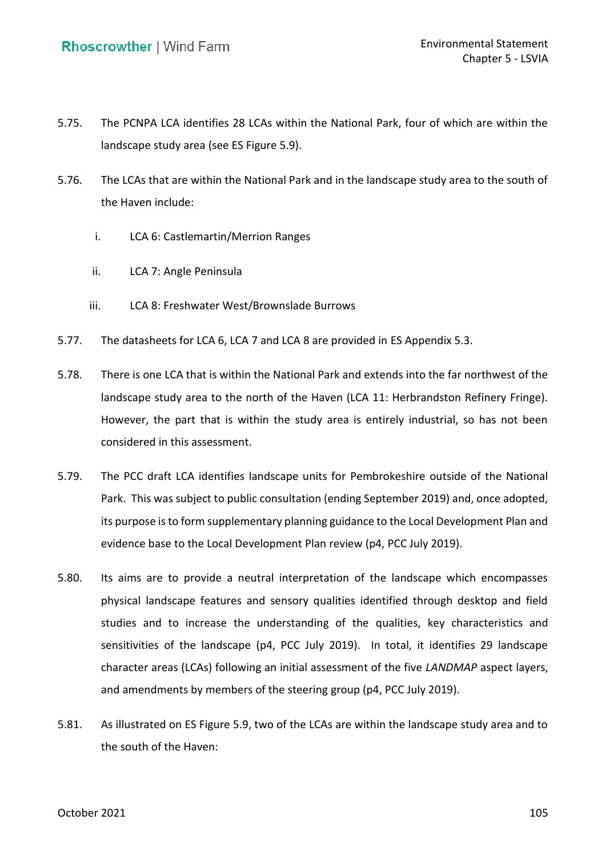- 5.75. The PCNPA LCA identifies 28 LCAs within the National Park, four of which are within the landscape study area (see ES Figure 5.9).
- 5.76. The LCAs that are within the National Park and in the landscape study area to the south of the Haven include:
	- i. LCA 6: Castlemartin/Merrion Ranges
	- ii. LCA 7: Angle Peninsula
	- iii. LCA 8: Freshwater West/Brownslade Burrows
- 5.77. The datasheets for LCA 6, LCA 7 and LCA 8 are provided in ES Appendix 5.3.
- 5.78. There is one LCA that is within the National Park and extends into the far northwest of the landscape study area to the north of the Haven (LCA 11: Herbrandston Refinery Fringe). However, the part that is within the study area is entirely industrial, so has not been considered in this assessment.
- 5.79. The PCC draft LCA identifies landscape units for Pembrokeshire outside of the National Park. This was subject to public consultation (ending September 2019) and, once adopted, its purpose is to form supplementary planning guidance to the Local Development Plan and evidence base to the Local Development Plan review (p4, PCC July 2019).
- 5.80. Its aims are to provide a neutral interpretation of the landscape which encompasses physical landscape features and sensory qualities identified through desktop and field studies and to increase the understanding of the qualities, key characteristics and sensitivities of the landscape (p4, PCC July 2019). In total, it identifies 29 landscape character areas (LCAs) following an initial assessment of the five *LANDMAP* aspect layers, and amendments by members of the steering group (p4, PCC July 2019).
- 5.81. As illustrated on ES Figure 5.9, two of the LCAs are within the landscape study area and to the south of the Haven: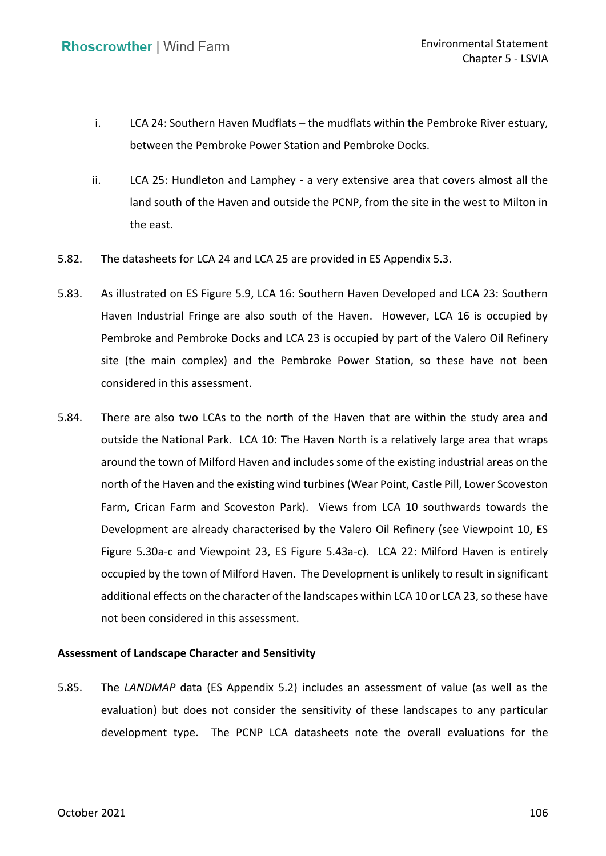- i. LCA 24: Southern Haven Mudflats the mudflats within the Pembroke River estuary, between the Pembroke Power Station and Pembroke Docks.
- ii. LCA 25: Hundleton and Lamphey a very extensive area that covers almost all the land south of the Haven and outside the PCNP, from the site in the west to Milton in the east.
- 5.82. The datasheets for LCA 24 and LCA 25 are provided in ES Appendix 5.3.
- 5.83. As illustrated on ES Figure 5.9, LCA 16: Southern Haven Developed and LCA 23: Southern Haven Industrial Fringe are also south of the Haven. However, LCA 16 is occupied by Pembroke and Pembroke Docks and LCA 23 is occupied by part of the Valero Oil Refinery site (the main complex) and the Pembroke Power Station, so these have not been considered in this assessment.
- <span id="page-22-0"></span> 5.84. There are also two LCAs to the north of the Haven that are within the study area and outside the National Park. LCA 10: The Haven North is a relatively large area that wraps around the town of Milford Haven and includes some of the existing industrial areas on the north of the Haven and the existing wind turbines (Wear Point, Castle Pill, Lower Scoveston Farm, Crican Farm and Scoveston Park). Views from LCA 10 southwards towards the Figure 5.30a-c and Viewpoint 23, ES Figure 5.43a-c). LCA 22: Milford Haven is entirely occupied by the town of Milford Haven. The Development is unlikely to result in significant additional effects on the character of the landscapes within LCA 10 or LCA 23, so these have not been considered in this assessment. Development are already characterised by the Valero Oil Refinery (see Viewpoint 10, ES

### **Assessment of Landscape Character and Sensitivity**

 5.85. The *LANDMAP* data (ES Appendix 5.2) includes an assessment of value (as well as the evaluation) but does not consider the sensitivity of these landscapes to any particular development type. The PCNP LCA datasheets note the overall evaluations for the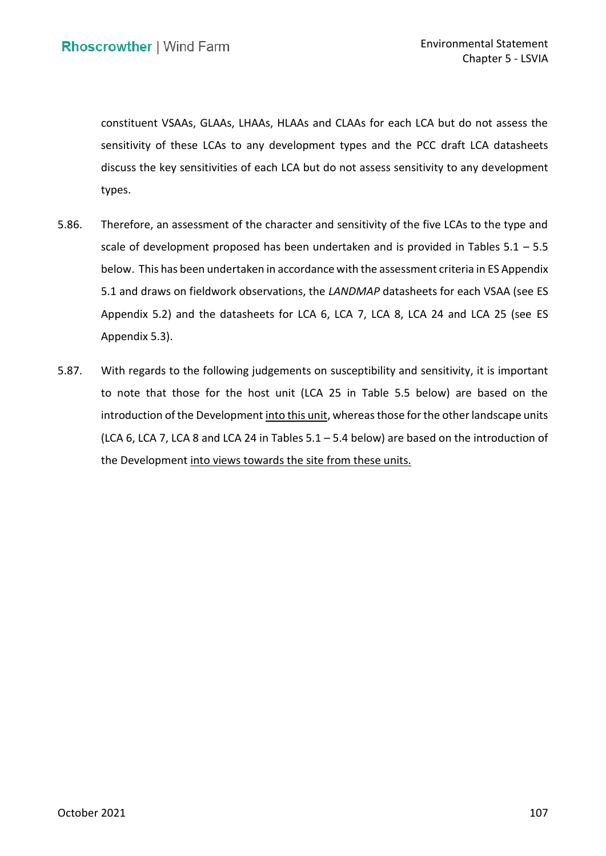constituent VSAAs, GLAAs, LHAAs, HLAAs and CLAAs for each LCA but do not assess the sensitivity of these LCAs to any development types and the PCC draft LCA datasheets discuss the key sensitivities of each LCA but do not assess sensitivity to any development types.

- types.<br>5.86. Therefore, an assessment of the character and sensitivity of the five LCAs to the type and scale of development proposed has been undertaken and is provided in Tables 5.1 – 5.5 below. This has been undertaken in accordance with the assessment criteria in ES Appendix 5.1 and draws on fieldwork observations, the *LANDMAP* datasheets for each VSAA (see ES Appendix 5.2) and the datasheets for LCA 6, LCA 7, LCA 8, LCA 24 and LCA 25 (see ES Appendix 5.3).
- 5.87. With regards to the following judgements on susceptibility and sensitivity, it is important to note that those for the host unit (LCA 25 in Table 5.5 below) are based on the introduction of the Development into this unit, whereas those for the other landscape units (LCA 6, LCA 7, LCA 8 and LCA 24 in Tables  $5.1 - 5.4$  below) are based on the introduction of the Development into views towards the site from these units.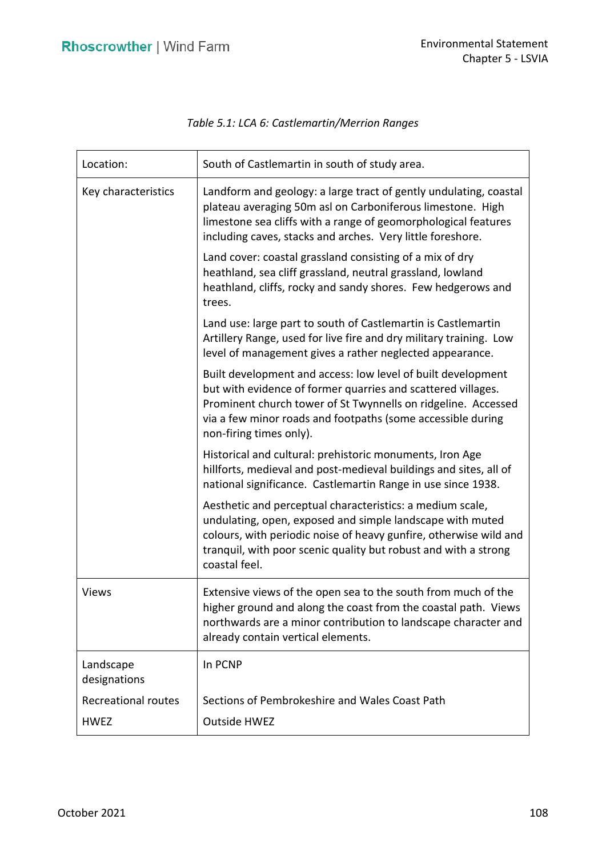| Location:                  | South of Castlemartin in south of study area.                                                                                                                                                                                                                                           |
|----------------------------|-----------------------------------------------------------------------------------------------------------------------------------------------------------------------------------------------------------------------------------------------------------------------------------------|
| Key characteristics        | Landform and geology: a large tract of gently undulating, coastal<br>plateau averaging 50m asl on Carboniferous limestone. High<br>limestone sea cliffs with a range of geomorphological features<br>including caves, stacks and arches. Very little foreshore.                         |
|                            | Land cover: coastal grassland consisting of a mix of dry<br>heathland, sea cliff grassland, neutral grassland, lowland<br>heathland, cliffs, rocky and sandy shores. Few hedgerows and<br>trees.                                                                                        |
|                            | Land use: large part to south of Castlemartin is Castlemartin<br>Artillery Range, used for live fire and dry military training. Low<br>level of management gives a rather neglected appearance.                                                                                         |
|                            | Built development and access: low level of built development<br>but with evidence of former quarries and scattered villages.<br>Prominent church tower of St Twynnells on ridgeline. Accessed<br>via a few minor roads and footpaths (some accessible during<br>non-firing times only). |
|                            | Historical and cultural: prehistoric monuments, Iron Age<br>hillforts, medieval and post-medieval buildings and sites, all of<br>national significance. Castlemartin Range in use since 1938.                                                                                           |
|                            | Aesthetic and perceptual characteristics: a medium scale,<br>undulating, open, exposed and simple landscape with muted<br>colours, with periodic noise of heavy gunfire, otherwise wild and<br>tranquil, with poor scenic quality but robust and with a strong<br>coastal feel.         |
| <b>Views</b>               | Extensive views of the open sea to the south from much of the<br>higher ground and along the coast from the coastal path. Views<br>northwards are a minor contribution to landscape character and<br>already contain vertical elements.                                                 |
| Landscape<br>designations  | In PCNP                                                                                                                                                                                                                                                                                 |
| <b>Recreational routes</b> | Sections of Pembrokeshire and Wales Coast Path                                                                                                                                                                                                                                          |
| <b>HWEZ</b>                | <b>Outside HWEZ</b>                                                                                                                                                                                                                                                                     |

# *Table 5.1: LCA 6: Castlemartin/Merrion Ranges*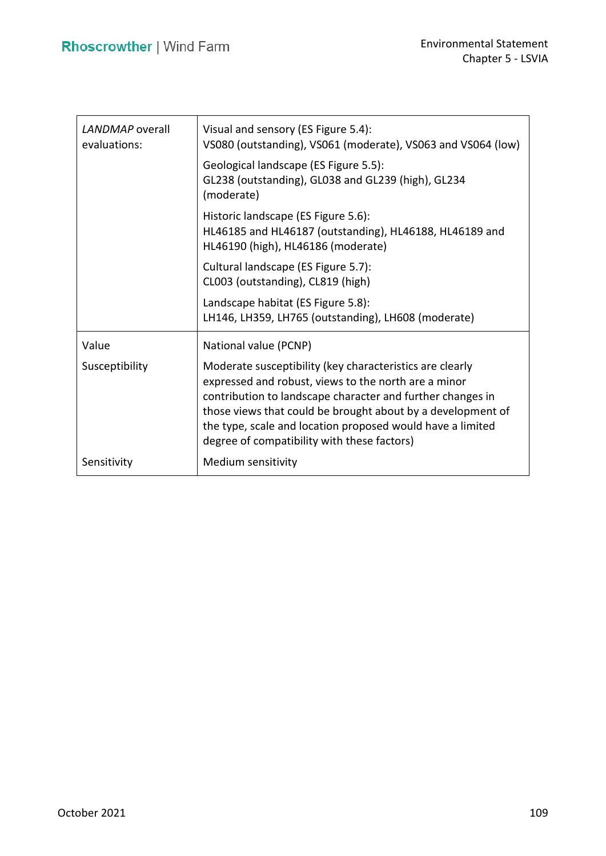| LANDMAP overall<br>evaluations: | Visual and sensory (ES Figure 5.4):<br>VS080 (outstanding), VS061 (moderate), VS063 and VS064 (low)                                                                                                                                                                                                                                                        |
|---------------------------------|------------------------------------------------------------------------------------------------------------------------------------------------------------------------------------------------------------------------------------------------------------------------------------------------------------------------------------------------------------|
|                                 | Geological landscape (ES Figure 5.5):<br>GL238 (outstanding), GL038 and GL239 (high), GL234<br>(moderate)                                                                                                                                                                                                                                                  |
|                                 | Historic landscape (ES Figure 5.6):<br>HL46185 and HL46187 (outstanding), HL46188, HL46189 and<br>HL46190 (high), HL46186 (moderate)                                                                                                                                                                                                                       |
|                                 | Cultural landscape (ES Figure 5.7):<br>CL003 (outstanding), CL819 (high)                                                                                                                                                                                                                                                                                   |
|                                 | Landscape habitat (ES Figure 5.8):<br>LH146, LH359, LH765 (outstanding), LH608 (moderate)                                                                                                                                                                                                                                                                  |
| Value                           | National value (PCNP)                                                                                                                                                                                                                                                                                                                                      |
| Susceptibility                  | Moderate susceptibility (key characteristics are clearly<br>expressed and robust, views to the north are a minor<br>contribution to landscape character and further changes in<br>those views that could be brought about by a development of<br>the type, scale and location proposed would have a limited<br>degree of compatibility with these factors) |
| Sensitivity                     | Medium sensitivity                                                                                                                                                                                                                                                                                                                                         |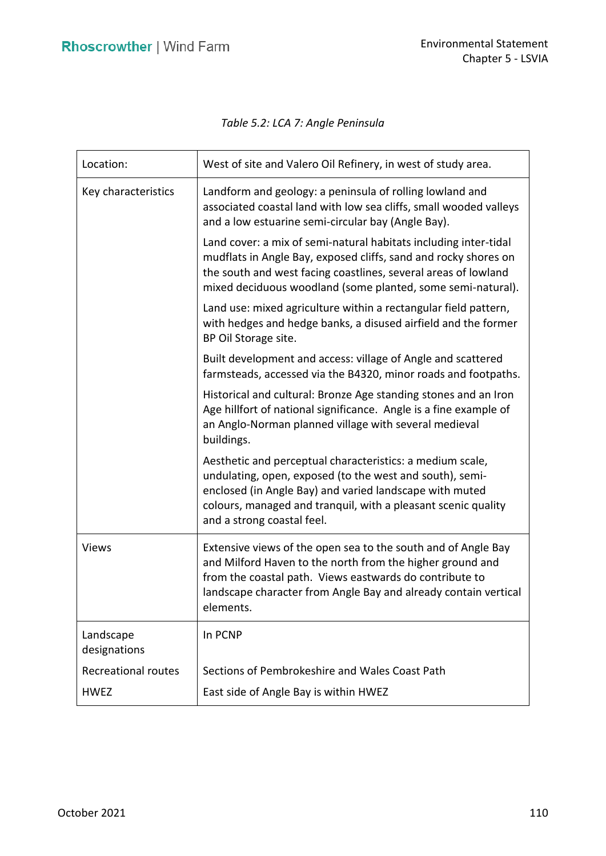# *Table 5.2: LCA 7: Angle Peninsula*

| Location:                  | West of site and Valero Oil Refinery, in west of study area.                                                                                                                                                                                                                    |
|----------------------------|---------------------------------------------------------------------------------------------------------------------------------------------------------------------------------------------------------------------------------------------------------------------------------|
| Key characteristics        | Landform and geology: a peninsula of rolling lowland and<br>associated coastal land with low sea cliffs, small wooded valleys<br>and a low estuarine semi-circular bay (Angle Bay).                                                                                             |
|                            | Land cover: a mix of semi-natural habitats including inter-tidal<br>mudflats in Angle Bay, exposed cliffs, sand and rocky shores on<br>the south and west facing coastlines, several areas of lowland<br>mixed deciduous woodland (some planted, some semi-natural).            |
|                            | Land use: mixed agriculture within a rectangular field pattern,<br>with hedges and hedge banks, a disused airfield and the former<br>BP Oil Storage site.                                                                                                                       |
|                            | Built development and access: village of Angle and scattered<br>farmsteads, accessed via the B4320, minor roads and footpaths.                                                                                                                                                  |
|                            | Historical and cultural: Bronze Age standing stones and an Iron<br>Age hillfort of national significance. Angle is a fine example of<br>an Anglo-Norman planned village with several medieval<br>buildings.                                                                     |
|                            | Aesthetic and perceptual characteristics: a medium scale,<br>undulating, open, exposed (to the west and south), semi-<br>enclosed (in Angle Bay) and varied landscape with muted<br>colours, managed and tranquil, with a pleasant scenic quality<br>and a strong coastal feel. |
| <b>Views</b>               | Extensive views of the open sea to the south and of Angle Bay<br>and Milford Haven to the north from the higher ground and<br>from the coastal path. Views eastwards do contribute to<br>landscape character from Angle Bay and already contain vertical<br>elements.           |
| Landscape<br>designations  | In PCNP                                                                                                                                                                                                                                                                         |
| <b>Recreational routes</b> | Sections of Pembrokeshire and Wales Coast Path                                                                                                                                                                                                                                  |
| <b>HWEZ</b>                | East side of Angle Bay is within HWEZ                                                                                                                                                                                                                                           |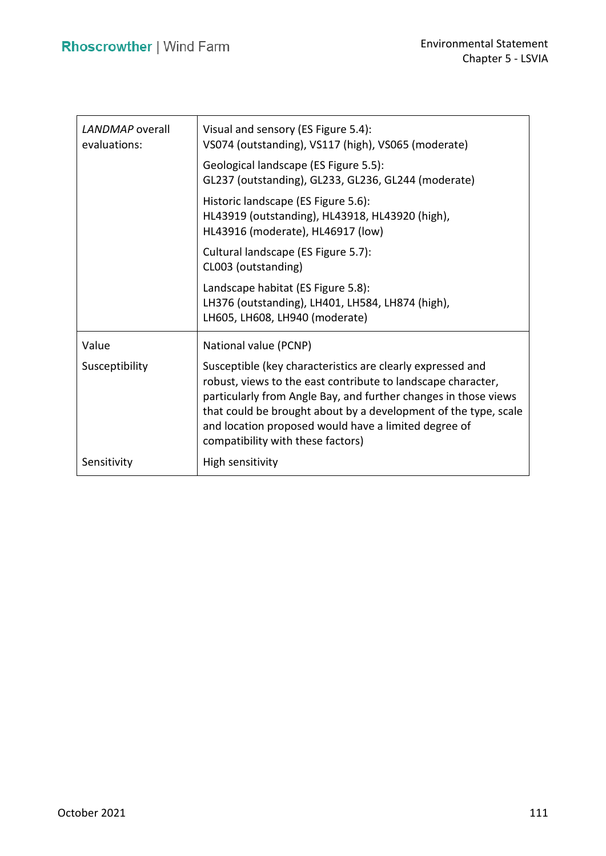| LANDMAP overall<br>evaluations: | Visual and sensory (ES Figure 5.4):<br>VS074 (outstanding), VS117 (high), VS065 (moderate)                                                                                                                                                                                                                                                                    |
|---------------------------------|---------------------------------------------------------------------------------------------------------------------------------------------------------------------------------------------------------------------------------------------------------------------------------------------------------------------------------------------------------------|
|                                 | Geological landscape (ES Figure 5.5):<br>GL237 (outstanding), GL233, GL236, GL244 (moderate)                                                                                                                                                                                                                                                                  |
|                                 | Historic landscape (ES Figure 5.6):<br>HL43919 (outstanding), HL43918, HL43920 (high),<br>HL43916 (moderate), HL46917 (low)                                                                                                                                                                                                                                   |
|                                 | Cultural landscape (ES Figure 5.7):<br>CL003 (outstanding)                                                                                                                                                                                                                                                                                                    |
|                                 | Landscape habitat (ES Figure 5.8):<br>LH376 (outstanding), LH401, LH584, LH874 (high),<br>LH605, LH608, LH940 (moderate)                                                                                                                                                                                                                                      |
| Value                           | National value (PCNP)                                                                                                                                                                                                                                                                                                                                         |
| Susceptibility                  | Susceptible (key characteristics are clearly expressed and<br>robust, views to the east contribute to landscape character,<br>particularly from Angle Bay, and further changes in those views<br>that could be brought about by a development of the type, scale<br>and location proposed would have a limited degree of<br>compatibility with these factors) |
| Sensitivity                     | High sensitivity                                                                                                                                                                                                                                                                                                                                              |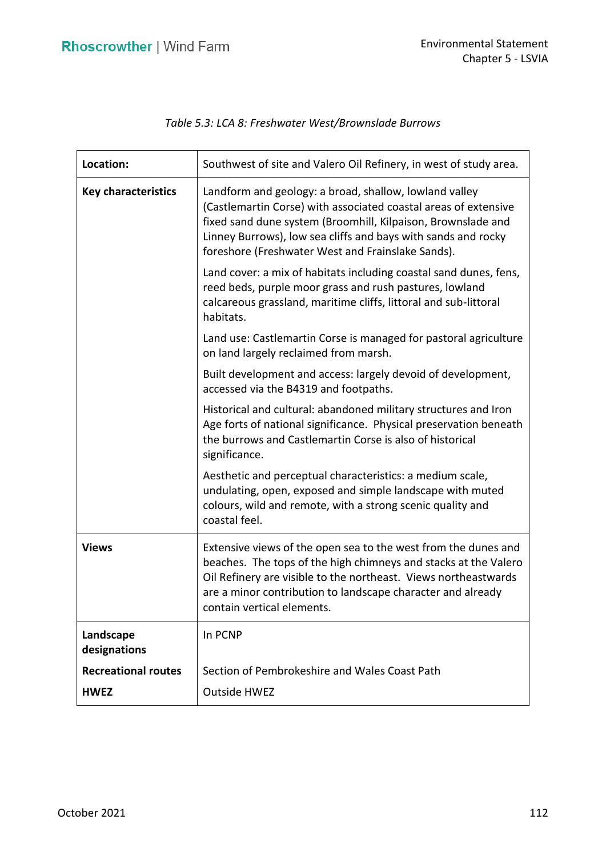| Location:                  | Southwest of site and Valero Oil Refinery, in west of study area.                                                                                                                                                                                                                                               |
|----------------------------|-----------------------------------------------------------------------------------------------------------------------------------------------------------------------------------------------------------------------------------------------------------------------------------------------------------------|
| <b>Key characteristics</b> | Landform and geology: a broad, shallow, lowland valley<br>(Castlemartin Corse) with associated coastal areas of extensive<br>fixed sand dune system (Broomhill, Kilpaison, Brownslade and<br>Linney Burrows), low sea cliffs and bays with sands and rocky<br>foreshore (Freshwater West and Frainslake Sands). |
|                            | Land cover: a mix of habitats including coastal sand dunes, fens,<br>reed beds, purple moor grass and rush pastures, lowland<br>calcareous grassland, maritime cliffs, littoral and sub-littoral<br>habitats.                                                                                                   |
|                            | Land use: Castlemartin Corse is managed for pastoral agriculture<br>on land largely reclaimed from marsh.                                                                                                                                                                                                       |
|                            | Built development and access: largely devoid of development,<br>accessed via the B4319 and footpaths.                                                                                                                                                                                                           |
|                            | Historical and cultural: abandoned military structures and Iron<br>Age forts of national significance. Physical preservation beneath<br>the burrows and Castlemartin Corse is also of historical<br>significance.                                                                                               |
|                            | Aesthetic and perceptual characteristics: a medium scale,<br>undulating, open, exposed and simple landscape with muted<br>colours, wild and remote, with a strong scenic quality and<br>coastal feel.                                                                                                           |
| <b>Views</b>               | Extensive views of the open sea to the west from the dunes and<br>beaches. The tops of the high chimneys and stacks at the Valero<br>Oil Refinery are visible to the northeast. Views northeastwards<br>are a minor contribution to landscape character and already<br>contain vertical elements.               |
| Landscape<br>designations  | In PCNP                                                                                                                                                                                                                                                                                                         |
| <b>Recreational routes</b> | Section of Pembrokeshire and Wales Coast Path                                                                                                                                                                                                                                                                   |
| <b>HWEZ</b>                | <b>Outside HWEZ</b>                                                                                                                                                                                                                                                                                             |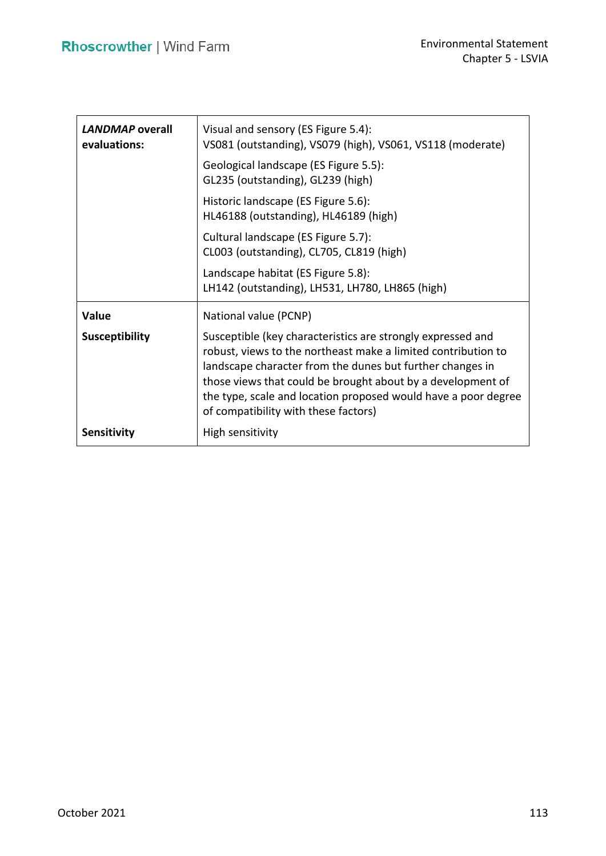| LANDMAP overall<br>evaluations: | Visual and sensory (ES Figure 5.4):<br>VS081 (outstanding), VS079 (high), VS061, VS118 (moderate)<br>Geological landscape (ES Figure 5.5):<br>GL235 (outstanding), GL239 (high)<br>Historic landscape (ES Figure 5.6):<br>HL46188 (outstanding), HL46189 (high)                                                                                                    |
|---------------------------------|--------------------------------------------------------------------------------------------------------------------------------------------------------------------------------------------------------------------------------------------------------------------------------------------------------------------------------------------------------------------|
|                                 | Cultural landscape (ES Figure 5.7):<br>CL003 (outstanding), CL705, CL819 (high)                                                                                                                                                                                                                                                                                    |
|                                 | Landscape habitat (ES Figure 5.8):<br>LH142 (outstanding), LH531, LH780, LH865 (high)                                                                                                                                                                                                                                                                              |
| Value                           | National value (PCNP)                                                                                                                                                                                                                                                                                                                                              |
| <b>Susceptibility</b>           | Susceptible (key characteristics are strongly expressed and<br>robust, views to the northeast make a limited contribution to<br>landscape character from the dunes but further changes in<br>those views that could be brought about by a development of<br>the type, scale and location proposed would have a poor degree<br>of compatibility with these factors) |
| <b>Sensitivity</b>              | High sensitivity                                                                                                                                                                                                                                                                                                                                                   |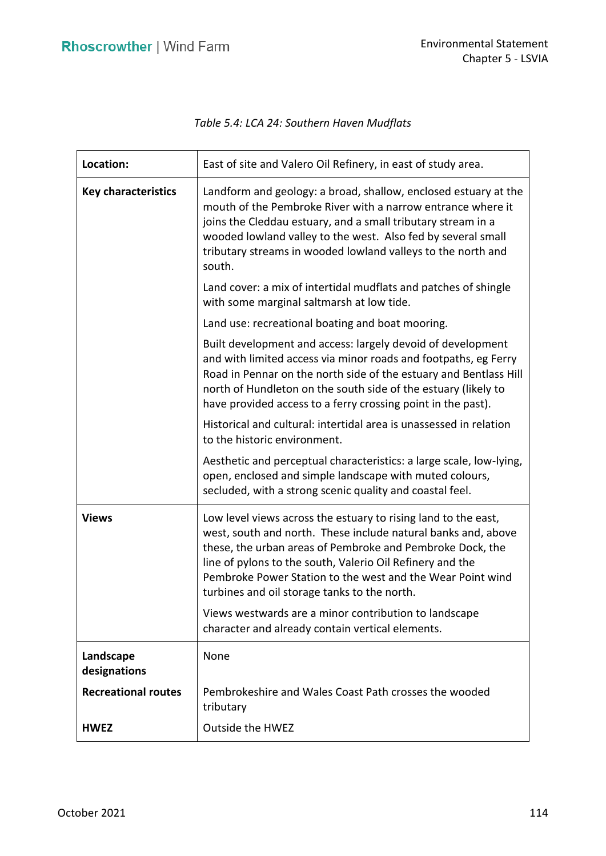| Location:                  | East of site and Valero Oil Refinery, in east of study area.                                                                                                                                                                                                                                                                                                            |
|----------------------------|-------------------------------------------------------------------------------------------------------------------------------------------------------------------------------------------------------------------------------------------------------------------------------------------------------------------------------------------------------------------------|
| <b>Key characteristics</b> | Landform and geology: a broad, shallow, enclosed estuary at the<br>mouth of the Pembroke River with a narrow entrance where it<br>joins the Cleddau estuary, and a small tributary stream in a<br>wooded lowland valley to the west. Also fed by several small<br>tributary streams in wooded lowland valleys to the north and<br>south.                                |
|                            | Land cover: a mix of intertidal mudflats and patches of shingle<br>with some marginal saltmarsh at low tide.                                                                                                                                                                                                                                                            |
|                            | Land use: recreational boating and boat mooring.                                                                                                                                                                                                                                                                                                                        |
|                            | Built development and access: largely devoid of development<br>and with limited access via minor roads and footpaths, eg Ferry<br>Road in Pennar on the north side of the estuary and Bentlass Hill<br>north of Hundleton on the south side of the estuary (likely to<br>have provided access to a ferry crossing point in the past).                                   |
|                            | Historical and cultural: intertidal area is unassessed in relation<br>to the historic environment.                                                                                                                                                                                                                                                                      |
|                            | Aesthetic and perceptual characteristics: a large scale, low-lying,<br>open, enclosed and simple landscape with muted colours,<br>secluded, with a strong scenic quality and coastal feel.                                                                                                                                                                              |
| <b>Views</b>               | Low level views across the estuary to rising land to the east,<br>west, south and north. These include natural banks and, above<br>these, the urban areas of Pembroke and Pembroke Dock, the<br>line of pylons to the south, Valerio Oil Refinery and the<br>Pembroke Power Station to the west and the Wear Point wind<br>turbines and oil storage tanks to the north. |
|                            | Views westwards are a minor contribution to landscape<br>character and already contain vertical elements.                                                                                                                                                                                                                                                               |
| Landscape<br>designations  | None                                                                                                                                                                                                                                                                                                                                                                    |
| <b>Recreational routes</b> | Pembrokeshire and Wales Coast Path crosses the wooded<br>tributary                                                                                                                                                                                                                                                                                                      |
| <b>HWEZ</b>                | <b>Outside the HWEZ</b>                                                                                                                                                                                                                                                                                                                                                 |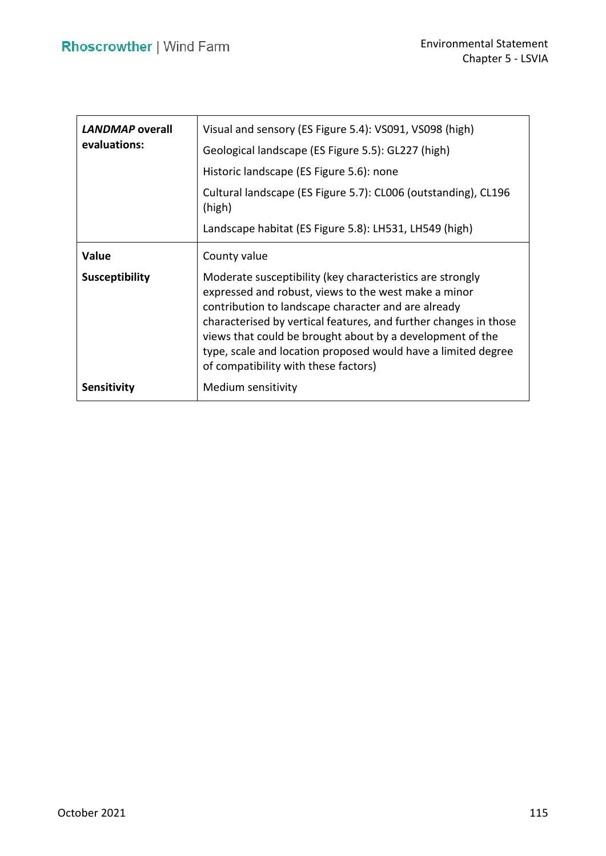| <b>LANDMAP</b> overall<br>evaluations: | Visual and sensory (ES Figure 5.4): VS091, VS098 (high)<br>Geological landscape (ES Figure 5.5): GL227 (high)<br>Historic landscape (ES Figure 5.6): none<br>Cultural landscape (ES Figure 5.7): CL006 (outstanding), CL196<br>(high)<br>Landscape habitat (ES Figure 5.8): LH531, LH549 (high)                                                                                                                    |
|----------------------------------------|--------------------------------------------------------------------------------------------------------------------------------------------------------------------------------------------------------------------------------------------------------------------------------------------------------------------------------------------------------------------------------------------------------------------|
| Value                                  | County value                                                                                                                                                                                                                                                                                                                                                                                                       |
| <b>Susceptibility</b>                  | Moderate susceptibility (key characteristics are strongly<br>expressed and robust, views to the west make a minor<br>contribution to landscape character and are already<br>characterised by vertical features, and further changes in those<br>views that could be brought about by a development of the<br>type, scale and location proposed would have a limited degree<br>of compatibility with these factors) |
| Sensitivity                            | Medium sensitivity                                                                                                                                                                                                                                                                                                                                                                                                 |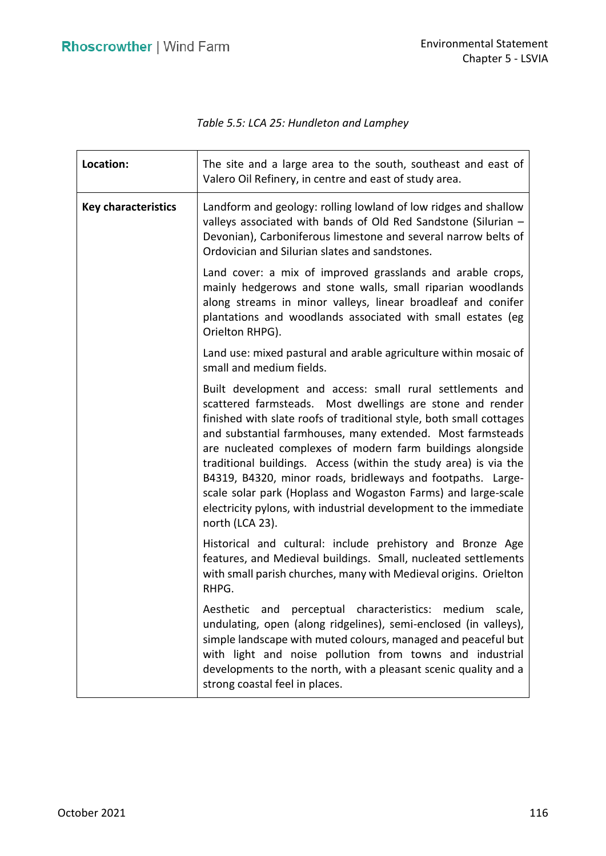*Table 5.5: LCA 25: Hundleton and Lamphey* 

| Location:                  | The site and a large area to the south, southeast and east of<br>Valero Oil Refinery, in centre and east of study area.                                                                                                                                                                                                                                                                                                                                                                                                                                                                                              |
|----------------------------|----------------------------------------------------------------------------------------------------------------------------------------------------------------------------------------------------------------------------------------------------------------------------------------------------------------------------------------------------------------------------------------------------------------------------------------------------------------------------------------------------------------------------------------------------------------------------------------------------------------------|
| <b>Key characteristics</b> | Landform and geology: rolling lowland of low ridges and shallow<br>valleys associated with bands of Old Red Sandstone (Silurian -<br>Devonian), Carboniferous limestone and several narrow belts of<br>Ordovician and Silurian slates and sandstones.                                                                                                                                                                                                                                                                                                                                                                |
|                            | Land cover: a mix of improved grasslands and arable crops,<br>mainly hedgerows and stone walls, small riparian woodlands<br>along streams in minor valleys, linear broadleaf and conifer<br>plantations and woodlands associated with small estates (eg<br>Orielton RHPG).                                                                                                                                                                                                                                                                                                                                           |
|                            | Land use: mixed pastural and arable agriculture within mosaic of<br>small and medium fields.                                                                                                                                                                                                                                                                                                                                                                                                                                                                                                                         |
|                            | Built development and access: small rural settlements and<br>scattered farmsteads. Most dwellings are stone and render<br>finished with slate roofs of traditional style, both small cottages<br>and substantial farmhouses, many extended. Most farmsteads<br>are nucleated complexes of modern farm buildings alongside<br>traditional buildings. Access (within the study area) is via the<br>B4319, B4320, minor roads, bridleways and footpaths. Large-<br>scale solar park (Hoplass and Wogaston Farms) and large-scale<br>electricity pylons, with industrial development to the immediate<br>north (LCA 23). |
|                            | Historical and cultural: include prehistory and Bronze Age<br>features, and Medieval buildings. Small, nucleated settlements<br>with small parish churches, many with Medieval origins. Orielton<br>RHPG.                                                                                                                                                                                                                                                                                                                                                                                                            |
|                            | Aesthetic and perceptual characteristics: medium scale,<br>undulating, open (along ridgelines), semi-enclosed (in valleys),<br>simple landscape with muted colours, managed and peaceful but<br>with light and noise pollution from towns and industrial<br>developments to the north, with a pleasant scenic quality and a<br>strong coastal feel in places.                                                                                                                                                                                                                                                        |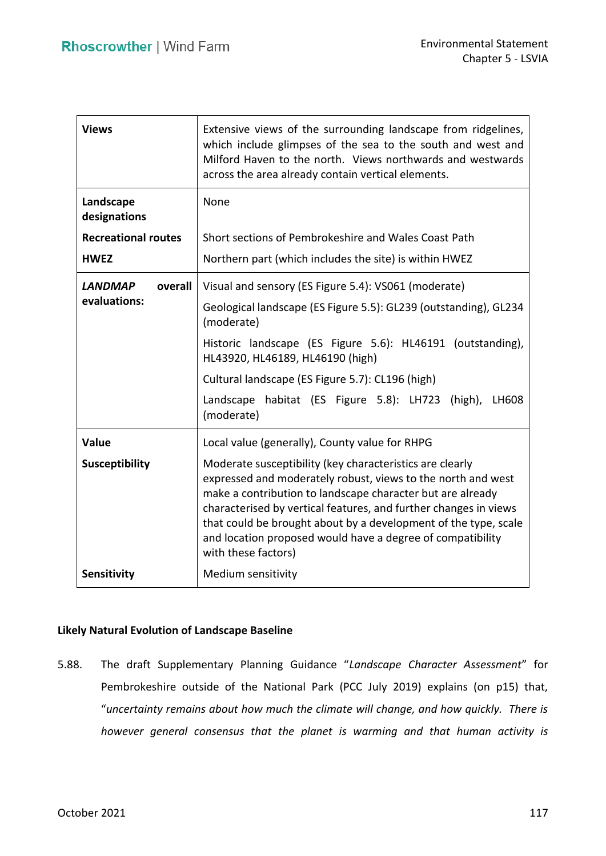| <b>Views</b>                              | Extensive views of the surrounding landscape from ridgelines,<br>which include glimpses of the sea to the south and west and<br>Milford Haven to the north. Views northwards and westwards<br>across the area already contain vertical elements.                                                                                                                                                                                                                     |
|-------------------------------------------|----------------------------------------------------------------------------------------------------------------------------------------------------------------------------------------------------------------------------------------------------------------------------------------------------------------------------------------------------------------------------------------------------------------------------------------------------------------------|
| Landscape<br>designations                 | None                                                                                                                                                                                                                                                                                                                                                                                                                                                                 |
| <b>Recreational routes</b><br><b>HWEZ</b> | Short sections of Pembrokeshire and Wales Coast Path<br>Northern part (which includes the site) is within HWEZ                                                                                                                                                                                                                                                                                                                                                       |
| <b>LANDMAP</b><br>overall<br>evaluations: | Visual and sensory (ES Figure 5.4): VS061 (moderate)<br>Geological landscape (ES Figure 5.5): GL239 (outstanding), GL234<br>(moderate)<br>Historic landscape (ES Figure 5.6): HL46191 (outstanding),<br>HL43920, HL46189, HL46190 (high)<br>Cultural landscape (ES Figure 5.7): CL196 (high)<br>habitat (ES Figure 5.8): LH723<br>Landscape<br>$(high)$ ,<br>LH608<br>(moderate)                                                                                     |
| Value<br><b>Susceptibility</b>            | Local value (generally), County value for RHPG<br>Moderate susceptibility (key characteristics are clearly<br>expressed and moderately robust, views to the north and west<br>make a contribution to landscape character but are already<br>characterised by vertical features, and further changes in views<br>that could be brought about by a development of the type, scale<br>and location proposed would have a degree of compatibility<br>with these factors) |
| Sensitivity                               | Medium sensitivity                                                                                                                                                                                                                                                                                                                                                                                                                                                   |

### **Likely Natural Evolution of Landscape Baseline**

 5.88. The draft Supplementary Planning Guidance "*Landscape Character Assessment*" for Pembrokeshire outside of the National Park (PCC July 2019) explains (on p15) that,  "*uncertainty remains about how much the climate will change, and how quickly. There is however general consensus that the planet is warming and that human activity is*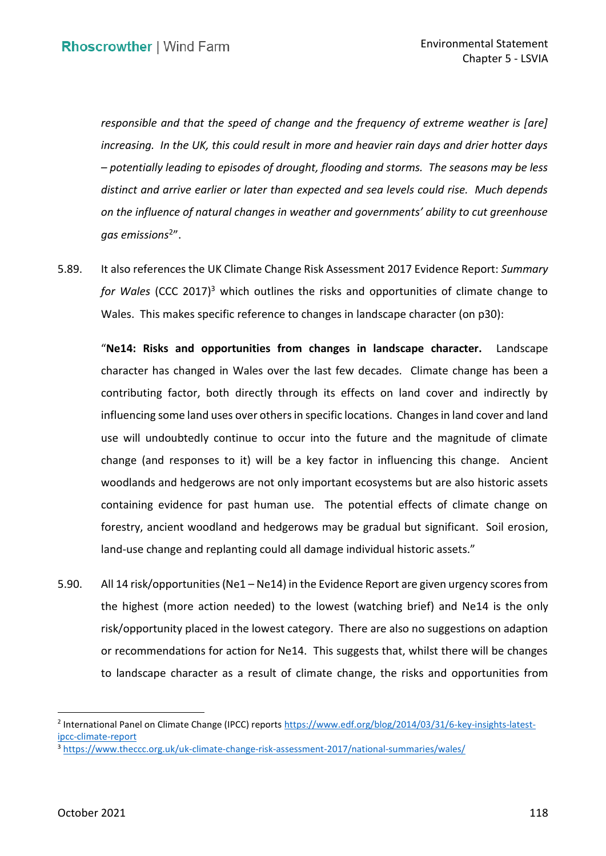*responsible and that the speed of change and the frequency of extreme weather is [are] increasing. In the UK, this could result in more and heavier rain days and drier hotter days – potentially leading to episodes of drought, flooding and storms. The seasons may be less distinct and arrive earlier or later than expected and sea levels could rise. Much depends on the influence of natural changes in weather and governments' ability to cut greenhouse gas emissions*<sup>2</sup>".

 5.89. It also references the UK Climate Change Risk Assessment 2017 Evidence Report: *Summary*  for Wales (CCC 2017)<sup>3</sup> which outlines the risks and opportunities of climate change to Wales. This makes specific reference to changes in landscape character (on p30):

 "**Ne14: Risks and opportunities from changes in landscape character.** Landscape character has changed in Wales over the last few decades. Climate change has been a contributing factor, both directly through its effects on land cover and indirectly by influencing some land uses over others in specific locations. Changes in land cover and land use will undoubtedly continue to occur into the future and the magnitude of climate change (and responses to it) will be a key factor in influencing this change. Ancient woodlands and hedgerows are not only important ecosystems but are also historic assets containing evidence for past human use. The potential effects of climate change on forestry, ancient woodland and hedgerows may be gradual but significant. Soil erosion, land-use change and replanting could all damage individual historic assets."

 5.90. All 14 risk/opportunities (Ne1 – Ne14) in the Evidence Report are given urgency scores from the highest (more action needed) to the lowest (watching brief) and Ne14 is the only risk/opportunity placed in the lowest category. There are also no suggestions on adaption or recommendations for action for Ne14. This suggests that, whilst there will be changes to landscape character as a result of climate change, the risks and opportunities from

<sup>2</sup> International Panel on Climate Change (IPCC) reports [https://www.edf.org/blog/2014/03/31/6-key-insights-latest](https://www.edf.org/blog/2014/03/31/6-key-insights-latest-ipcc-climate-report)ipcc-climate-report<br><sup>3</sup> https://www.theccc.org.uk/uk-climate-change-risk-assessment-2017/national-summaries/wales/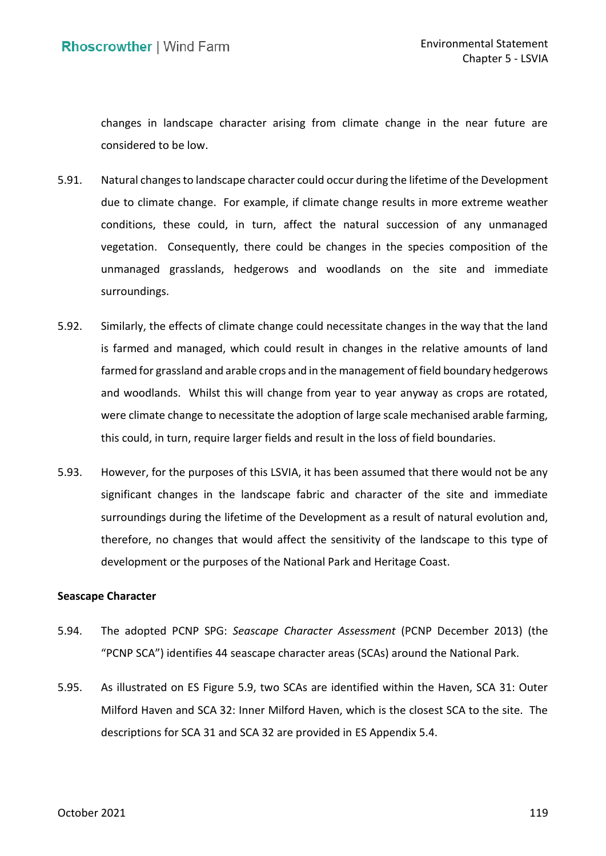changes in landscape character arising from climate change in the near future are considered to be low.

- 5.91. Natural changes to landscape character could occur during the lifetime of the Development due to climate change. For example, if climate change results in more extreme weather conditions, these could, in turn, affect the natural succession of any unmanaged vegetation. Consequently, there could be changes in the species composition of the unmanaged grasslands, hedgerows and woodlands on the site and immediate surroundings.
- surroundings.<br>5.92. Similarly, the effects of climate change could necessitate changes in the way that the land is farmed and managed, which could result in changes in the relative amounts of land farmed for grassland and arable crops and in the management of field boundary hedgerows and woodlands. Whilst this will change from year to year anyway as crops are rotated, were climate change to necessitate the adoption of large scale mechanised arable farming, this could, in turn, require larger fields and result in the loss of field boundaries.
- 5.93. However, for the purposes of this LSVIA, it has been assumed that there would not be any significant changes in the landscape fabric and character of the site and immediate surroundings during the lifetime of the Development as a result of natural evolution and, therefore, no changes that would affect the sensitivity of the landscape to this type of development or the purposes of the National Park and Heritage Coast.

### **Seascape Character**

- 5.94. The adopted PCNP SPG: *Seascape Character Assessment* (PCNP December 2013) (the "PCNP SCA") identifies 44 seascape character areas (SCAs) around the National Park.
- 5.95. As illustrated on ES Figure 5.9, two SCAs are identified within the Haven, SCA 31: Outer Milford Haven and SCA 32: Inner Milford Haven, which is the closest SCA to the site. The descriptions for SCA 31 and SCA 32 are provided in ES Appendix 5.4.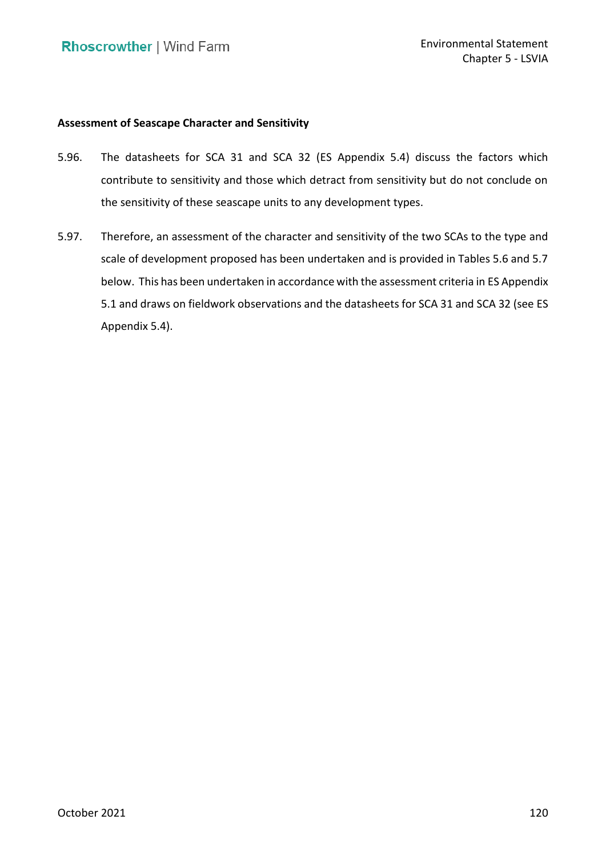# **Assessment of Seascape Character and Sensitivity**

- 5.96. The datasheets for SCA 31 and SCA 32 (ES Appendix 5.4) discuss the factors which contribute to sensitivity and those which detract from sensitivity but do not conclude on the sensitivity of these seascape units to any development types.
- 5.97. Therefore, an assessment of the character and sensitivity of the two SCAs to the type and scale of development proposed has been undertaken and is provided in Tables 5.6 and 5.7 below. This has been undertaken in accordance with the assessment criteria in ES Appendix 5.1 and draws on fieldwork observations and the datasheets for SCA 31 and SCA 32 (see ES Appendix 5.4).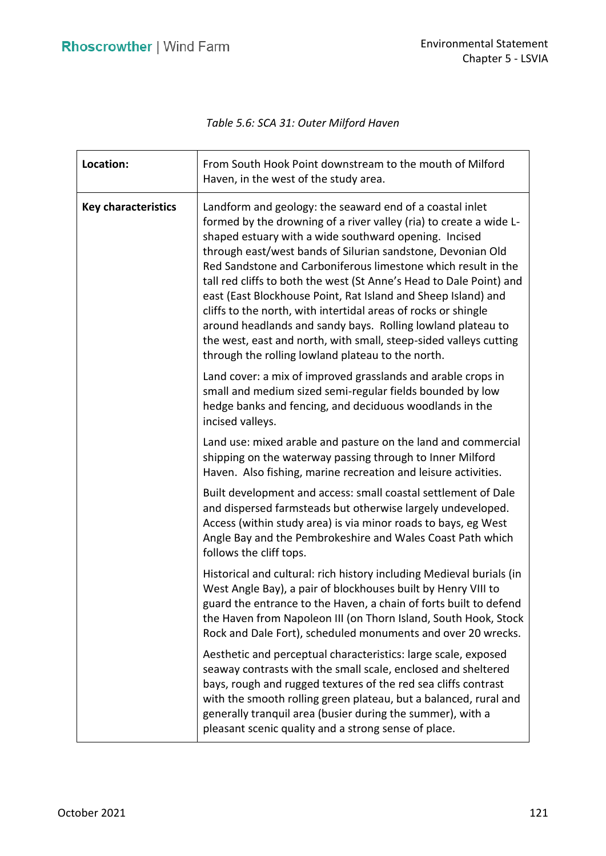*Table 5.6: SCA 31: Outer Milford Haven* 

| Location:                  | From South Hook Point downstream to the mouth of Milford<br>Haven, in the west of the study area.                                                                                                                                                                                                                                                                                                                                                                                                                                                                                                                                                                                                                          |
|----------------------------|----------------------------------------------------------------------------------------------------------------------------------------------------------------------------------------------------------------------------------------------------------------------------------------------------------------------------------------------------------------------------------------------------------------------------------------------------------------------------------------------------------------------------------------------------------------------------------------------------------------------------------------------------------------------------------------------------------------------------|
| <b>Key characteristics</b> | Landform and geology: the seaward end of a coastal inlet<br>formed by the drowning of a river valley (ria) to create a wide L-<br>shaped estuary with a wide southward opening. Incised<br>through east/west bands of Silurian sandstone, Devonian Old<br>Red Sandstone and Carboniferous limestone which result in the<br>tall red cliffs to both the west (St Anne's Head to Dale Point) and<br>east (East Blockhouse Point, Rat Island and Sheep Island) and<br>cliffs to the north, with intertidal areas of rocks or shingle<br>around headlands and sandy bays. Rolling lowland plateau to<br>the west, east and north, with small, steep-sided valleys cutting<br>through the rolling lowland plateau to the north. |
|                            | Land cover: a mix of improved grasslands and arable crops in<br>small and medium sized semi-regular fields bounded by low<br>hedge banks and fencing, and deciduous woodlands in the<br>incised valleys.                                                                                                                                                                                                                                                                                                                                                                                                                                                                                                                   |
|                            | Land use: mixed arable and pasture on the land and commercial<br>shipping on the waterway passing through to Inner Milford<br>Haven. Also fishing, marine recreation and leisure activities.                                                                                                                                                                                                                                                                                                                                                                                                                                                                                                                               |
|                            | Built development and access: small coastal settlement of Dale<br>and dispersed farmsteads but otherwise largely undeveloped.<br>Access (within study area) is via minor roads to bays, eg West<br>Angle Bay and the Pembrokeshire and Wales Coast Path which<br>follows the cliff tops.                                                                                                                                                                                                                                                                                                                                                                                                                                   |
|                            | Historical and cultural: rich history including Medieval burials (in<br>West Angle Bay), a pair of blockhouses built by Henry VIII to<br>guard the entrance to the Haven, a chain of forts built to defend<br>the Haven from Napoleon III (on Thorn Island, South Hook, Stock<br>Rock and Dale Fort), scheduled monuments and over 20 wrecks.                                                                                                                                                                                                                                                                                                                                                                              |
|                            | Aesthetic and perceptual characteristics: large scale, exposed<br>seaway contrasts with the small scale, enclosed and sheltered<br>bays, rough and rugged textures of the red sea cliffs contrast<br>with the smooth rolling green plateau, but a balanced, rural and<br>generally tranquil area (busier during the summer), with a<br>pleasant scenic quality and a strong sense of place.                                                                                                                                                                                                                                                                                                                                |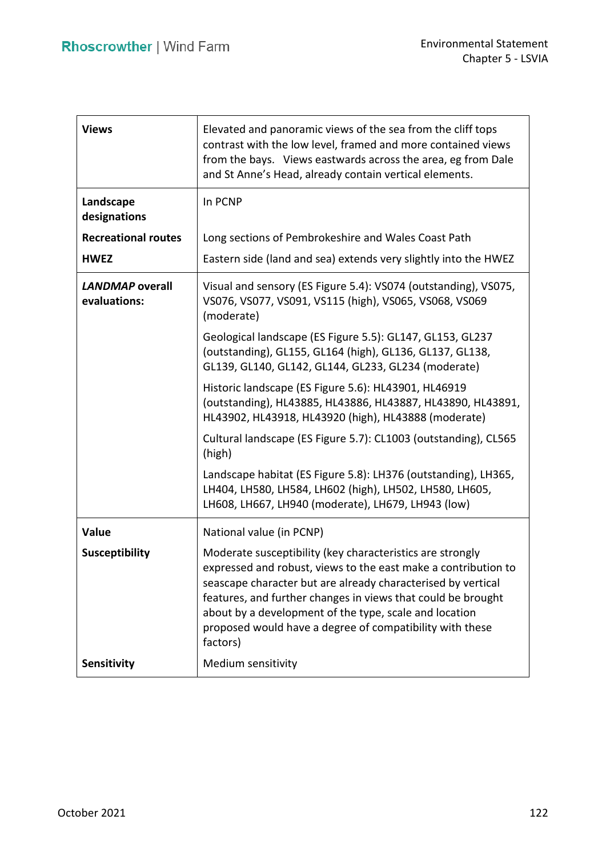| <b>Views</b>                           | Elevated and panoramic views of the sea from the cliff tops<br>contrast with the low level, framed and more contained views<br>from the bays. Views eastwards across the area, eg from Dale<br>and St Anne's Head, already contain vertical elements.                                                                                                                                         |
|----------------------------------------|-----------------------------------------------------------------------------------------------------------------------------------------------------------------------------------------------------------------------------------------------------------------------------------------------------------------------------------------------------------------------------------------------|
| Landscape<br>designations              | In PCNP                                                                                                                                                                                                                                                                                                                                                                                       |
| <b>Recreational routes</b>             | Long sections of Pembrokeshire and Wales Coast Path                                                                                                                                                                                                                                                                                                                                           |
| <b>HWEZ</b>                            | Eastern side (land and sea) extends very slightly into the HWEZ                                                                                                                                                                                                                                                                                                                               |
| <b>LANDMAP</b> overall<br>evaluations: | Visual and sensory (ES Figure 5.4): VS074 (outstanding), VS075,<br>VS076, VS077, VS091, VS115 (high), VS065, VS068, VS069<br>(moderate)                                                                                                                                                                                                                                                       |
|                                        | Geological landscape (ES Figure 5.5): GL147, GL153, GL237<br>(outstanding), GL155, GL164 (high), GL136, GL137, GL138,<br>GL139, GL140, GL142, GL144, GL233, GL234 (moderate)                                                                                                                                                                                                                  |
|                                        | Historic landscape (ES Figure 5.6): HL43901, HL46919<br>(outstanding), HL43885, HL43886, HL43887, HL43890, HL43891,<br>HL43902, HL43918, HL43920 (high), HL43888 (moderate)                                                                                                                                                                                                                   |
|                                        | Cultural landscape (ES Figure 5.7): CL1003 (outstanding), CL565<br>(high)                                                                                                                                                                                                                                                                                                                     |
|                                        | Landscape habitat (ES Figure 5.8): LH376 (outstanding), LH365,<br>LH404, LH580, LH584, LH602 (high), LH502, LH580, LH605,<br>LH608, LH667, LH940 (moderate), LH679, LH943 (low)                                                                                                                                                                                                               |
| Value                                  | National value (in PCNP)                                                                                                                                                                                                                                                                                                                                                                      |
| <b>Susceptibility</b>                  | Moderate susceptibility (key characteristics are strongly<br>expressed and robust, views to the east make a contribution to<br>seascape character but are already characterised by vertical<br>features, and further changes in views that could be brought<br>about by a development of the type, scale and location<br>proposed would have a degree of compatibility with these<br>factors) |
| Sensitivity                            | Medium sensitivity                                                                                                                                                                                                                                                                                                                                                                            |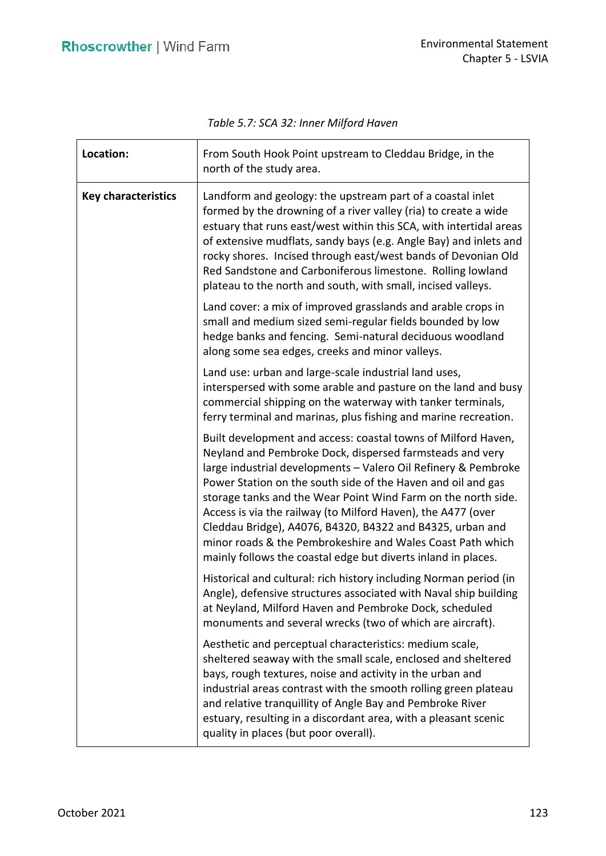*Table 5.7: SCA 32: Inner Milford Haven* 

| Location:                  | From South Hook Point upstream to Cleddau Bridge, in the<br>north of the study area.                                                                                                                                                                                                                                                                                                                                                                                                                                                                                                     |
|----------------------------|------------------------------------------------------------------------------------------------------------------------------------------------------------------------------------------------------------------------------------------------------------------------------------------------------------------------------------------------------------------------------------------------------------------------------------------------------------------------------------------------------------------------------------------------------------------------------------------|
| <b>Key characteristics</b> | Landform and geology: the upstream part of a coastal inlet<br>formed by the drowning of a river valley (ria) to create a wide<br>estuary that runs east/west within this SCA, with intertidal areas<br>of extensive mudflats, sandy bays (e.g. Angle Bay) and inlets and<br>rocky shores. Incised through east/west bands of Devonian Old<br>Red Sandstone and Carboniferous limestone. Rolling lowland<br>plateau to the north and south, with small, incised valleys.                                                                                                                  |
|                            | Land cover: a mix of improved grasslands and arable crops in<br>small and medium sized semi-regular fields bounded by low<br>hedge banks and fencing. Semi-natural deciduous woodland<br>along some sea edges, creeks and minor valleys.                                                                                                                                                                                                                                                                                                                                                 |
|                            | Land use: urban and large-scale industrial land uses,<br>interspersed with some arable and pasture on the land and busy<br>commercial shipping on the waterway with tanker terminals,<br>ferry terminal and marinas, plus fishing and marine recreation.                                                                                                                                                                                                                                                                                                                                 |
|                            | Built development and access: coastal towns of Milford Haven,<br>Neyland and Pembroke Dock, dispersed farmsteads and very<br>large industrial developments - Valero Oil Refinery & Pembroke<br>Power Station on the south side of the Haven and oil and gas<br>storage tanks and the Wear Point Wind Farm on the north side.<br>Access is via the railway (to Milford Haven), the A477 (over<br>Cleddau Bridge), A4076, B4320, B4322 and B4325, urban and<br>minor roads & the Pembrokeshire and Wales Coast Path which<br>mainly follows the coastal edge but diverts inland in places. |
|                            | Historical and cultural: rich history including Norman period (in<br>Angle), defensive structures associated with Naval ship building<br>at Neyland, Milford Haven and Pembroke Dock, scheduled<br>monuments and several wrecks (two of which are aircraft).                                                                                                                                                                                                                                                                                                                             |
|                            | Aesthetic and perceptual characteristics: medium scale,<br>sheltered seaway with the small scale, enclosed and sheltered<br>bays, rough textures, noise and activity in the urban and<br>industrial areas contrast with the smooth rolling green plateau<br>and relative tranquillity of Angle Bay and Pembroke River<br>estuary, resulting in a discordant area, with a pleasant scenic<br>quality in places (but poor overall).                                                                                                                                                        |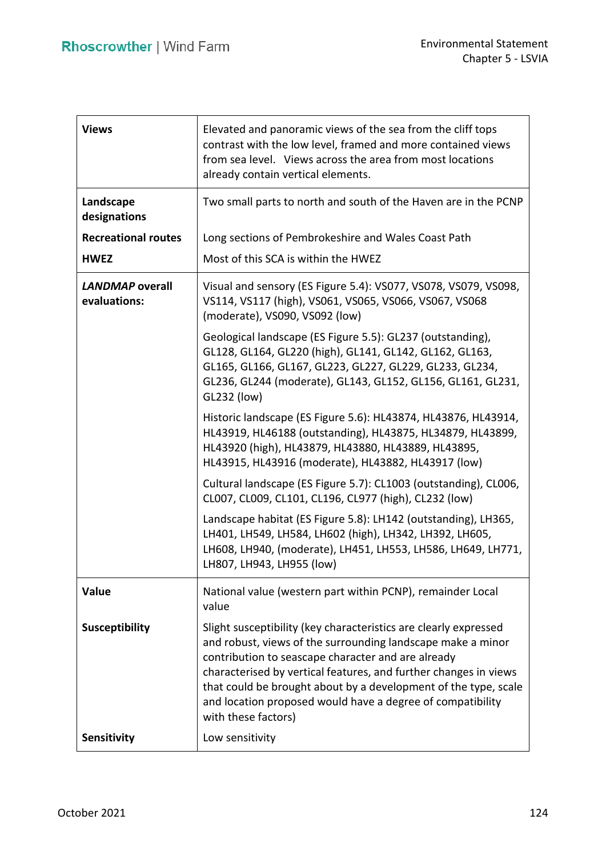| <b>Views</b>                           | Elevated and panoramic views of the sea from the cliff tops<br>contrast with the low level, framed and more contained views<br>from sea level. Views across the area from most locations<br>already contain vertical elements.                                                                                                                                                                                    |
|----------------------------------------|-------------------------------------------------------------------------------------------------------------------------------------------------------------------------------------------------------------------------------------------------------------------------------------------------------------------------------------------------------------------------------------------------------------------|
| Landscape<br>designations              | Two small parts to north and south of the Haven are in the PCNP                                                                                                                                                                                                                                                                                                                                                   |
| <b>Recreational routes</b>             | Long sections of Pembrokeshire and Wales Coast Path                                                                                                                                                                                                                                                                                                                                                               |
| <b>HWEZ</b>                            | Most of this SCA is within the HWEZ                                                                                                                                                                                                                                                                                                                                                                               |
| <b>LANDMAP</b> overall<br>evaluations: | Visual and sensory (ES Figure 5.4): VS077, VS078, VS079, VS098,<br>VS114, VS117 (high), VS061, VS065, VS066, VS067, VS068<br>(moderate), VS090, VS092 (low)                                                                                                                                                                                                                                                       |
|                                        | Geological landscape (ES Figure 5.5): GL237 (outstanding),<br>GL128, GL164, GL220 (high), GL141, GL142, GL162, GL163,<br>GL165, GL166, GL167, GL223, GL227, GL229, GL233, GL234,<br>GL236, GL244 (moderate), GL143, GL152, GL156, GL161, GL231,<br>GL232 (low)                                                                                                                                                    |
|                                        | Historic landscape (ES Figure 5.6): HL43874, HL43876, HL43914,<br>HL43919, HL46188 (outstanding), HL43875, HL34879, HL43899,<br>HL43920 (high), HL43879, HL43880, HL43889, HL43895,<br>HL43915, HL43916 (moderate), HL43882, HL43917 (low)                                                                                                                                                                        |
|                                        | Cultural landscape (ES Figure 5.7): CL1003 (outstanding), CL006,<br>CL007, CL009, CL101, CL196, CL977 (high), CL232 (low)                                                                                                                                                                                                                                                                                         |
|                                        | Landscape habitat (ES Figure 5.8): LH142 (outstanding), LH365,<br>LH401, LH549, LH584, LH602 (high), LH342, LH392, LH605,<br>LH608, LH940, (moderate), LH451, LH553, LH586, LH649, LH771,<br>LH807, LH943, LH955 (low)                                                                                                                                                                                            |
| Value                                  | National value (western part within PCNP), remainder Local<br>value                                                                                                                                                                                                                                                                                                                                               |
| <b>Susceptibility</b>                  | Slight susceptibility (key characteristics are clearly expressed<br>and robust, views of the surrounding landscape make a minor<br>contribution to seascape character and are already<br>characterised by vertical features, and further changes in views<br>that could be brought about by a development of the type, scale<br>and location proposed would have a degree of compatibility<br>with these factors) |
| Sensitivity                            | Low sensitivity                                                                                                                                                                                                                                                                                                                                                                                                   |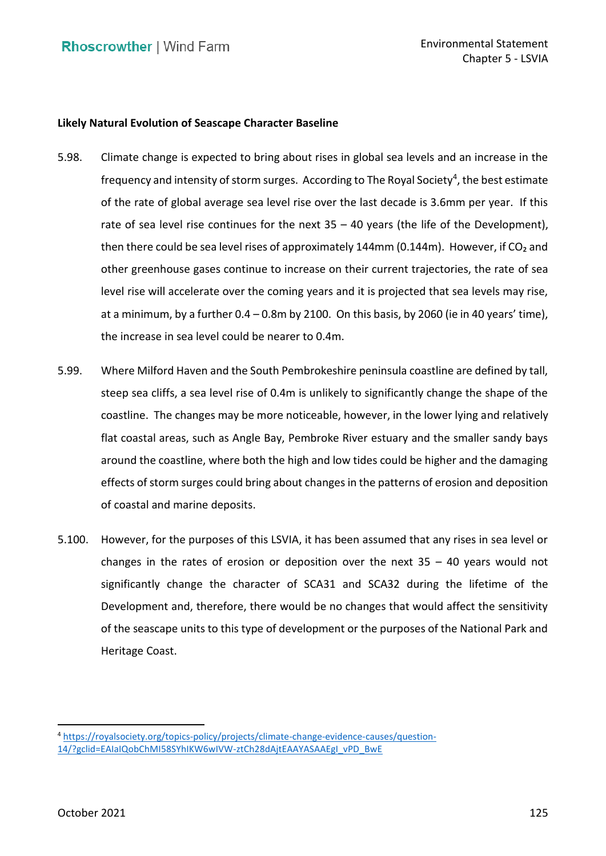# **Likely Natural Evolution of Seascape Character Baseline**

- 5.98. Climate change is expected to bring about rises in global sea levels and an increase in the frequency and intensity of storm surges. According to The Royal Society<sup>4</sup>, the best estimate of the rate of global average sea level rise over the last decade is 3.6mm per year. If this rate of sea level rise continues for the next 35 – 40 years (the life of the Development), then there could be sea level rises of approximately 144mm (0.144m). However, if CO<sub>2</sub> and other greenhouse gases continue to increase on their current trajectories, the rate of sea level rise will accelerate over the coming years and it is projected that sea levels may rise, at a minimum, by a further 0.4 – 0.8m by 2100. On this basis, by 2060 (ie in 40 years' time), the increase in sea level could be nearer to 0.4m.
- 5.99. Where Milford Haven and the South Pembrokeshire peninsula coastline are defined by tall, steep sea cliffs, a sea level rise of 0.4m is unlikely to significantly change the shape of the coastline. The changes may be more noticeable, however, in the lower lying and relatively flat coastal areas, such as Angle Bay, Pembroke River estuary and the smaller sandy bays around the coastline, where both the high and low tides could be higher and the damaging effects of storm surges could bring about changes in the patterns of erosion and deposition of coastal and marine deposits.
- 5.100. However, for the purposes of this LSVIA, it has been assumed that any rises in sea level or changes in the rates of erosion or deposition over the next 35 – 40 years would not significantly change the character of SCA31 and SCA32 during the lifetime of the Development and, therefore, there would be no changes that would affect the sensitivity of the seascape units to this type of development or the purposes of the National Park and Heritage Coast.

<sup>4</sup> [https://royalsociety.org/topics-policy/projects/climate-change-evidence-causes/question-](https://royalsociety.org/topics-policy/projects/climate-change-evidence-causes/question-14/?gclid=EAIaIQobChMI58SYhIKW6wIVW-ztCh28dAjtEAAYASAAEgI_vPD_BwE)[14/?gclid=EAIaIQobChMI58SYhIKW6wIVW-ztCh28dAjtEAAYASAAEgI\\_vPD\\_BwE](https://royalsociety.org/topics-policy/projects/climate-change-evidence-causes/question-14/?gclid=EAIaIQobChMI58SYhIKW6wIVW-ztCh28dAjtEAAYASAAEgI_vPD_BwE)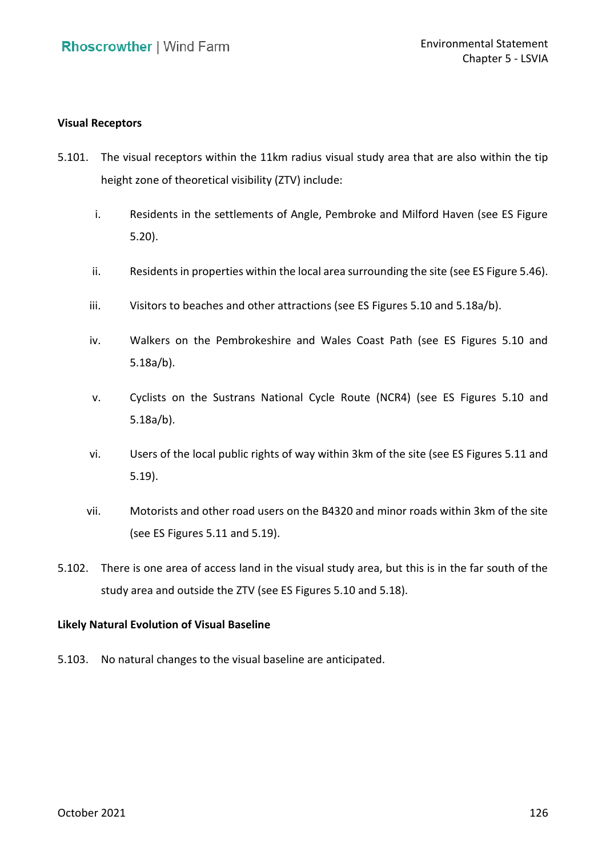## **Visual Receptors**

- 5.101. The visual receptors within the 11km radius visual study area that are also within the tip height zone of theoretical visibility (ZTV) include:
	- i. Residents in the settlements of Angle, Pembroke and Milford Haven (see ES Figure 5.20).
	- ii. Residents in properties within the local area surrounding the site (see ES Figure 5.46).
	- iii. Visitors to beaches and other attractions (see ES Figures 5.10 and 5.18a/b).
	- iv. Walkers on the Pembrokeshire and Wales Coast Path (see ES Figures 5.10 and  $5.18a/b$ ).
	- 5.18a/b). v. Cyclists on the Sustrans National Cycle Route (NCR4) (see ES Figures 5.10 and  $5.18a/b$ ).
	- 5.18a/b). vi. Users of the local public rights of way within 3km of the site (see ES Figures 5.11 and 5.19).
	- vii. Motorists and other road users on the B4320 and minor roads within 3km of the site (see ES Figures 5.11 and 5.19).
- 5.102. There is one area of access land in the visual study area, but this is in the far south of the study area and outside the ZTV (see ES Figures 5.10 and 5.18).

## **Likely Natural Evolution of Visual Baseline**

5.103. No natural changes to the visual baseline are anticipated.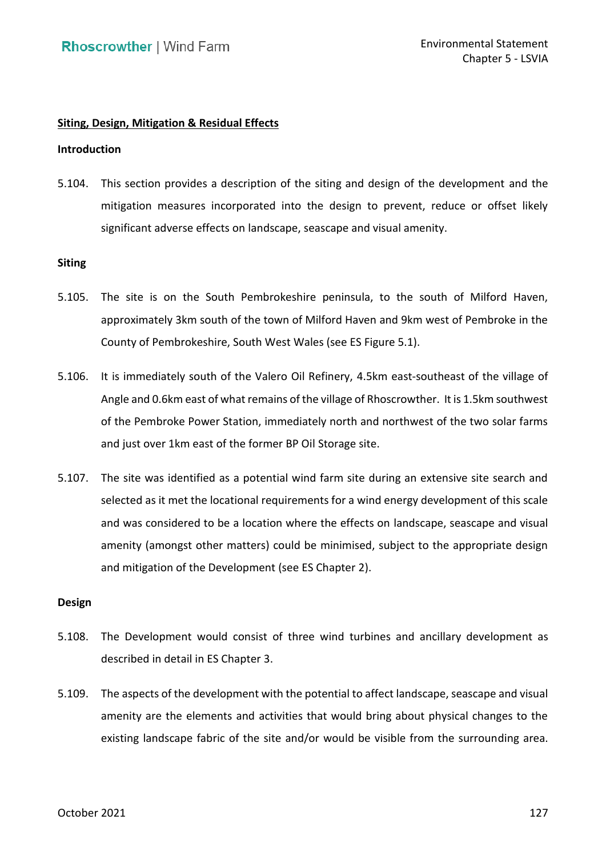# **Siting, Design, Mitigation & Residual Effects**

#### **Introduction**

 5.104. This section provides a description of the siting and design of the development and the mitigation measures incorporated into the design to prevent, reduce or offset likely significant adverse effects on landscape, seascape and visual amenity.

#### **Siting**

- 5.105. The site is on the South Pembrokeshire peninsula, to the south of Milford Haven, approximately 3km south of the town of Milford Haven and 9km west of Pembroke in the County of Pembrokeshire, South West Wales (see ES Figure 5.1).
- 5.106. It is immediately south of the Valero Oil Refinery, 4.5km east-southeast of the village of Angle and 0.6km east of what remains of the village of Rhoscrowther. It is 1.5km southwest of the Pembroke Power Station, immediately north and northwest of the two solar farms and just over 1km east of the former BP Oil Storage site.
- 5.107. The site was identified as a potential wind farm site during an extensive site search and selected as it met the locational requirements for a wind energy development of this scale and was considered to be a location where the effects on landscape, seascape and visual amenity (amongst other matters) could be minimised, subject to the appropriate design and mitigation of the Development (see ES Chapter 2).

#### **Design**

- 5.108. The Development would consist of three wind turbines and ancillary development as described in detail in ES Chapter 3.
- 5.109. The aspects of the development with the potential to affect landscape, seascape and visual amenity are the elements and activities that would bring about physical changes to the existing landscape fabric of the site and/or would be visible from the surrounding area.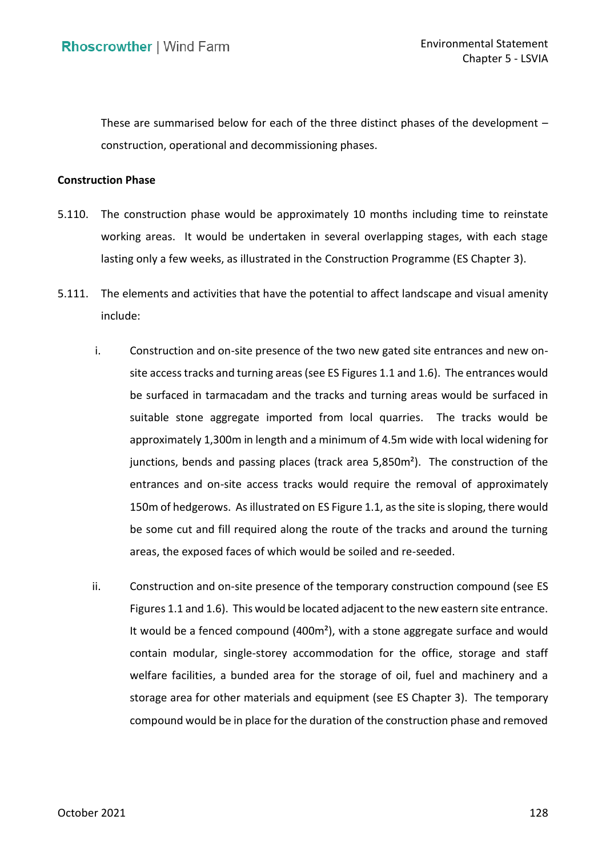These are summarised below for each of the three distinct phases of the development – construction, operational and decommissioning phases.

#### **Construction Phase**

- 5.110. The construction phase would be approximately 10 months including time to reinstate working areas. It would be undertaken in several overlapping stages, with each stage lasting only a few weeks, as illustrated in the Construction Programme (ES Chapter 3).
- <span id="page-44-0"></span> 5.111. The elements and activities that have the potential to affect landscape and visual amenity include:
	- i. Construction and on-site presence of the two new gated site entrances and new on- site access tracks and turning areas (see ES Figures 1.1 and 1.6). The entrances would be surfaced in tarmacadam and the tracks and turning areas would be surfaced in suitable stone aggregate imported from local quarries. The tracks would be approximately 1,300m in length and a minimum of 4.5m wide with local widening for junctions, bends and passing places (track area 5,850m²). The construction of the 150m of hedgerows. As illustrated on ES Figure 1.1, as the site is sloping, there would be some cut and fill required along the route of the tracks and around the turning areas, the exposed faces of which would be soiled and re-seeded. entrances and on-site access tracks would require the removal of approximately
	- ii. Construction and on-site presence of the temporary construction compound (see ES Figures 1.1 and 1.6). This would be located adjacent to the new eastern site entrance. It would be a fenced compound (400m<sup>2</sup>), with a stone aggregate surface and would contain modular, single-storey accommodation for the office, storage and staff welfare facilities, a bunded area for the storage of oil, fuel and machinery and a storage area for other materials and equipment (see ES Chapter 3). The temporary compound would be in place for the duration of the construction phase and removed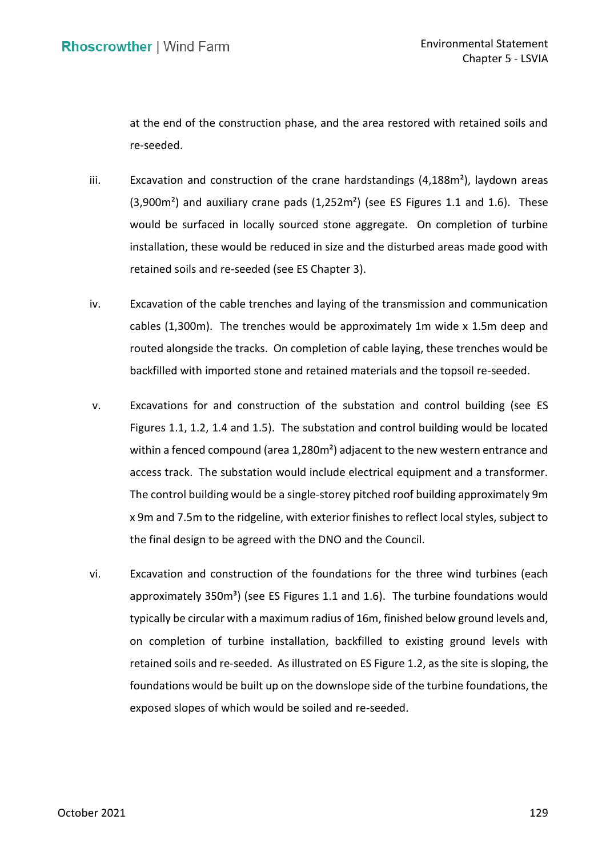at the end of the construction phase, and the area restored with retained soils and re-seeded.

- iii.  $E$  Excavation and construction of the crane hardstandings (4,188m<sup>2</sup>), laydown areas  $(3,900m<sup>2</sup>)$  and auxiliary crane pads  $(1,252m<sup>2</sup>)$  (see ES Figures 1.1 and 1.6). These would be surfaced in locally sourced stone aggregate. On completion of turbine installation, these would be reduced in size and the disturbed areas made good with retained soils and re-seeded (see ES Chapter 3).
- iv. Excavation of the cable trenches and laying of the transmission and communication cables (1,300m). The trenches would be approximately 1m wide x 1.5m deep and routed alongside the tracks. On completion of cable laying, these trenches would be backfilled with imported stone and retained materials and the topsoil re-seeded.
- v. Excavations for and construction of the substation and control building (see ES Figures 1.1, 1.2, 1.4 and 1.5). The substation and control building would be located within a fenced compound (area 1,280m<sup>2</sup>) adjacent to the new western entrance and access track. The substation would include electrical equipment and a transformer. The control building would be a single-storey pitched roof building approximately 9m x 9m and 7.5m to the ridgeline, with exterior finishes to reflect local styles, subject to the final design to be agreed with the DNO and the Council.
- vi. Excavation and construction of the foundations for the three wind turbines (each approximately 350 $m<sup>3</sup>$ ) (see ES Figures 1.1 and 1.6). The turbine foundations would typically be circular with a maximum radius of 16m, finished below ground levels and, on completion of turbine installation, backfilled to existing ground levels with retained soils and re-seeded. As illustrated on ES Figure 1.2, as the site is sloping, the foundations would be built up on the downslope side of the turbine foundations, the exposed slopes of which would be soiled and re-seeded.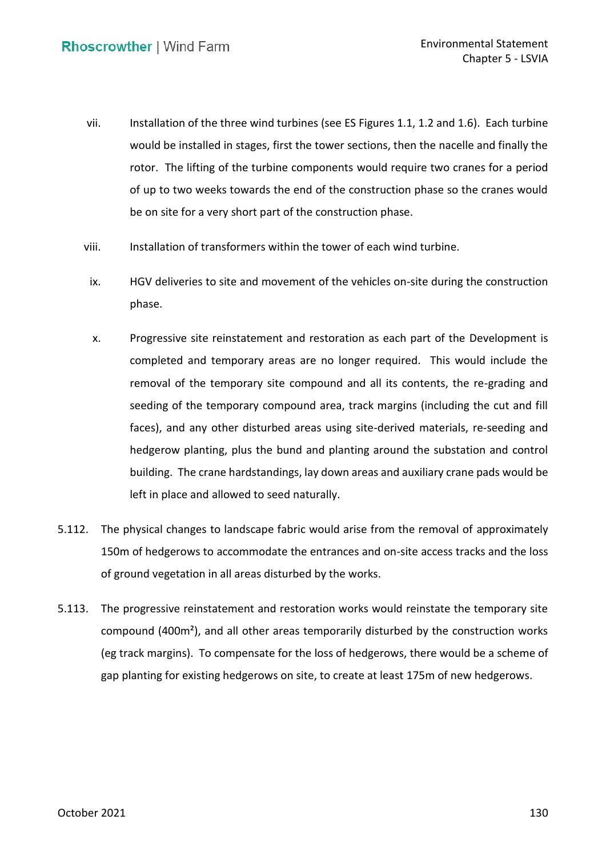- vii. Installation of the three wind turbines (see ES Figures 1.1, 1.2 and 1.6). Each turbine would be installed in stages, first the tower sections, then the nacelle and finally the of up to two weeks towards the end of the construction phase so the cranes would be on site for a very short part of the construction phase. rotor. The lifting of the turbine components would require two cranes for a period
- viii. Installation of transformers within the tower of each wind turbine.
- ix. HGV deliveries to site and movement of the vehicles on-site during the construction phase.
- x. Progressive site reinstatement and restoration as each part of the Development is completed and temporary areas are no longer required. This would include the removal of the temporary site compound and all its contents, the re-grading and seeding of the temporary compound area, track margins (including the cut and fill faces), and any other disturbed areas using site-derived materials, re-seeding and hedgerow planting, plus the bund and planting around the substation and control building. The crane hardstandings, lay down areas and auxiliary crane pads would be left in place and allowed to seed naturally.
- <span id="page-46-0"></span> 150m of hedgerows to accommodate the entrances and on-site access tracks and the loss of ground vegetation in all areas disturbed by the works. 5.112. The physical changes to landscape fabric would arise from the removal of approximately
- 5.113. The progressive reinstatement and restoration works would reinstate the temporary site compound (400m²), and all other areas temporarily disturbed by the construction works (eg track margins). To compensate for the loss of hedgerows, there would be a scheme of gap planting for existing hedgerows on site, to create at least 175m of new hedgerows.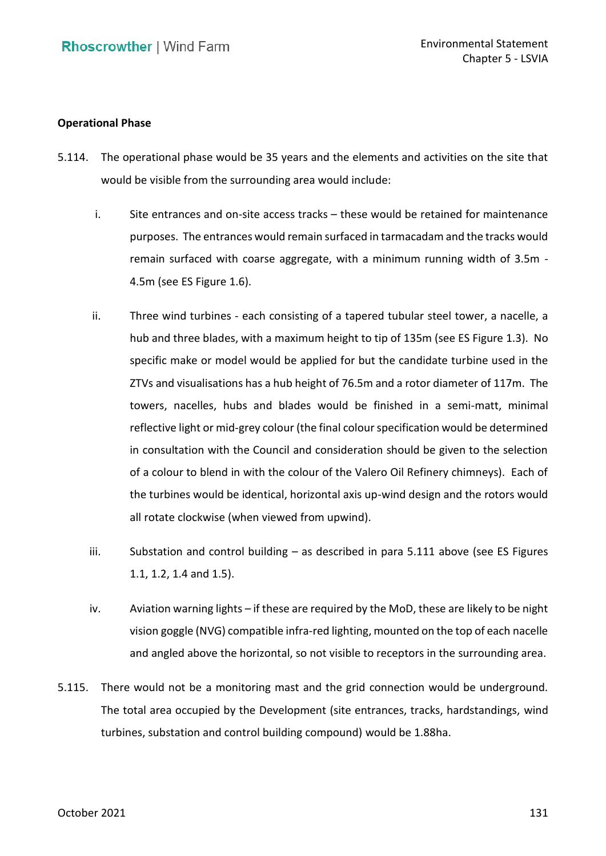## **Operational Phase**

- 5.114. The operational phase would be 35 years and the elements and activities on the site that would be visible from the surrounding area would include:
	- i. Site entrances and on-site access tracks these would be retained for maintenance purposes. The entrances would remain surfaced in tarmacadam and the tracks would remain surfaced with coarse aggregate, with a minimum running width of 3.5m - 4.5m (see ES Figure 1.6).
	- ii. Three wind turbines each consisting of a tapered tubular steel tower, a nacelle, a hub and three blades, with a maximum height to tip of 135m (see ES Figure 1.3). No specific make or model would be applied for but the candidate turbine used in the ZTVs and visualisations has a hub height of 76.5m and a rotor diameter of 117m. The towers, nacelles, hubs and blades would be finished in a semi-matt, minimal reflective light or mid-grey colour (the final colour specification would be determined in consultation with the Council and consideration should be given to the selection of a colour to blend in with the colour of the Valero Oil Refinery chimneys). Each of the turbines would be identical, horizontal axis up-wind design and the rotors would all rotate clockwise (when viewed from upwind).
	- iii. Substation and control building as described in para [5.111](#page-44-0) above (see ES Figures 1.1, 1.2, 1.4 and 1.5).
	- iv. Aviation warning lights if these are required by the MoD, these are likely to be night vision goggle (NVG) compatible infra-red lighting, mounted on the top of each nacelle and angled above the horizontal, so not visible to receptors in the surrounding area.
- 5.115. There would not be a monitoring mast and the grid connection would be underground. turbines, substation and control building compound) would be 1.88ha. The total area occupied by the Development (site entrances, tracks, hardstandings, wind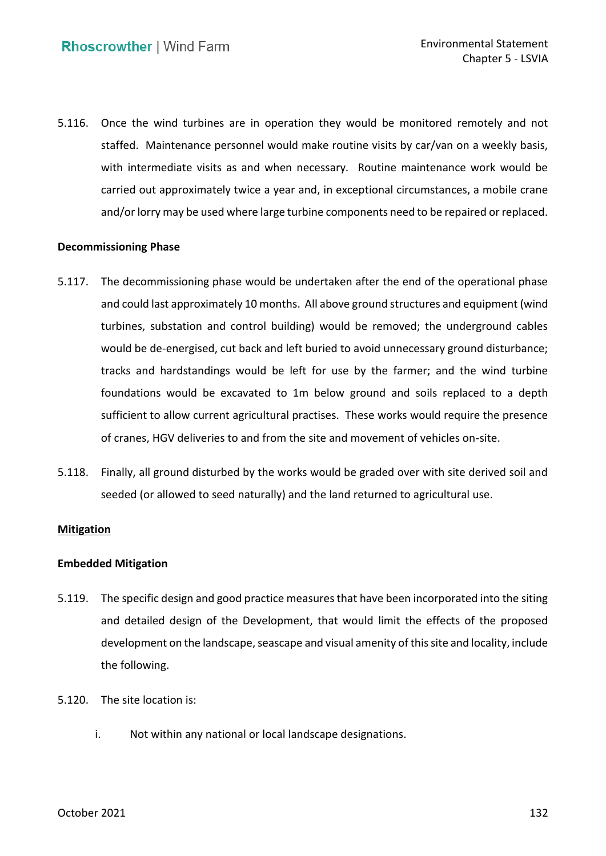5.116. Once the wind turbines are in operation they would be monitored remotely and not staffed. Maintenance personnel would make routine visits by car/van on a weekly basis, with intermediate visits as and when necessary. Routine maintenance work would be carried out approximately twice a year and, in exceptional circumstances, a mobile crane and/or lorry may be used where large turbine components need to be repaired or replaced.

## **Decommissioning Phase**

- 5.117. The decommissioning phase would be undertaken after the end of the operational phase and could last approximately 10 months. All above ground structures and equipment (wind turbines, substation and control building) would be removed; the underground cables would be de-energised, cut back and left buried to avoid unnecessary ground disturbance; tracks and hardstandings would be left for use by the farmer; and the wind turbine foundations would be excavated to 1m below ground and soils replaced to a depth sufficient to allow current agricultural practises. These works would require the presence of cranes, HGV deliveries to and from the site and movement of vehicles on-site.
- 5.118. Finally, all ground disturbed by the works would be graded over with site derived soil and seeded (or allowed to seed naturally) and the land returned to agricultural use.

### **Mitigation**

### **Embedded Mitigation**

- 5.119. The specific design and good practice measures that have been incorporated into the siting and detailed design of the Development, that would limit the effects of the proposed development on the landscape, seascape and visual amenity of this site and locality, include the following.
- 5.120. The site location is:
	- i. Not within any national or local landscape designations.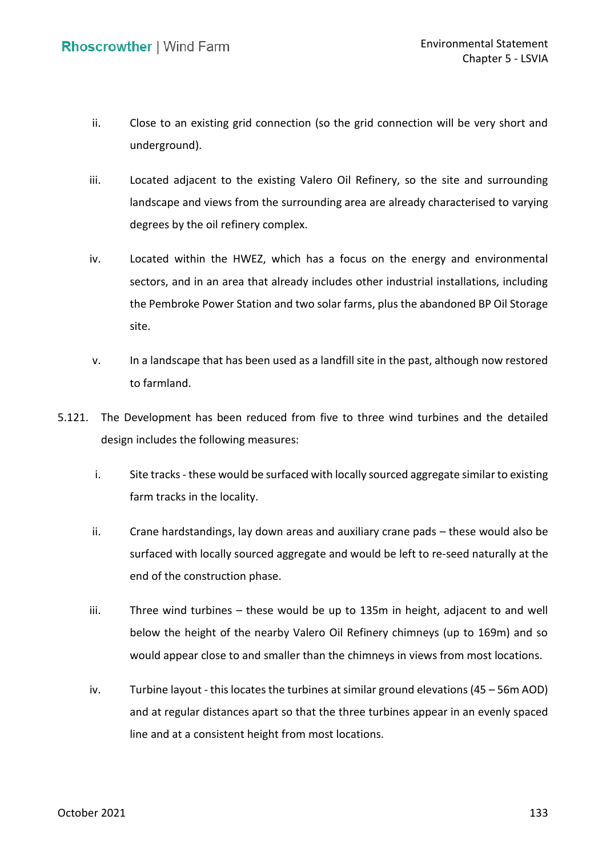- ii. Close to an existing grid connection (so the grid connection will be very short and underground).
- underground).<br>iii. Located adjacent to the existing Valero Oil Refinery, so the site and surrounding landscape and views from the surrounding area are already characterised to varying degrees by the oil refinery complex.
- iv. Located within the HWEZ, which has a focus on the energy and environmental sectors, and in an area that already includes other industrial installations, including the Pembroke Power Station and two solar farms, plus the abandoned BP Oil Storage site.
- v. In a landscape that has been used as a landfill site in the past, although now restored to farmland.
- 5.121. The Development has been reduced from five to three wind turbines and the detailed design includes the following measures:
	- i. Site tracks these would be surfaced with locally sourced aggregate similar to existing farm tracks in the locality.
	- ii. Crane hardstandings, lay down areas and auxiliary crane pads these would also be surfaced with locally sourced aggregate and would be left to re-seed naturally at the end of the construction phase.
	- iii. Three wind turbines these would be up to 135m in height, adjacent to and well below the height of the nearby Valero Oil Refinery chimneys (up to 169m) and so would appear close to and smaller than the chimneys in views from most locations.
	- and at regular distances apart so that the three turbines appear in an evenly spaced line and at a consistent height from most locations. iv. Turbine layout - this locates the turbines at similar ground elevations (45 – 56m AOD)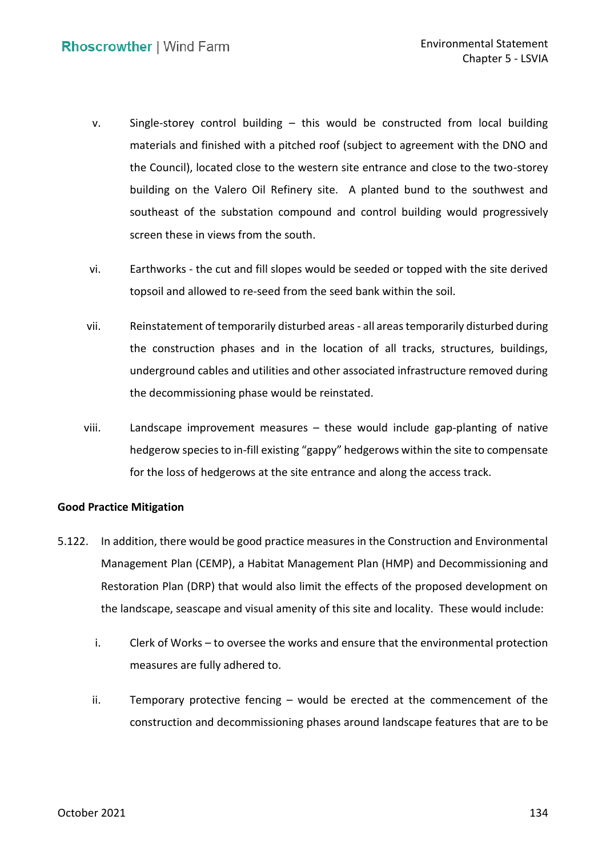- v. Single-storey control building this would be constructed from local building materials and finished with a pitched roof (subject to agreement with the DNO and the Council), located close to the western site entrance and close to the two-storey building on the Valero Oil Refinery site. A planted bund to the southwest and southeast of the substation compound and control building would progressively screen these in views from the south.
- vi. Earthworks the cut and fill slopes would be seeded or topped with the site derived topsoil and allowed to re-seed from the seed bank within the soil.
- vii. Reinstatement of temporarily disturbed areas all areas temporarily disturbed during the construction phases and in the location of all tracks, structures, buildings, underground cables and utilities and other associated infrastructure removed during the decommissioning phase would be reinstated.
- viii. Landscape improvement measures these would include gap-planting of native hedgerow species to in-fill existing "gappy" hedgerows within the site to compensate for the loss of hedgerows at the site entrance and along the access track.

# **Good Practice Mitigation**

- 5.122. In addition, there would be good practice measures in the Construction and Environmental Management Plan (CEMP), a Habitat Management Plan (HMP) and Decommissioning and Restoration Plan (DRP) that would also limit the effects of the proposed development on the landscape, seascape and visual amenity of this site and locality. These would include:
	- i. Clerk of Works to oversee the works and ensure that the environmental protection measures are fully adhered to.
	- ii. Temporary protective fencing would be erected at the commencement of the construction and decommissioning phases around landscape features that are to be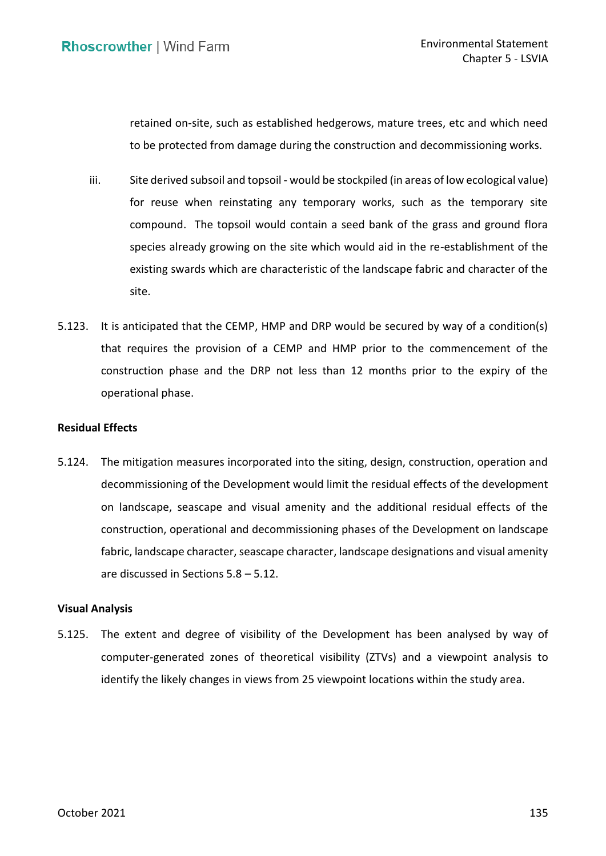retained on-site, such as established hedgerows, mature trees, etc and which need to be protected from damage during the construction and decommissioning works.

- iii. Site derived subsoil and topsoil would be stockpiled (in areas of low ecological value) for reuse when reinstating any temporary works, such as the temporary site compound. The topsoil would contain a seed bank of the grass and ground flora species already growing on the site which would aid in the re-establishment of the existing swards which are characteristic of the landscape fabric and character of the site.
- 5.123. It is anticipated that the CEMP, HMP and DRP would be secured by way of a condition(s) that requires the provision of a CEMP and HMP prior to the commencement of the construction phase and the DRP not less than 12 months prior to the expiry of the operational phase.

## **Residual Effects**

 5.124. The mitigation measures incorporated into the siting, design, construction, operation and decommissioning of the Development would limit the residual effects of the development on landscape, seascape and visual amenity and the additional residual effects of the fabric, landscape character, seascape character, landscape designations and visual amenity are discussed in Sections 5.8 – 5.12. construction, operational and decommissioning phases of the Development on landscape

### **Visual Analysis**

 5.125. The extent and degree of visibility of the Development has been analysed by way of computer-generated zones of theoretical visibility (ZTVs) and a viewpoint analysis to identify the likely changes in views from 25 viewpoint locations within the study area.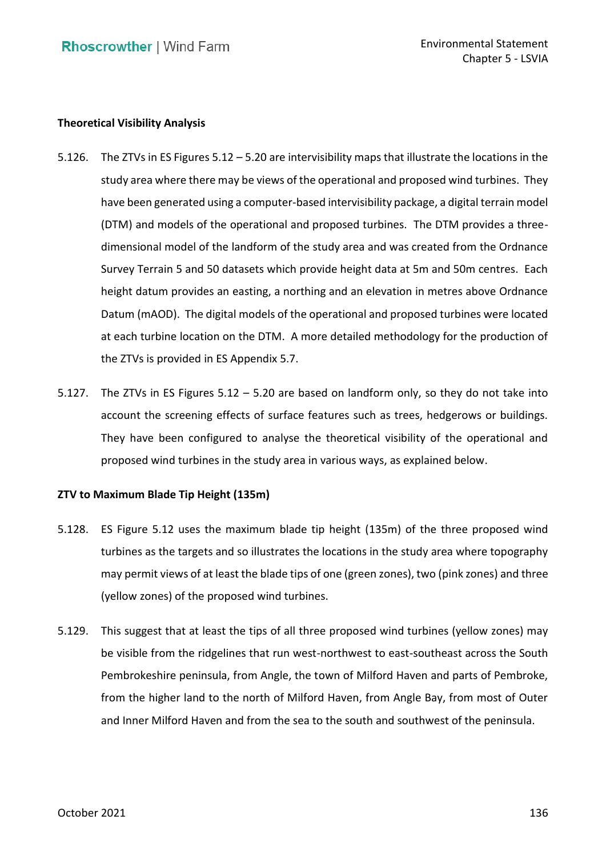## **Theoretical Visibility Analysis**

- 5.126. The ZTVs in ES Figures 5.12 5.20 are intervisibility maps that illustrate the locations in the study area where there may be views of the operational and proposed wind turbines. They have been generated using a computer-based intervisibility package, a digital terrain model (DTM) and models of the operational and proposed turbines. The DTM provides a three- dimensional model of the landform of the study area and was created from the Ordnance Survey Terrain 5 and 50 datasets which provide height data at 5m and 50m centres. Each height datum provides an easting, a northing and an elevation in metres above Ordnance Datum (mAOD). The digital models of the operational and proposed turbines were located at each turbine location on the DTM. A more detailed methodology for the production of the ZTVs is provided in ES Appendix 5.7.
- 5.127. The ZTVs in ES Figures 5.12 5.20 are based on landform only, so they do not take into account the screening effects of surface features such as trees, hedgerows or buildings. They have been configured to analyse the theoretical visibility of the operational and proposed wind turbines in the study area in various ways, as explained below.

# **ZTV to Maximum Blade Tip Height (135m)**

- 5.128. ES Figure 5.12 uses the maximum blade tip height (135m) of the three proposed wind turbines as the targets and so illustrates the locations in the study area where topography may permit views of at least the blade tips of one (green zones), two (pink zones) and three (yellow zones) of the proposed wind turbines.
- 5.129. This suggest that at least the tips of all three proposed wind turbines (yellow zones) may be visible from the ridgelines that run west-northwest to east-southeast across the South Pembrokeshire peninsula, from Angle, the town of Milford Haven and parts of Pembroke, from the higher land to the north of Milford Haven, from Angle Bay, from most of Outer and Inner Milford Haven and from the sea to the south and southwest of the peninsula.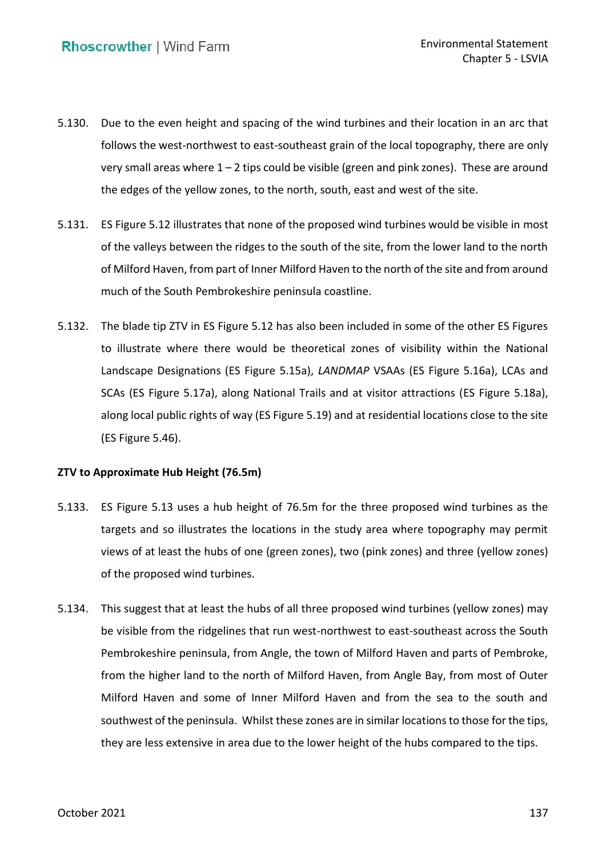- 5.130. Due to the even height and spacing of the wind turbines and their location in an arc that follows the west-northwest to east-southeast grain of the local topography, there are only very small areas where 1 – 2 tips could be visible (green and pink zones). These are around the edges of the yellow zones, to the north, south, east and west of the site.
- 5.131. ES Figure 5.12 illustrates that none of the proposed wind turbines would be visible in most of the valleys between the ridges to the south of the site, from the lower land to the north of Milford Haven, from part of Inner Milford Haven to the north of the site and from around much of the South Pembrokeshire peninsula coastline.
- 5.132. The blade tip ZTV in ES Figure 5.12 has also been included in some of the other ES Figures to illustrate where there would be theoretical zones of visibility within the National SCAs (ES Figure 5.17a), along National Trails and at visitor attractions (ES Figure 5.18a), along local public rights of way (ES Figure 5.19) and at residential locations close to the site Landscape Designations (ES Figure 5.15a), *LANDMAP* VSAAs (ES Figure 5.16a), LCAs and (ES Figure 5.46).

### **ZTV to Approximate Hub Height (76.5m)**

- 5.133. ES Figure 5.13 uses a hub height of 76.5m for the three proposed wind turbines as the targets and so illustrates the locations in the study area where topography may permit views of at least the hubs of one (green zones), two (pink zones) and three (yellow zones) of the proposed wind turbines.
- 5.134. This suggest that at least the hubs of all three proposed wind turbines (yellow zones) may be visible from the ridgelines that run west-northwest to east-southeast across the South Pembrokeshire peninsula, from Angle, the town of Milford Haven and parts of Pembroke, from the higher land to the north of Milford Haven, from Angle Bay, from most of Outer Milford Haven and some of Inner Milford Haven and from the sea to the south and southwest of the peninsula. Whilst these zones are in similar locations to those for the tips, they are less extensive in area due to the lower height of the hubs compared to the tips.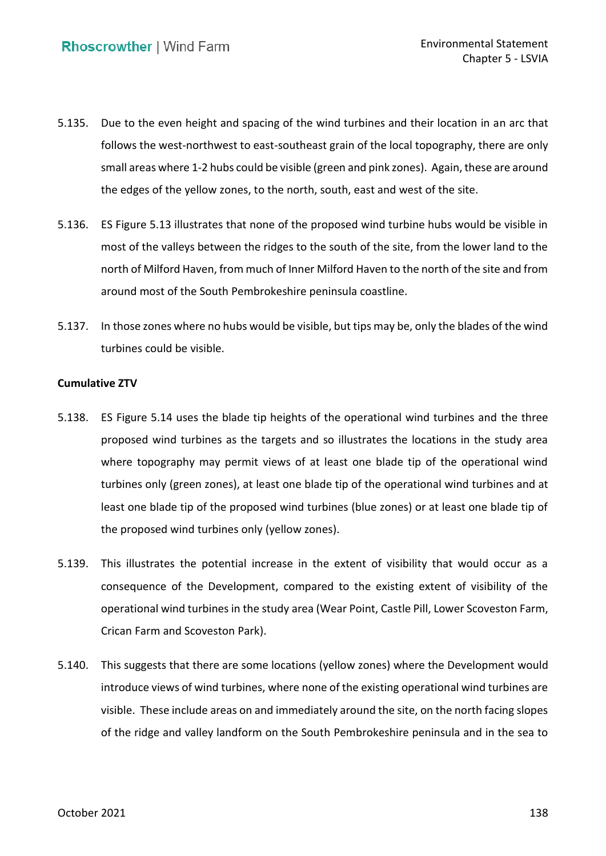- 5.135. Due to the even height and spacing of the wind turbines and their location in an arc that follows the west-northwest to east-southeast grain of the local topography, there are only small areas where 1-2 hubs could be visible (green and pink zones). Again, these are around the edges of the yellow zones, to the north, south, east and west of the site.
- 5.136. ES Figure 5.13 illustrates that none of the proposed wind turbine hubs would be visible in most of the valleys between the ridges to the south of the site, from the lower land to the north of Milford Haven, from much of Inner Milford Haven to the north of the site and from around most of the South Pembrokeshire peninsula coastline.
- 5.137. In those zones where no hubs would be visible, but tips may be, only the blades of the wind turbines could be visible.

## **Cumulative ZTV**

- 5.138. ES Figure 5.14 uses the blade tip heights of the operational wind turbines and the three proposed wind turbines as the targets and so illustrates the locations in the study area where topography may permit views of at least one blade tip of the operational wind turbines only (green zones), at least one blade tip of the operational wind turbines and at least one blade tip of the proposed wind turbines (blue zones) or at least one blade tip of the proposed wind turbines only (yellow zones).
- 5.139. This illustrates the potential increase in the extent of visibility that would occur as a consequence of the Development, compared to the existing extent of visibility of the operational wind turbines in the study area (Wear Point, Castle Pill, Lower Scoveston Farm, Crican Farm and Scoveston Park).
- 5.140. This suggests that there are some locations (yellow zones) where the Development would introduce views of wind turbines, where none of the existing operational wind turbines are visible. These include areas on and immediately around the site, on the north facing slopes of the ridge and valley landform on the South Pembrokeshire peninsula and in the sea to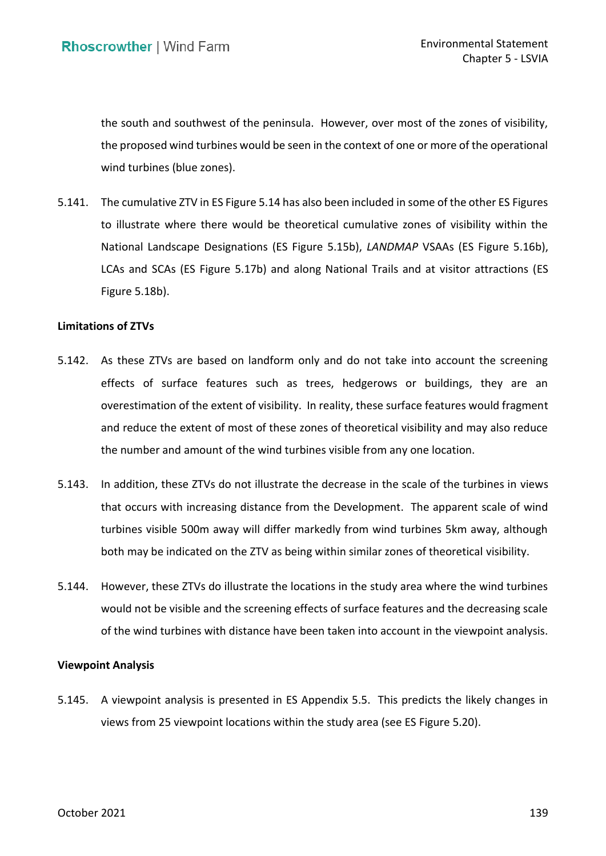the south and southwest of the peninsula. However, over most of the zones of visibility, the proposed wind turbines would be seen in the context of one or more of the operational wind turbines (blue zones).

 5.141. The cumulative ZTV in ES Figure 5.14 has also been included in some of the other ES Figures to illustrate where there would be theoretical cumulative zones of visibility within the National Landscape Designations (ES Figure 5.15b), *LANDMAP* VSAAs (ES Figure 5.16b), LCAs and SCAs (ES Figure 5.17b) and along National Trails and at visitor attractions (ES Figure 5.18b).

#### **Limitations of ZTVs**

- 5.142. As these ZTVs are based on landform only and do not take into account the screening effects of surface features such as trees, hedgerows or buildings, they are an overestimation of the extent of visibility. In reality, these surface features would fragment and reduce the extent of most of these zones of theoretical visibility and may also reduce the number and amount of the wind turbines visible from any one location.
- 5.143. In addition, these ZTVs do not illustrate the decrease in the scale of the turbines in views that occurs with increasing distance from the Development. The apparent scale of wind turbines visible 500m away will differ markedly from wind turbines 5km away, although both may be indicated on the ZTV as being within similar zones of theoretical visibility.
- 5.144. However, these ZTVs do illustrate the locations in the study area where the wind turbines would not be visible and the screening effects of surface features and the decreasing scale of the wind turbines with distance have been taken into account in the viewpoint analysis.

### **Viewpoint Analysis**

 5.145. A viewpoint analysis is presented in ES Appendix 5.5. This predicts the likely changes in views from 25 viewpoint locations within the study area (see ES Figure 5.20).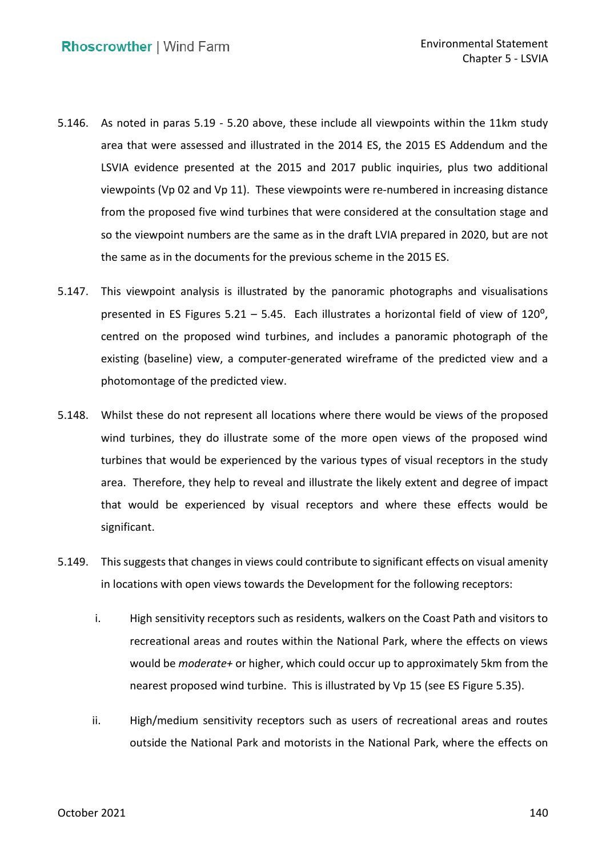- 5.146. As noted in paras [5.19](#page-6-0)  [5.20](#page-6-1) above, these include all viewpoints within the 11km study area that were assessed and illustrated in the 2014 ES, the 2015 ES Addendum and the LSVIA evidence presented at the 2015 and 2017 public inquiries, plus two additional viewpoints (Vp 02 and Vp 11). These viewpoints were re-numbered in increasing distance from the proposed five wind turbines that were considered at the consultation stage and so the viewpoint numbers are the same as in the draft LVIA prepared in 2020, but are not the same as in the documents for the previous scheme in the 2015 ES.
- 5.147. This viewpoint analysis is illustrated by the panoramic photographs and visualisations presented in ES Figures 5.21 – 5.45. Each illustrates a horizontal field of view of 120 $^{\circ}$ , centred on the proposed wind turbines, and includes a panoramic photograph of the existing (baseline) view, a computer-generated wireframe of the predicted view and a photomontage of the predicted view.
- 5.148. Whilst these do not represent all locations where there would be views of the proposed wind turbines, they do illustrate some of the more open views of the proposed wind turbines that would be experienced by the various types of visual receptors in the study area. Therefore, they help to reveal and illustrate the likely extent and degree of impact that would be experienced by visual receptors and where these effects would be significant.
- 5.149. This suggests that changes in views could contribute to significant effects on visual amenity in locations with open views towards the Development for the following receptors:
	- i. High sensitivity receptors such as residents, walkers on the Coast Path and visitors to recreational areas and routes within the National Park, where the effects on views would be *moderate+* or higher, which could occur up to approximately 5km from the nearest proposed wind turbine. This is illustrated by Vp 15 (see ES Figure 5.35).
	- ii. High/medium sensitivity receptors such as users of recreational areas and routes outside the National Park and motorists in the National Park, where the effects on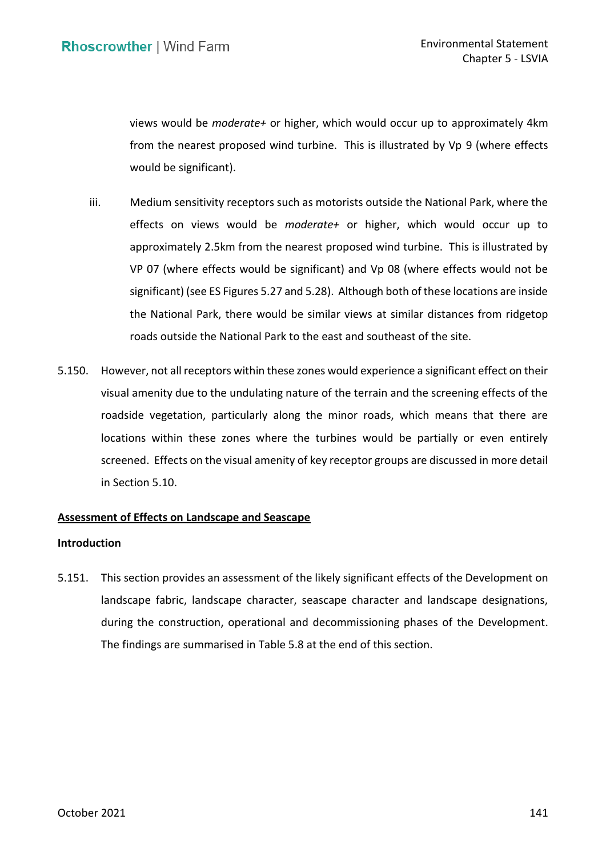views would be *moderate+* or higher, which would occur up to approximately 4km from the nearest proposed wind turbine. This is illustrated by Vp 9 (where effects would be significant).

- would be significant).<br>iii. Medium sensitivity receptors such as motorists outside the National Park, where the effects on views would be *moderate+* or higher, which would occur up to approximately 2.5km from the nearest proposed wind turbine. This is illustrated by VP 07 (where effects would be significant) and Vp 08 (where effects would not be significant) (see ES Figures 5.27 and 5.28). Although both of these locations are inside the National Park, there would be similar views at similar distances from ridgetop roads outside the National Park to the east and southeast of the site.
- 5.150. However, not all receptors within these zones would experience a significant effect on their visual amenity due to the undulating nature of the terrain and the screening effects of the roadside vegetation, particularly along the minor roads, which means that there are locations within these zones where the turbines would be partially or even entirely screened. Effects on the visual amenity of key receptor groups are discussed in more detail in Section 5.10.

### **Assessment of Effects on Landscape and Seascape**

### **Introduction**

 5.151. This section provides an assessment of the likely significant effects of the Development on landscape fabric, landscape character, seascape character and landscape designations, during the construction, operational and decommissioning phases of the Development. The findings are summarised in Table 5.8 at the end of this section.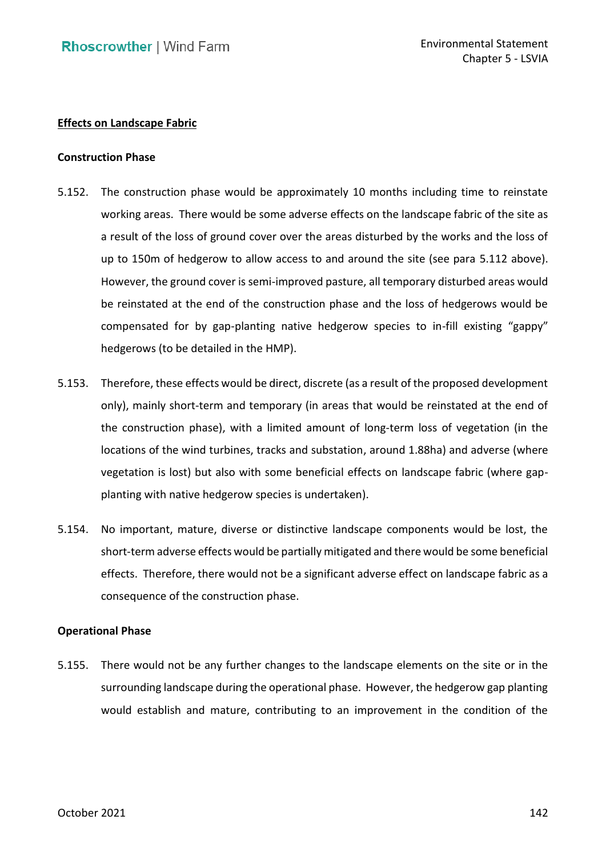## **Effects on Landscape Fabric**

#### **Construction Phase**

- 5.152. The construction phase would be approximately 10 months including time to reinstate working areas. There would be some adverse effects on the landscape fabric of the site as a result of the loss of ground cover over the areas disturbed by the works and the loss of up to 150m of hedgerow to allow access to and around the site (see para [5.112](#page-46-0) above). However, the ground cover is semi-improved pasture, all temporary disturbed areas would be reinstated at the end of the construction phase and the loss of hedgerows would be compensated for by gap-planting native hedgerow species to in-fill existing "gappy" hedgerows (to be detailed in the HMP).
- 5.153. Therefore, these effects would be direct, discrete (as a result of the proposed development only), mainly short-term and temporary (in areas that would be reinstated at the end of the construction phase), with a limited amount of long-term loss of vegetation (in the locations of the wind turbines, tracks and substation, around 1.88ha) and adverse (where vegetation is lost) but also with some beneficial effects on landscape fabric (where gap-planting with native hedgerow species is undertaken).
- 5.154. No important, mature, diverse or distinctive landscape components would be lost, the short-term adverse effects would be partially mitigated and there would be some beneficial effects. Therefore, there would not be a significant adverse effect on landscape fabric as a consequence of the construction phase.

### **Operational Phase**

 5.155. There would not be any further changes to the landscape elements on the site or in the surrounding landscape during the operational phase. However, the hedgerow gap planting would establish and mature, contributing to an improvement in the condition of the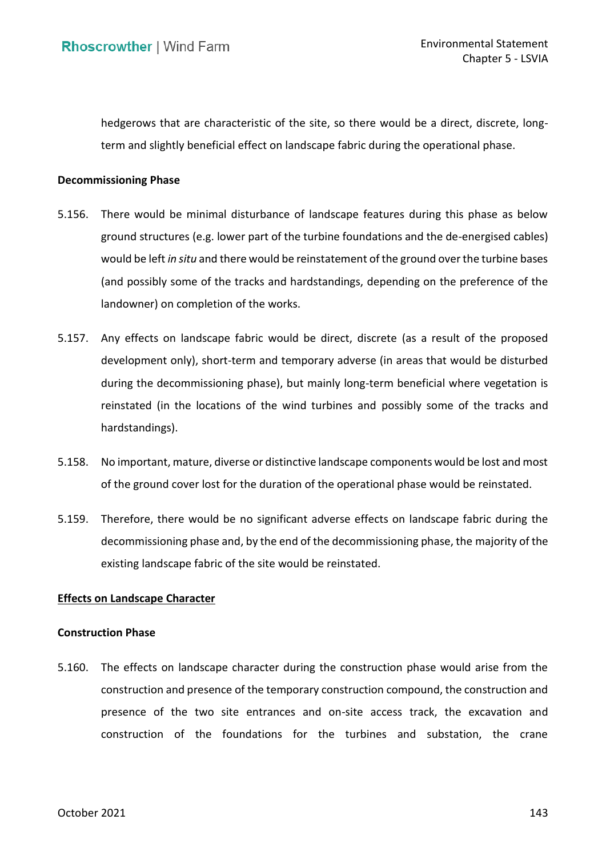hedgerows that are characteristic of the site, so there would be a direct, discrete, long-term and slightly beneficial effect on landscape fabric during the operational phase.

#### **Decommissioning Phase**

- ground structures (e.g. lower part of the turbine foundations and the de-energised cables) would be left *in situ* and there would be reinstatement of the ground over the turbine bases (and possibly some of the tracks and hardstandings, depending on the preference of the landowner) on completion of the works. 5.156. There would be minimal disturbance of landscape features during this phase as below
- 5.157. Any effects on landscape fabric would be direct, discrete (as a result of the proposed development only), short-term and temporary adverse (in areas that would be disturbed during the decommissioning phase), but mainly long-term beneficial where vegetation is reinstated (in the locations of the wind turbines and possibly some of the tracks and hardstandings).
- hardstandings). 5.158. No important, mature, diverse or distinctive landscape components would be lost and most of the ground cover lost for the duration of the operational phase would be reinstated.
- 5.159. Therefore, there would be no significant adverse effects on landscape fabric during the decommissioning phase and, by the end of the decommissioning phase, the majority of the existing landscape fabric of the site would be reinstated.

## **Effects on Landscape Character**

### **Construction Phase**

 5.160. The effects on landscape character during the construction phase would arise from the construction and presence of the temporary construction compound, the construction and presence of the two site entrances and on-site access track, the excavation and construction of the foundations for the turbines and substation, the crane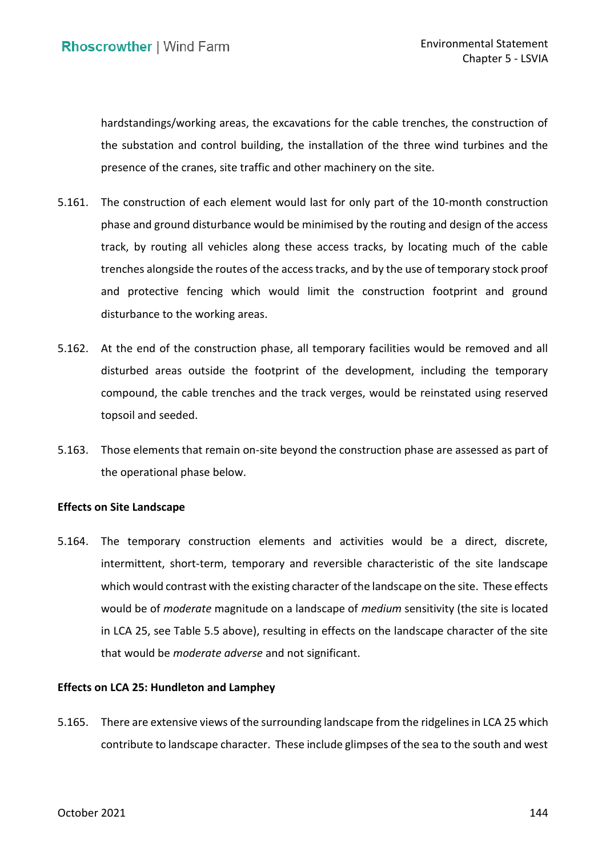hardstandings/working areas, the excavations for the cable trenches, the construction of the substation and control building, the installation of the three wind turbines and the presence of the cranes, site traffic and other machinery on the site.

- 5.161. The construction of each element would last for only part of the 10-month construction phase and ground disturbance would be minimised by the routing and design of the access track, by routing all vehicles along these access tracks, by locating much of the cable trenches alongside the routes of the access tracks, and by the use of temporary stock proof and protective fencing which would limit the construction footprint and ground disturbance to the working areas.
- 5.162. At the end of the construction phase, all temporary facilities would be removed and all compound, the cable trenches and the track verges, would be reinstated using reserved topsoil and seeded. disturbed areas outside the footprint of the development, including the temporary
- 5.163. Those elements that remain on-site beyond the construction phase are assessed as part of the operational phase below.

# **Effects on Site Landscape**

 5.164. The temporary construction elements and activities would be a direct, discrete, intermittent, short-term, temporary and reversible characteristic of the site landscape which would contrast with the existing character of the landscape on the site. These effects would be of *moderate* magnitude on a landscape of *medium* sensitivity (the site is located in LCA 25, see Table 5.5 above), resulting in effects on the landscape character of the site that would be *moderate adverse* and not significant.

## **Effects on LCA 25: Hundleton and Lamphey**

<span id="page-60-0"></span> 5.165. There are extensive views of the surrounding landscape from the ridgelines in LCA 25 which contribute to landscape character. These include glimpses of the sea to the south and west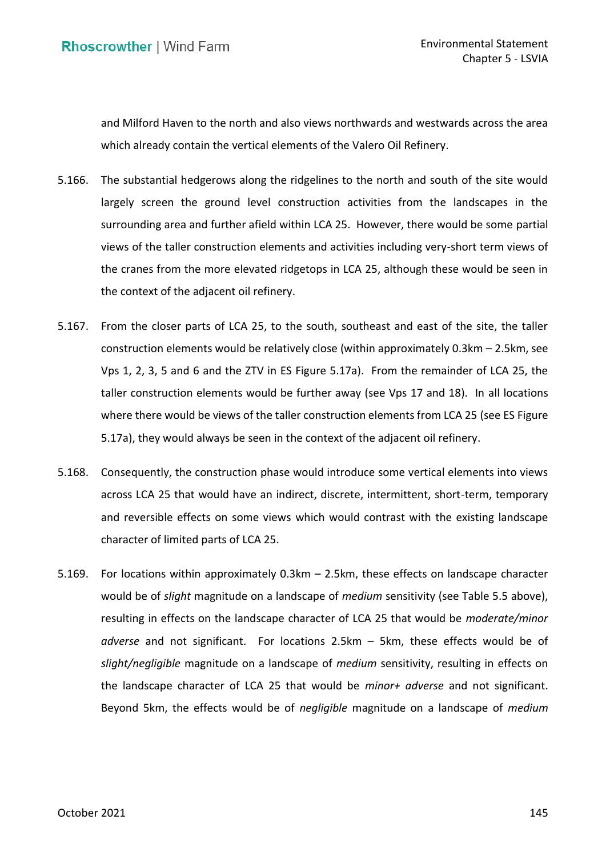and Milford Haven to the north and also views northwards and westwards across the area which already contain the vertical elements of the Valero Oil Refinery.

- 5.166. The substantial hedgerows along the ridgelines to the north and south of the site would largely screen the ground level construction activities from the landscapes in the surrounding area and further afield within LCA 25. However, there would be some partial views of the taller construction elements and activities including very-short term views of the cranes from the more elevated ridgetops in LCA 25, although these would be seen in the context of the adjacent oil refinery.
- 5.167. From the closer parts of LCA 25, to the south, southeast and east of the site, the taller construction elements would be relatively close (within approximately 0.3km – 2.5km, see Vps 1, 2, 3, 5 and 6 and the ZTV in ES Figure 5.17a). From the remainder of LCA 25, the taller construction elements would be further away (see Vps 17 and 18). In all locations where there would be views of the taller construction elements from LCA 25 (see ES Figure 5.17a), they would always be seen in the context of the adjacent oil refinery.
- 5.168. Consequently, the construction phase would introduce some vertical elements into views across LCA 25 that would have an indirect, discrete, intermittent, short-term, temporary and reversible effects on some views which would contrast with the existing landscape character of limited parts of LCA 25.
- would be of *slight* magnitude on a landscape of *medium* sensitivity (see Table 5.5 above), resulting in effects on the landscape character of LCA 25 that would be *moderate/minor adverse* and not significant. For locations 2.5km – 5km, these effects would be of *slight/negligible* magnitude on a landscape of *medium* sensitivity, resulting in effects on the landscape character of LCA 25 that would be *minor+ adverse* and not significant. Beyond 5km, the effects would be of *negligible* magnitude on a landscape of *medium*  5.169. For locations within approximately 0.3km – 2.5km, these effects on landscape character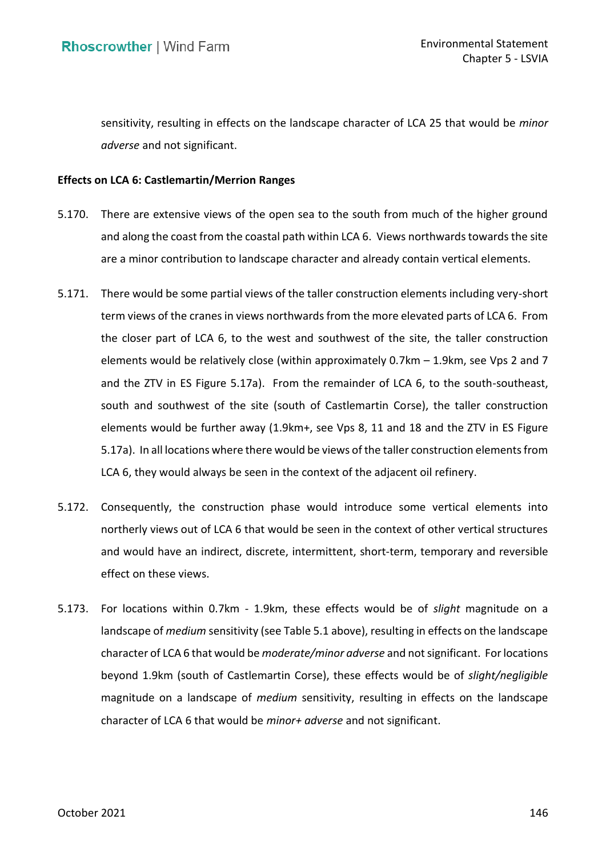sensitivity, resulting in effects on the landscape character of LCA 25 that would be *minor adverse* and not significant.

## **Effects on LCA 6: Castlemartin/Merrion Ranges**

- 5.170. There are extensive views of the open sea to the south from much of the higher ground and along the coast from the coastal path within LCA 6. Views northwards towards the site are a minor contribution to landscape character and already contain vertical elements.
- term views of the cranes in views northwards from the more elevated parts of LCA 6. From the closer part of LCA 6, to the west and southwest of the site, the taller construction elements would be relatively close (within approximately 0.7km – 1.9km, see Vps 2 and 7 and the ZTV in ES Figure 5.17a). From the remainder of LCA 6, to the south-southeast, south and southwest of the site (south of Castlemartin Corse), the taller construction elements would be further away (1.9km+, see Vps 8, 11 and 18 and the ZTV in ES Figure 5.17a). In all locations where there would be views of the taller construction elements from LCA 6, they would always be seen in the context of the adjacent oil refinery. 5.171. There would be some partial views of the taller construction elements including very-short
- northerly views out of LCA 6 that would be seen in the context of other vertical structures and would have an indirect, discrete, intermittent, short-term, temporary and reversible effect on these views. 5.172. Consequently, the construction phase would introduce some vertical elements into
- 5.173. For locations within 0.7km 1.9km, these effects would be of *slight* magnitude on a landscape of *medium* sensitivity (see Table 5.1 above), resulting in effects on the landscape character of LCA 6 that would be *moderate/minor adverse* and not significant. For locations beyond 1.9km (south of Castlemartin Corse), these effects would be of *slight/negligible*  magnitude on a landscape of *medium* sensitivity, resulting in effects on the landscape character of LCA 6 that would be *minor+ adverse* and not significant.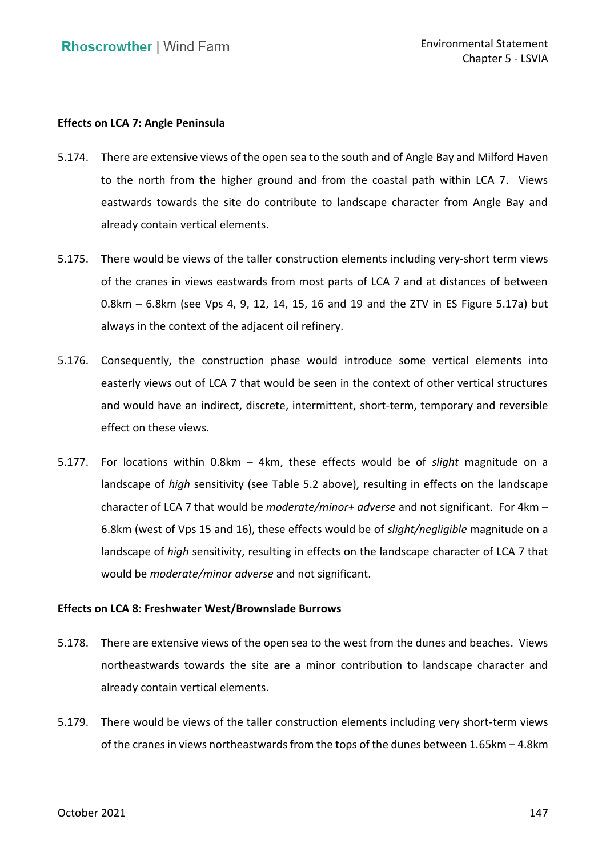# **Effects on LCA 7: Angle Peninsula**

- 5.174. There are extensive views of the open sea to the south and of Angle Bay and Milford Haven to the north from the higher ground and from the coastal path within LCA 7. Views eastwards towards the site do contribute to landscape character from Angle Bay and already contain vertical elements.
- 5.175. There would be views of the taller construction elements including very-short term views of the cranes in views eastwards from most parts of LCA 7 and at distances of between 0.8km – 6.8km (see Vps 4, 9, 12, 14, 15, 16 and 19 and the ZTV in ES Figure 5.17a) but always in the context of the adjacent oil refinery.
- easterly views out of LCA 7 that would be seen in the context of other vertical structures and would have an indirect, discrete, intermittent, short-term, temporary and reversible effect on these views. 5.176. Consequently, the construction phase would introduce some vertical elements into
- 5.177. For locations within 0.8km 4km, these effects would be of *slight* magnitude on a landscape of *high* sensitivity (see Table 5.2 above), resulting in effects on the landscape character of LCA 7 that would be *moderate/minor+ adverse* and not significant. For 4km – 6.8km (west of Vps 15 and 16), these effects would be of *slight/negligible* magnitude on a landscape of *high* sensitivity, resulting in effects on the landscape character of LCA 7 that would be *moderate/minor adverse* and not significant.

## **Effects on LCA 8: Freshwater West/Brownslade Burrows**

- 5.178. There are extensive views of the open sea to the west from the dunes and beaches. Views northeastwards towards the site are a minor contribution to landscape character and already contain vertical elements.
- 5.179. There would be views of the taller construction elements including very short-term views of the cranes in views northeastwards from the tops of the dunes between 1.65km – 4.8km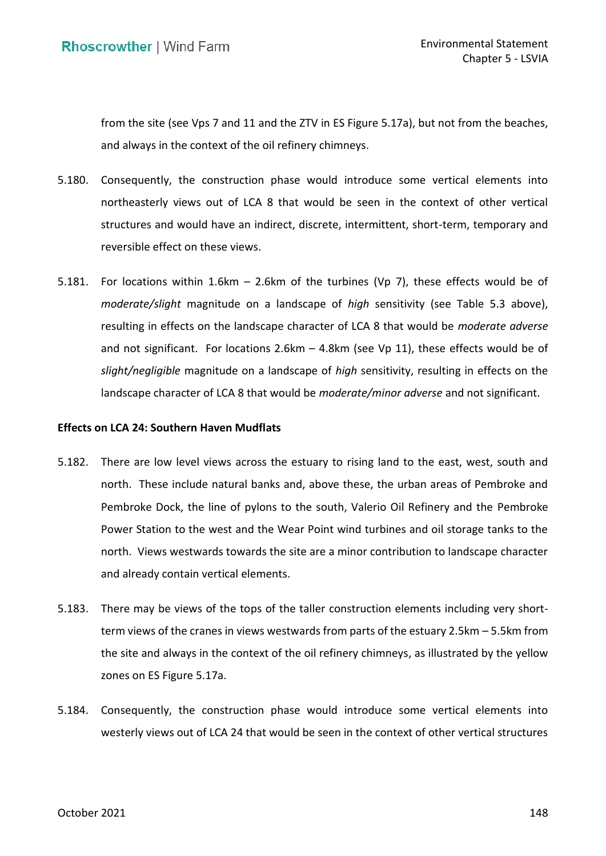from the site (see Vps 7 and 11 and the ZTV in ES Figure 5.17a), but not from the beaches, and always in the context of the oil refinery chimneys.

- northeasterly views out of LCA 8 that would be seen in the context of other vertical structures and would have an indirect, discrete, intermittent, short-term, temporary and reversible effect on these views. 5.180. Consequently, the construction phase would introduce some vertical elements into
- 5.181. For locations within 1.6km 2.6km of the turbines (Vp 7), these effects would be of *moderate/slight* magnitude on a landscape of *high* sensitivity (see Table 5.3 above), resulting in effects on the landscape character of LCA 8 that would be *moderate adverse*  and not significant. For locations 2.6km – 4.8km (see Vp 11), these effects would be of *slight/negligible* magnitude on a landscape of *high* sensitivity, resulting in effects on the landscape character of LCA 8 that would be *moderate/minor adverse* and not significant.

# **Effects on LCA 24: Southern Haven Mudflats**

- 5.182. There are low level views across the estuary to rising land to the east, west, south and north. These include natural banks and, above these, the urban areas of Pembroke and Power Station to the west and the Wear Point wind turbines and oil storage tanks to the north. Views westwards towards the site are a minor contribution to landscape character and already contain vertical elements. Pembroke Dock, the line of pylons to the south, Valerio Oil Refinery and the Pembroke
- term views of the cranes in views westwards from parts of the estuary 2.5km 5.5km from the site and always in the context of the oil refinery chimneys, as illustrated by the yellow 5.183. There may be views of the tops of the taller construction elements including very shortzones on ES Figure 5.17a.
- <span id="page-64-0"></span> westerly views out of LCA 24 that would be seen in the context of other vertical structures 5.184. Consequently, the construction phase would introduce some vertical elements into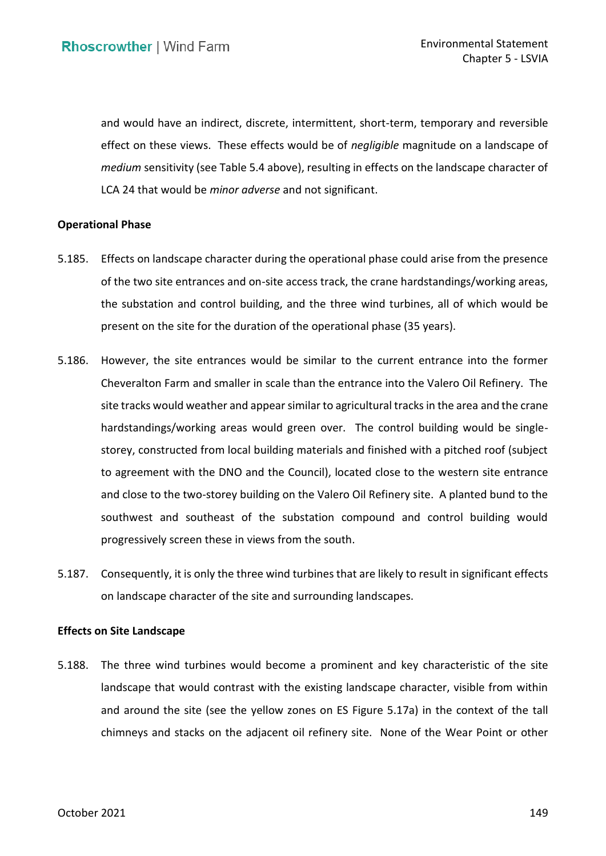and would have an indirect, discrete, intermittent, short-term, temporary and reversible effect on these views. These effects would be of *negligible* magnitude on a landscape of *medium* sensitivity (see Table 5.4 above), resulting in effects on the landscape character of LCA 24 that would be *minor adverse* and not significant.

## **Operational Phase**

- 5.185. Effects on landscape character during the operational phase could arise from the presence of the two site entrances and on-site access track, the crane hardstandings/working areas, the substation and control building, and the three wind turbines, all of which would be present on the site for the duration of the operational phase (35 years).
- 5.186. However, the site entrances would be similar to the current entrance into the former Cheveralton Farm and smaller in scale than the entrance into the Valero Oil Refinery. The site tracks would weather and appear similar to agricultural tracks in the area and the crane hardstandings/working areas would green over. The control building would be single- storey, constructed from local building materials and finished with a pitched roof (subject to agreement with the DNO and the Council), located close to the western site entrance and close to the two-storey building on the Valero Oil Refinery site. A planted bund to the southwest and southeast of the substation compound and control building would progressively screen these in views from the south.
- 5.187. Consequently, it is only the three wind turbines that are likely to result in significant effects on landscape character of the site and surrounding landscapes.

### **Effects on Site Landscape**

 5.188. The three wind turbines would become a prominent and key characteristic of the site landscape that would contrast with the existing landscape character, visible from within and around the site (see the yellow zones on ES Figure 5.17a) in the context of the tall chimneys and stacks on the adjacent oil refinery site. None of the Wear Point or other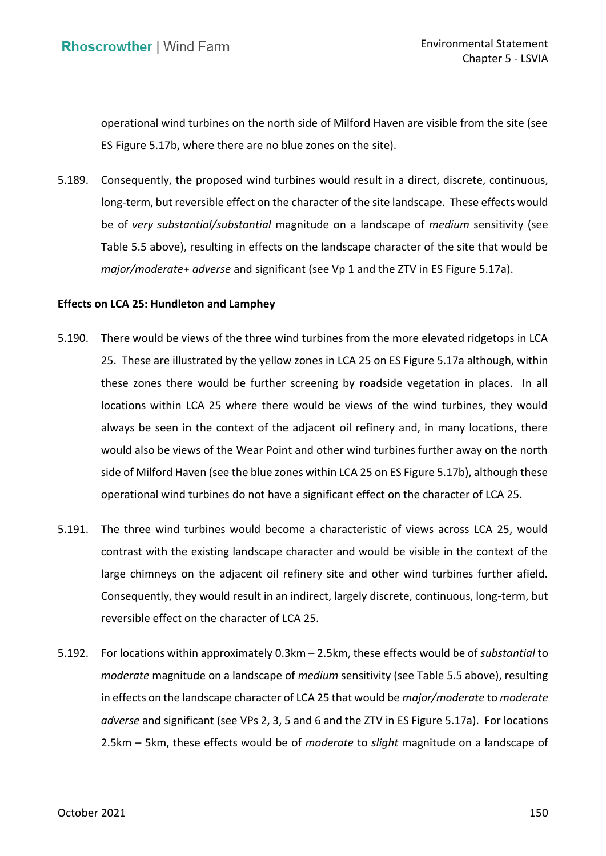operational wind turbines on the north side of Milford Haven are visible from the site (see ES Figure 5.17b, where there are no blue zones on the site).

 5.189. Consequently, the proposed wind turbines would result in a direct, discrete, continuous, long-term, but reversible effect on the character of the site landscape. These effects would be of *very substantial/substantial* magnitude on a landscape of *medium* sensitivity (see Table 5.5 above), resulting in effects on the landscape character of the site that would be *major/moderate+ adverse* and significant (see Vp 1 and the ZTV in ES Figure 5.17a).

### **Effects on LCA 25: Hundleton and Lamphey**

- 5.190. There would be views of the three wind turbines from the more elevated ridgetops in LCA 25. These are illustrated by the yellow zones in LCA 25 on ES Figure 5.17a although, within these zones there would be further screening by roadside vegetation in places. In all locations within LCA 25 where there would be views of the wind turbines, they would always be seen in the context of the adjacent oil refinery and, in many locations, there would also be views of the Wear Point and other wind turbines further away on the north side of Milford Haven (see the blue zones within LCA 25 on ES Figure 5.17b), although these operational wind turbines do not have a significant effect on the character of LCA 25.
- 5.191. The three wind turbines would become a characteristic of views across LCA 25, would contrast with the existing landscape character and would be visible in the context of the large chimneys on the adjacent oil refinery site and other wind turbines further afield. Consequently, they would result in an indirect, largely discrete, continuous, long-term, but reversible effect on the character of LCA 25.
- 5.192. For locations within approximately 0.3km 2.5km, these effects would be of *substantial* to *moderate* magnitude on a landscape of *medium* sensitivity (see Table 5.5 above), resulting in effects on the landscape character of LCA 25 that would be *major/moderate* to *moderate adverse* and significant (see VPs 2, 3, 5 and 6 and the ZTV in ES Figure 5.17a). For locations 2.5km – 5km, these effects would be of *moderate* to *slight* magnitude on a landscape of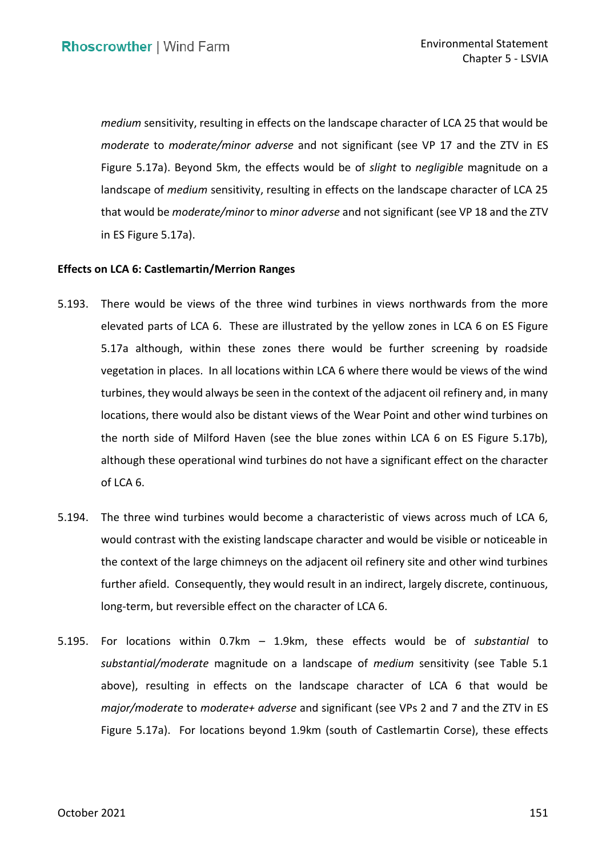*medium* sensitivity, resulting in effects on the landscape character of LCA 25 that would be *moderate* to *moderate/minor adverse* and not significant (see VP 17 and the ZTV in ES Figure 5.17a). Beyond 5km, the effects would be of *slight* to *negligible* magnitude on a landscape of *medium* sensitivity, resulting in effects on the landscape character of LCA 25 that would be *moderate/minor* to *minor adverse* and not significant (see VP 18 and the ZTV in ES Figure 5.17a).

# **Effects on LCA 6: Castlemartin/Merrion Ranges**

- 5.193. There would be views of the three wind turbines in views northwards from the more elevated parts of LCA 6. These are illustrated by the yellow zones in LCA 6 on ES Figure 5.17a although, within these zones there would be further screening by roadside vegetation in places. In all locations within LCA 6 where there would be views of the wind turbines, they would always be seen in the context of the adjacent oil refinery and, in many locations, there would also be distant views of the Wear Point and other wind turbines on the north side of Milford Haven (see the blue zones within LCA 6 on ES Figure 5.17b), although these operational wind turbines do not have a significant effect on the character of LCA 6.
- 5.194. The three wind turbines would become a characteristic of views across much of LCA 6, would contrast with the existing landscape character and would be visible or noticeable in the context of the large chimneys on the adjacent oil refinery site and other wind turbines further afield. Consequently, they would result in an indirect, largely discrete, continuous, long-term, but reversible effect on the character of LCA 6.
- 5.195. For locations within 0.7km 1.9km, these effects would be of *substantial* to *substantial/moderate* magnitude on a landscape of *medium* sensitivity (see Table 5.1 above), resulting in effects on the landscape character of LCA 6 that would be *major/moderate* to *moderate+ adverse* and significant (see VPs 2 and 7 and the ZTV in ES Figure 5.17a). For locations beyond 1.9km (south of Castlemartin Corse), these effects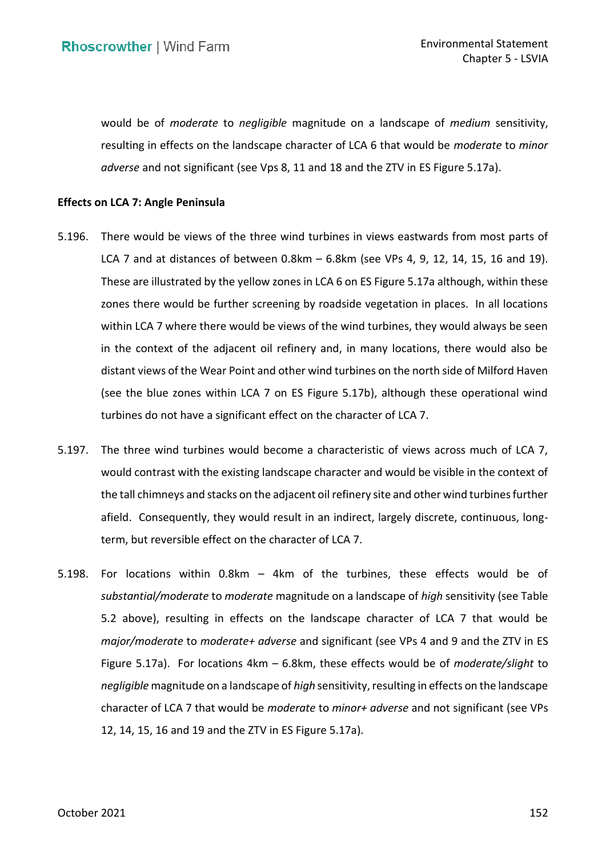would be of *moderate* to *negligible* magnitude on a landscape of *medium* sensitivity, resulting in effects on the landscape character of LCA 6 that would be *moderate* to *minor adverse* and not significant (see Vps 8, 11 and 18 and the ZTV in ES Figure 5.17a).

## **Effects on LCA 7: Angle Peninsula**

- 5.196. There would be views of the three wind turbines in views eastwards from most parts of LCA 7 and at distances of between 0.8km – 6.8km (see VPs 4, 9, 12, 14, 15, 16 and 19). These are illustrated by the yellow zones in LCA 6 on ES Figure 5.17a although, within these zones there would be further screening by roadside vegetation in places. In all locations within LCA 7 where there would be views of the wind turbines, they would always be seen in the context of the adjacent oil refinery and, in many locations, there would also be distant views of the Wear Point and other wind turbines on the north side of Milford Haven (see the blue zones within LCA 7 on ES Figure 5.17b), although these operational wind turbines do not have a significant effect on the character of LCA 7.
- 5.197. The three wind turbines would become a characteristic of views across much of LCA 7, would contrast with the existing landscape character and would be visible in the context of the tall chimneys and stacks on the adjacent oil refinery site and other wind turbines further afield. Consequently, they would result in an indirect, largely discrete, continuous, long-term, but reversible effect on the character of LCA 7.
- 5.198. For locations within 0.8km 4km of the turbines, these effects would be of *substantial/moderate* to *moderate* magnitude on a landscape of *high* sensitivity (see Table 5.2 above), resulting in effects on the landscape character of LCA 7 that would be *major/moderate* to *moderate+ adverse* and significant (see VPs 4 and 9 and the ZTV in ES Figure 5.17a). For locations 4km – 6.8km, these effects would be of *moderate/slight* to *negligible* magnitude on a landscape of *high* sensitivity, resulting in effects on the landscape character of LCA 7 that would be *moderate* to *minor+ adverse* and not significant (see VPs 12, 14, 15, 16 and 19 and the ZTV in ES Figure 5.17a).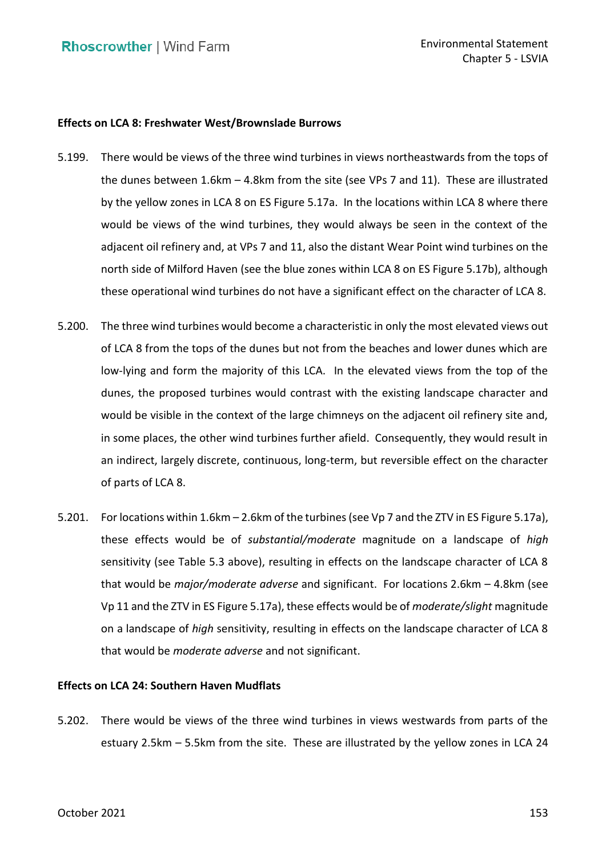# **Effects on LCA 8: Freshwater West/Brownslade Burrows**

- 5.199. There would be views of the three wind turbines in views northeastwards from the tops of the dunes between 1.6km – 4.8km from the site (see VPs 7 and 11). These are illustrated by the yellow zones in LCA 8 on ES Figure 5.17a. In the locations within LCA 8 where there would be views of the wind turbines, they would always be seen in the context of the adjacent oil refinery and, at VPs 7 and 11, also the distant Wear Point wind turbines on the north side of Milford Haven (see the blue zones within LCA 8 on ES Figure 5.17b), although these operational wind turbines do not have a significant effect on the character of LCA 8.
- 5.200. The three wind turbines would become a characteristic in only the most elevated views out of LCA 8 from the tops of the dunes but not from the beaches and lower dunes which are low-lying and form the majority of this LCA. In the elevated views from the top of the dunes, the proposed turbines would contrast with the existing landscape character and would be visible in the context of the large chimneys on the adjacent oil refinery site and, in some places, the other wind turbines further afield. Consequently, they would result in an indirect, largely discrete, continuous, long-term, but reversible effect on the character of parts of LCA 8.
- 5.201. For locations within 1.6km 2.6km of the turbines (see Vp 7 and the ZTV in ES Figure 5.17a), these effects would be of *substantial/moderate* magnitude on a landscape of *high*  sensitivity (see Table 5.3 above), resulting in effects on the landscape character of LCA 8 that would be *major/moderate adverse* and significant. For locations 2.6km – 4.8km (see Vp 11 and the ZTV in ES Figure 5.17a), these effects would be of *moderate/slight* magnitude on a landscape of *high* sensitivity, resulting in effects on the landscape character of LCA 8 that would be *moderate adverse* and not significant.

### **Effects on LCA 24: Southern Haven Mudflats**

 5.202. There would be views of the three wind turbines in views westwards from parts of the estuary 2.5km – 5.5km from the site. These are illustrated by the yellow zones in LCA 24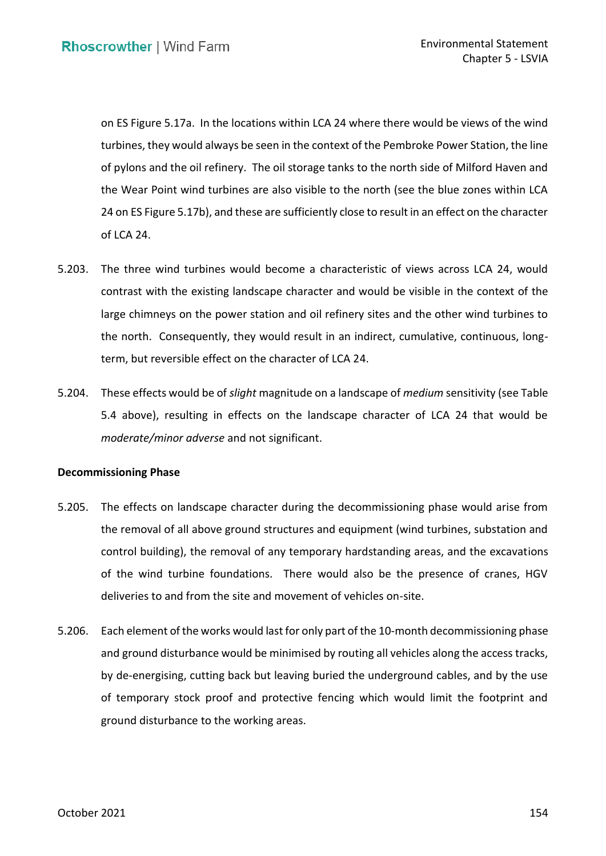on ES Figure 5.17a. In the locations within LCA 24 where there would be views of the wind turbines, they would always be seen in the context of the Pembroke Power Station, the line of pylons and the oil refinery. The oil storage tanks to the north side of Milford Haven and the Wear Point wind turbines are also visible to the north (see the blue zones within LCA 24 on ES Figure 5.17b), and these are sufficiently close to result in an effect on the character of LCA 24.

- 5.203. The three wind turbines would become a characteristic of views across LCA 24, would contrast with the existing landscape character and would be visible in the context of the large chimneys on the power station and oil refinery sites and the other wind turbines to the north. Consequently, they would result in an indirect, cumulative, continuous, long-term, but reversible effect on the character of LCA 24.
- 5.204. These effects would be of *slight* magnitude on a landscape of *medium* sensitivity (see Table 5.4 above), resulting in effects on the landscape character of LCA 24 that would be *moderate/minor adverse* and not significant.

### **Decommissioning Phase**

- 5.205. The effects on landscape character during the decommissioning phase would arise from the removal of all above ground structures and equipment (wind turbines, substation and control building), the removal of any temporary hardstanding areas, and the excavations of the wind turbine foundations. There would also be the presence of cranes, HGV deliveries to and from the site and movement of vehicles on-site.
- 5.206. Each element of the works would last for only part of the 10-month decommissioning phase and ground disturbance would be minimised by routing all vehicles along the access tracks, by de-energising, cutting back but leaving buried the underground cables, and by the use of temporary stock proof and protective fencing which would limit the footprint and ground disturbance to the working areas.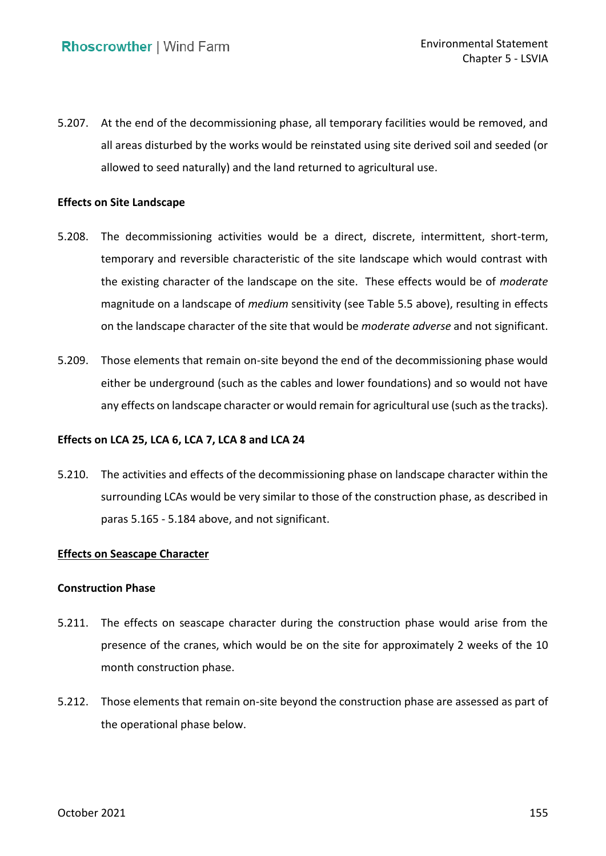5.207. At the end of the decommissioning phase, all temporary facilities would be removed, and all areas disturbed by the works would be reinstated using site derived soil and seeded (or allowed to seed naturally) and the land returned to agricultural use.

## **Effects on Site Landscape**

- 5.208. The decommissioning activities would be a direct, discrete, intermittent, short-term, temporary and reversible characteristic of the site landscape which would contrast with the existing character of the landscape on the site. These effects would be of *moderate*  magnitude on a landscape of *medium* sensitivity (see Table 5.5 above), resulting in effects on the landscape character of the site that would be *moderate adverse* and not significant.
- 5.209. Those elements that remain on-site beyond the end of the decommissioning phase would either be underground (such as the cables and lower foundations) and so would not have any effects on landscape character or would remain for agricultural use (such as the tracks).

## **Effects on LCA 25, LCA 6, LCA 7, LCA 8 and LCA 24**

 5.210. The activities and effects of the decommissioning phase on landscape character within the surrounding LCAs would be very similar to those of the construction phase, as described in paras [5.165](#page-60-0) - [5.184](#page-64-0) above, and not significant.

### **Effects on Seascape Character**

### **Construction Phase**

- 5.211. The effects on seascape character during the construction phase would arise from the presence of the cranes, which would be on the site for approximately 2 weeks of the 10 month construction phase.
- 5.212. Those elements that remain on-site beyond the construction phase are assessed as part of the operational phase below.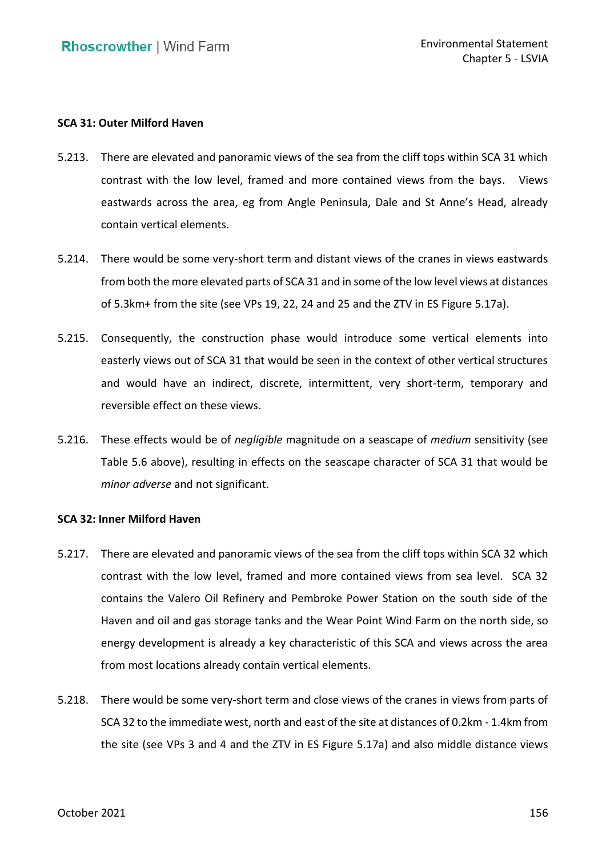# **SCA 31: Outer Milford Haven**

- <span id="page-72-0"></span> 5.213. There are elevated and panoramic views of the sea from the cliff tops within SCA 31 which contrast with the low level, framed and more contained views from the bays. Views eastwards across the area, eg from Angle Peninsula, Dale and St Anne's Head, already contain vertical elements.
- contain vertical elements. 5.214. There would be some very-short term and distant views of the cranes in views eastwards from both the more elevated parts of SCA 31 and in some of the low level views at distances of 5.3km+ from the site (see VPs 19, 22, 24 and 25 and the ZTV in ES Figure 5.17a).
- easterly views out of SCA 31 that would be seen in the context of other vertical structures and would have an indirect, discrete, intermittent, very short-term, temporary and reversible effect on these views. 5.215. Consequently, the construction phase would introduce some vertical elements into
- 5.216. These effects would be of *negligible* magnitude on a seascape of *medium* sensitivity (see Table 5.6 above), resulting in effects on the seascape character of SCA 31 that would be *minor adverse* and not significant.

# **SCA 32: Inner Milford Haven**

- 5.217. There are elevated and panoramic views of the sea from the cliff tops within SCA 32 which contrast with the low level, framed and more contained views from sea level. SCA 32 contains the Valero Oil Refinery and Pembroke Power Station on the south side of the Haven and oil and gas storage tanks and the Wear Point Wind Farm on the north side, so energy development is already a key characteristic of this SCA and views across the area from most locations already contain vertical elements.
- 5.218. There would be some very-short term and close views of the cranes in views from parts of SCA 32 to the immediate west, north and east of the site at distances of 0.2km - 1.4km from the site (see VPs 3 and 4 and the ZTV in ES Figure 5.17a) and also middle distance views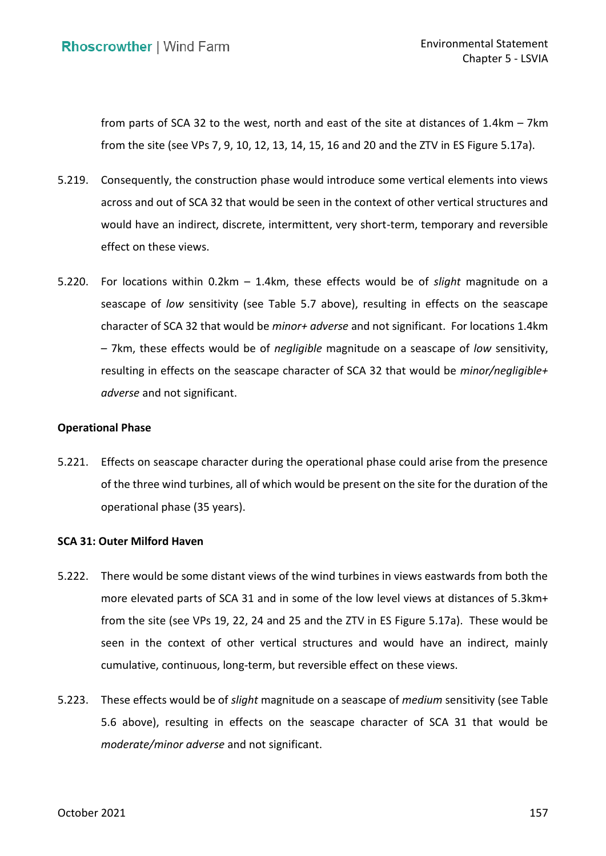from parts of SCA 32 to the west, north and east of the site at distances of 1.4km – 7km from the site (see VPs 7, 9, 10, 12, 13, 14, 15, 16 and 20 and the ZTV in ES Figure 5.17a).

- 5.219. Consequently, the construction phase would introduce some vertical elements into views across and out of SCA 32 that would be seen in the context of other vertical structures and would have an indirect, discrete, intermittent, very short-term, temporary and reversible effect on these views.
- <span id="page-73-0"></span> 5.220. For locations within 0.2km – 1.4km, these effects would be of *slight* magnitude on a seascape of *low* sensitivity (see Table 5.7 above), resulting in effects on the seascape character of SCA 32 that would be *minor+ adverse* and not significant. For locations 1.4km – 7km, these effects would be of *negligible* magnitude on a seascape of *low* sensitivity, resulting in effects on the seascape character of SCA 32 that would be *minor/negligible+ adverse* and not significant.

## **Operational Phase**

<span id="page-73-2"></span> 5.221. Effects on seascape character during the operational phase could arise from the presence of the three wind turbines, all of which would be present on the site for the duration of the operational phase (35 years).

## **SCA 31: Outer Milford Haven**

- <span id="page-73-1"></span> 5.222. There would be some distant views of the wind turbines in views eastwards from both the more elevated parts of SCA 31 and in some of the low level views at distances of 5.3km+ from the site (see VPs 19, 22, 24 and 25 and the ZTV in ES Figure 5.17a). These would be seen in the context of other vertical structures and would have an indirect, mainly cumulative, continuous, long-term, but reversible effect on these views.
- 5.223. These effects would be of *slight* magnitude on a seascape of *medium* sensitivity (see Table 5.6 above), resulting in effects on the seascape character of SCA 31 that would be *moderate/minor adverse* and not significant.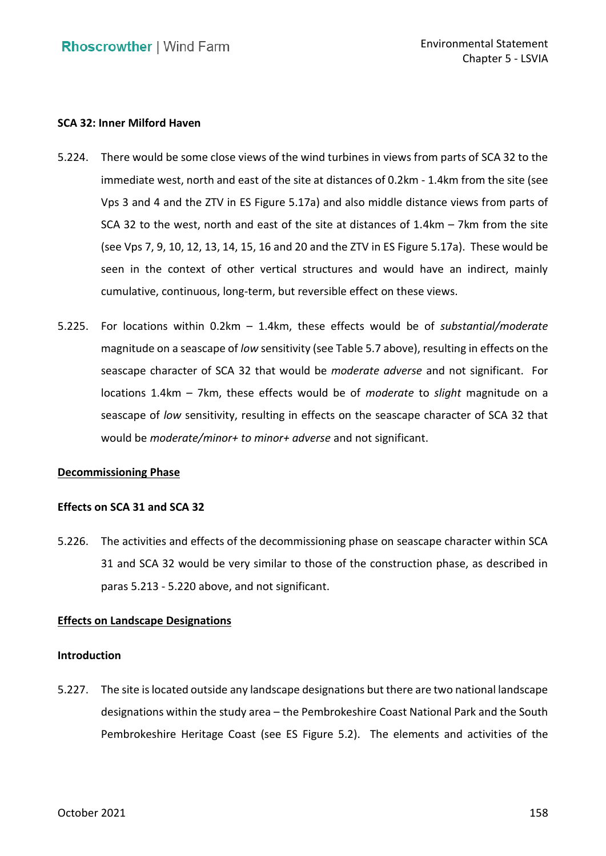# **SCA 32: Inner Milford Haven**

- 5.224. There would be some close views of the wind turbines in views from parts of SCA 32 to the immediate west, north and east of the site at distances of 0.2km - 1.4km from the site (see Vps 3 and 4 and the ZTV in ES Figure 5.17a) and also middle distance views from parts of SCA 32 to the west, north and east of the site at distances of 1.4km – 7km from the site (see Vps 7, 9, 10, 12, 13, 14, 15, 16 and 20 and the ZTV in ES Figure 5.17a). These would be seen in the context of other vertical structures and would have an indirect, mainly cumulative, continuous, long-term, but reversible effect on these views.
- <span id="page-74-0"></span> 5.225. For locations within 0.2km – 1.4km, these effects would be of *substantial/moderate*  magnitude on a seascape of *low* sensitivity (see Table 5.7 above), resulting in effects on the seascape character of SCA 32 that would be *moderate adverse* and not significant. For locations 1.4km – 7km, these effects would be of *moderate* to *slight* magnitude on a seascape of *low* sensitivity, resulting in effects on the seascape character of SCA 32 that would be *moderate/minor+ to minor+ adverse* and not significant.

## **Decommissioning Phase**

# **Effects on SCA 31 and SCA 32**

 5.226. The activities and effects of the decommissioning phase on seascape character within SCA 31 and SCA 32 would be very similar to those of the construction phase, as described in paras [5.213](#page-72-0) - [5.220](#page-73-0) above, and not significant.

# **Effects on Landscape Designations**

## **Introduction**

 5.227. The site is located outside any landscape designations but there are two national landscape designations within the study area – the Pembrokeshire Coast National Park and the South Pembrokeshire Heritage Coast (see ES Figure 5.2). The elements and activities of the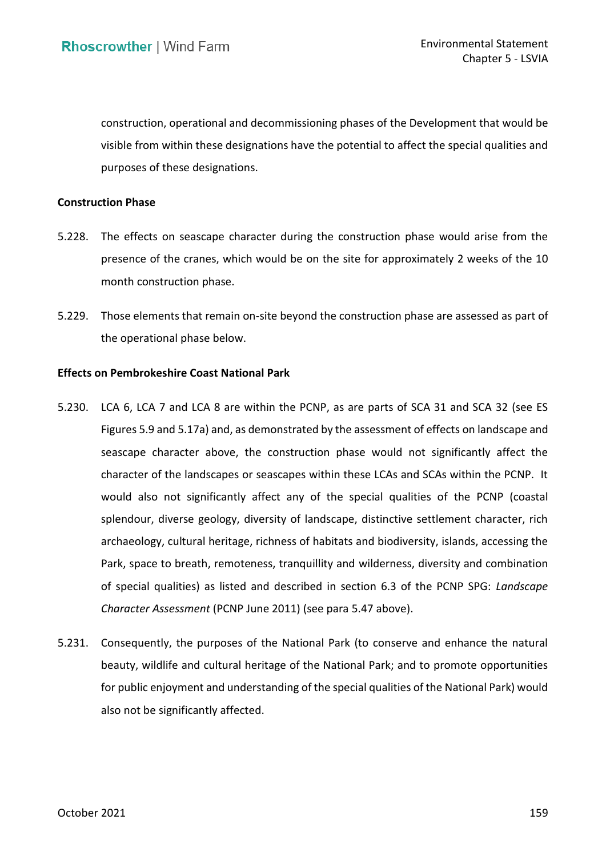construction, operational and decommissioning phases of the Development that would be visible from within these designations have the potential to affect the special qualities and purposes of these designations.

## **Construction Phase**

- 5.228. The effects on seascape character during the construction phase would arise from the presence of the cranes, which would be on the site for approximately 2 weeks of the 10 month construction phase.
- month construction phase.<br>5.229. Those elements that remain on-site beyond the construction phase are assessed as part of the operational phase below.

# **Effects on Pembrokeshire Coast National Park**

- 5.230. LCA 6, LCA 7 and LCA 8 are within the PCNP, as are parts of SCA 31 and SCA 32 (see ES Figures 5.9 and 5.17a) and, as demonstrated by the assessment of effects on landscape and seascape character above, the construction phase would not significantly affect the character of the landscapes or seascapes within these LCAs and SCAs within the PCNP. It would also not significantly affect any of the special qualities of the PCNP (coastal splendour, diverse geology, diversity of landscape, distinctive settlement character, rich of special qualities) as listed and described in section 6.3 of the PCNP SPG: *Landscape Character Assessment* (PCNP June 2011) (see para [5.47](#page-12-0) above). archaeology, cultural heritage, richness of habitats and biodiversity, islands, accessing the Park, space to breath, remoteness, tranquillity and wilderness, diversity and combination
- 5.231. Consequently, the purposes of the National Park (to conserve and enhance the natural beauty, wildlife and cultural heritage of the National Park; and to promote opportunities for public enjoyment and understanding of the special qualities of the National Park) would also not be significantly affected.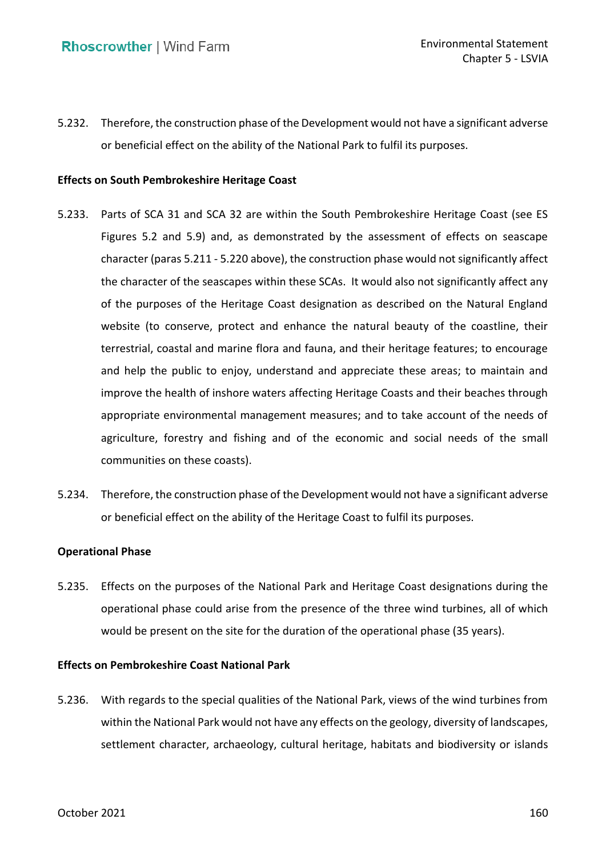<span id="page-76-0"></span> 5.232. Therefore, the construction phase of the Development would not have a significant adverse or beneficial effect on the ability of the National Park to fulfil its purposes.

# **Effects on South Pembrokeshire Heritage Coast**

- <span id="page-76-1"></span> 5.233. Parts of SCA 31 and SCA 32 are within the South Pembrokeshire Heritage Coast (see ES Figures 5.2 and 5.9) and, as demonstrated by the assessment of effects on seascape character (para[s 5.211](#page-71-0) - [5.220](#page-73-0) above), the construction phase would not significantly affect the character of the seascapes within these SCAs. It would also not significantly affect any of the purposes of the Heritage Coast designation as described on the Natural England website (to conserve, protect and enhance the natural beauty of the coastline, their terrestrial, coastal and marine flora and fauna, and their heritage features; to encourage and help the public to enjoy, understand and appreciate these areas; to maintain and improve the health of inshore waters affecting Heritage Coasts and their beaches through appropriate environmental management measures; and to take account of the needs of agriculture, forestry and fishing and of the economic and social needs of the small communities on these coasts).
- <span id="page-76-2"></span> 5.234. Therefore, the construction phase of the Development would not have a significant adverse or beneficial effect on the ability of the Heritage Coast to fulfil its purposes.

## **Operational Phase**

 5.235. Effects on the purposes of the National Park and Heritage Coast designations during the operational phase could arise from the presence of the three wind turbines, all of which would be present on the site for the duration of the operational phase (35 years).

#### **Effects on Pembrokeshire Coast National Park**

 5.236. With regards to the special qualities of the National Park, views of the wind turbines from within the National Park would not have any effects on the geology, diversity of landscapes, settlement character, archaeology, cultural heritage, habitats and biodiversity or islands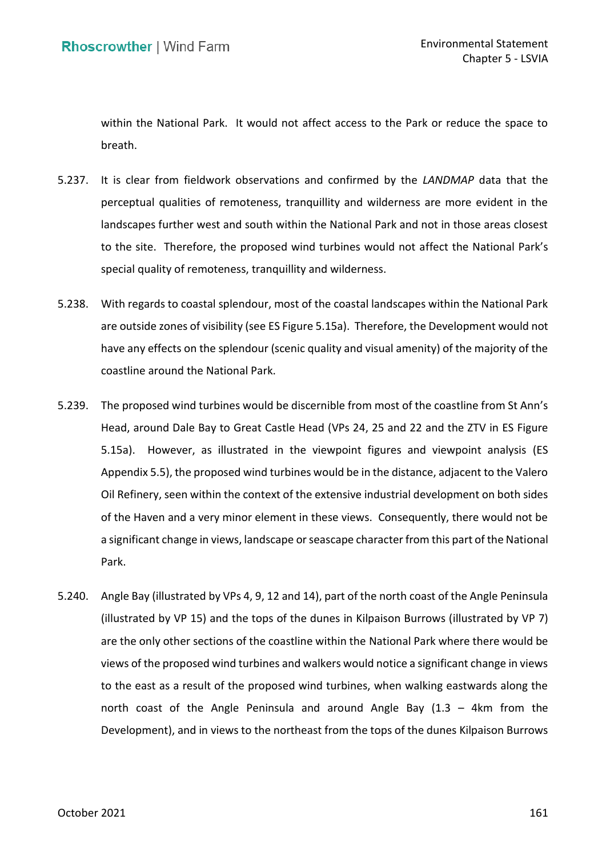within the National Park. It would not affect access to the Park or reduce the space to breath.

- 5.237. It is clear from fieldwork observations and confirmed by the *LANDMAP* data that the perceptual qualities of remoteness, tranquillity and wilderness are more evident in the landscapes further west and south within the National Park and not in those areas closest to the site. Therefore, the proposed wind turbines would not affect the National Park's special quality of remoteness, tranquillity and wilderness.
- 5.238. With regards to coastal splendour, most of the coastal landscapes within the National Park are outside zones of visibility (see ES Figure 5.15a). Therefore, the Development would not have any effects on the splendour (scenic quality and visual amenity) of the majority of the coastline around the National Park.
- 5.239. The proposed wind turbines would be discernible from most of the coastline from St Ann's Head, around Dale Bay to Great Castle Head (VPs 24, 25 and 22 and the ZTV in ES Figure 5.15a). However, as illustrated in the viewpoint figures and viewpoint analysis (ES Appendix 5.5), the proposed wind turbines would be in the distance, adjacent to the Valero Oil Refinery, seen within the context of the extensive industrial development on both sides of the Haven and a very minor element in these views. Consequently, there would not be a significant change in views, landscape or seascape character from this part of the National Park.
- 5.240. Angle Bay (illustrated by VPs 4, 9, 12 and 14), part of the north coast of the Angle Peninsula (illustrated by VP 15) and the tops of the dunes in Kilpaison Burrows (illustrated by VP 7) are the only other sections of the coastline within the National Park where there would be views of the proposed wind turbines and walkers would notice a significant change in views to the east as a result of the proposed wind turbines, when walking eastwards along the north coast of the Angle Peninsula and around Angle Bay (1.3 – 4km from the Development), and in views to the northeast from the tops of the dunes Kilpaison Burrows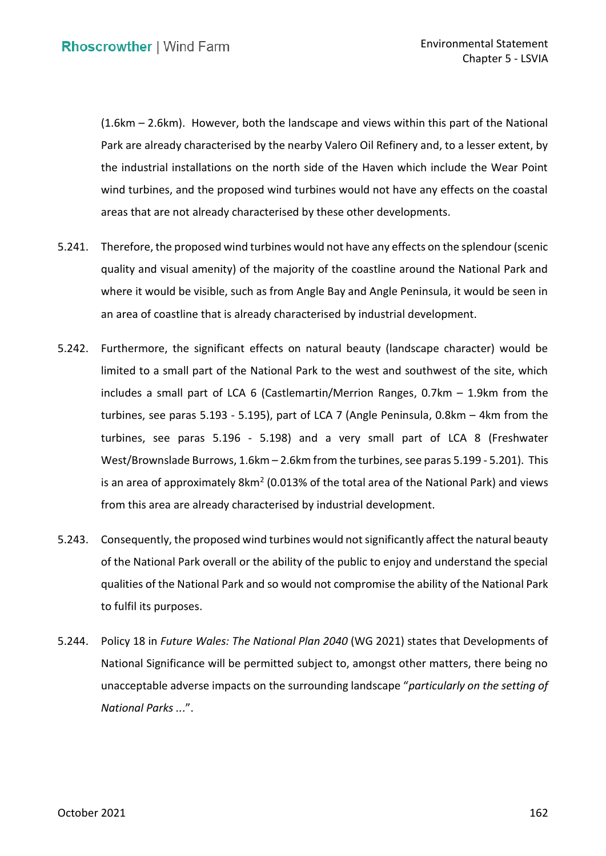(1.6km – 2.6km). However, both the landscape and views within this part of the National Park are already characterised by the nearby Valero Oil Refinery and, to a lesser extent, by the industrial installations on the north side of the Haven which include the Wear Point wind turbines, and the proposed wind turbines would not have any effects on the coastal areas that are not already characterised by these other developments.

- 5.241. Therefore, the proposed wind turbines would not have any effects on the splendour (scenic quality and visual amenity) of the majority of the coastline around the National Park and where it would be visible, such as from Angle Bay and Angle Peninsula, it would be seen in an area of coastline that is already characterised by industrial development.
- 5.242. Furthermore, the significant effects on natural beauty (landscape character) would be limited to a small part of the National Park to the west and southwest of the site, which includes a small part of LCA 6 (Castlemartin/Merrion Ranges, 0.7km – 1.9km from the turbines, see paras [5.193](#page-67-0) - [5.195\)](#page-67-1), part of LCA 7 (Angle Peninsula, 0.8km – 4km from the turbines, see paras [5.196](#page-68-0) - [5.198\)](#page-68-1) and a very small part of LCA 8 (Freshwater West/Brownslade Burrows, 1.6km – 2.6km from the turbines, see para[s 5.199](#page-69-0) - [5.201\)](#page-69-1). This is an area of approximately 8km<sup>2</sup> (0.013% of the total area of the National Park) and views from this area are already characterised by industrial development.
- 5.243. Consequently, the proposed wind turbines would not significantly affect the natural beauty of the National Park overall or the ability of the public to enjoy and understand the special qualities of the National Park and so would not compromise the ability of the National Park to fulfil its purposes.
- to fulfil its purposes. 5.244. Policy 18 in *Future Wales: The National Plan 2040* (WG 2021) states that Developments of National Significance will be permitted subject to, amongst other matters, there being no unacceptable adverse impacts on the surrounding landscape "*particularly on the setting of National Parks ..*.".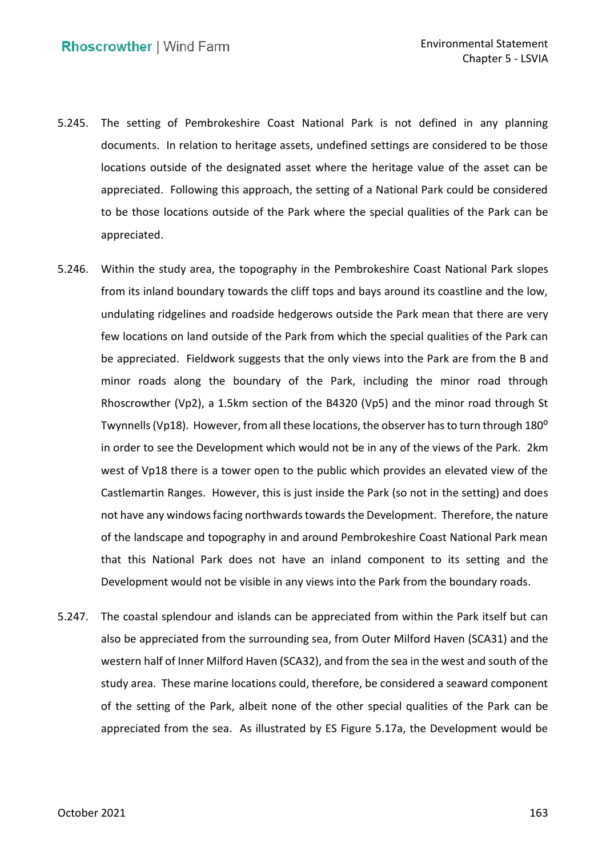- 5.245. The setting of Pembrokeshire Coast National Park is not defined in any planning documents. In relation to heritage assets, undefined settings are considered to be those locations outside of the designated asset where the heritage value of the asset can be appreciated. Following this approach, the setting of a National Park could be considered to be those locations outside of the Park where the special qualities of the Park can be appreciated.
- appreciated.<br>5.246. Within the study area, the topography in the Pembrokeshire Coast National Park slopes from its inland boundary towards the cliff tops and bays around its coastline and the low, undulating ridgelines and roadside hedgerows outside the Park mean that there are very few locations on land outside of the Park from which the special qualities of the Park can be appreciated. Fieldwork suggests that the only views into the Park are from the B and minor roads along the boundary of the Park, including the minor road through Rhoscrowther (Vp2), a 1.5km section of the B4320 (Vp5) and the minor road through St Twynnells (Vp18). However, from all these locations, the observer has to turn through 180 $^{\rm o}$  in order to see the Development which would not be in any of the views of the Park. 2km west of Vp18 there is a tower open to the public which provides an elevated view of the Castlemartin Ranges. However, this is just inside the Park (so not in the setting) and does not have any windows facing northwards towards the Development. Therefore, the nature of the landscape and topography in and around Pembrokeshire Coast National Park mean that this National Park does not have an inland component to its setting and the Development would not be visible in any views into the Park from the boundary roads.
- 5.247. The coastal splendour and islands can be appreciated from within the Park itself but can also be appreciated from the surrounding sea, from Outer Milford Haven (SCA31) and the western half of Inner Milford Haven (SCA32), and from the sea in the west and south of the study area. These marine locations could, therefore, be considered a seaward component of the setting of the Park, albeit none of the other special qualities of the Park can be appreciated from the sea. As illustrated by ES Figure 5.17a, the Development would be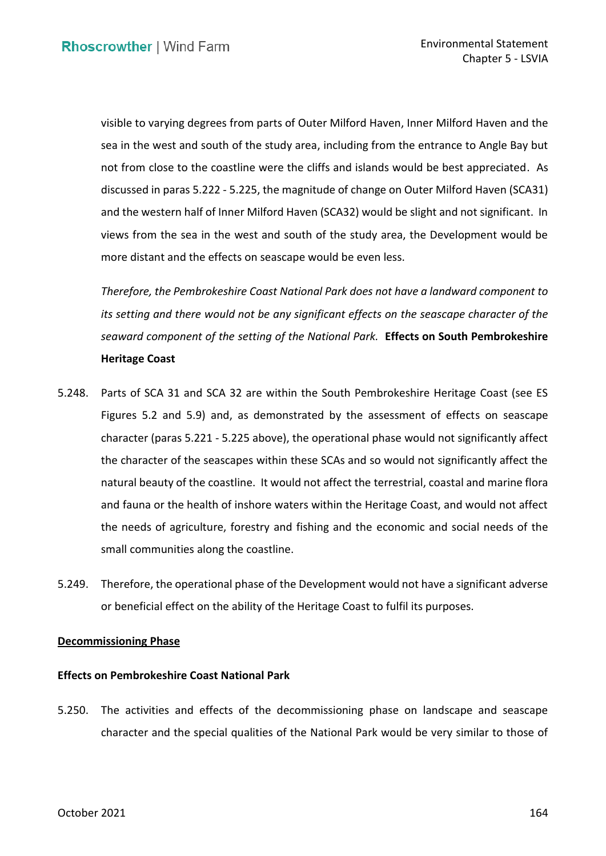visible to varying degrees from parts of Outer Milford Haven, Inner Milford Haven and the sea in the west and south of the study area, including from the entrance to Angle Bay but not from close to the coastline were the cliffs and islands would be best appreciated. As discussed in paras [5.222](#page-73-1) - [5.225,](#page-74-0) the magnitude of change on Outer Milford Haven (SCA31) and the western half of Inner Milford Haven (SCA32) would be slight and not significant. In views from the sea in the west and south of the study area, the Development would be more distant and the effects on seascape would be even less.

 *Therefore, the Pembrokeshire Coast National Park does not have a landward component to its setting and there would not be any significant effects on the seascape character of the seaward component of the setting of the National Park.* **Effects on South Pembrokeshire Heritage Coast** 

- 5.248. Parts of SCA 31 and SCA 32 are within the South Pembrokeshire Heritage Coast (see ES Figures 5.2 and 5.9) and, as demonstrated by the assessment of effects on seascape character (paras [5.221](#page-73-2) - [5.225](#page-74-0) above), the operational phase would not significantly affect the character of the seascapes within these SCAs and so would not significantly affect the natural beauty of the coastline. It would not affect the terrestrial, coastal and marine flora and fauna or the health of inshore waters within the Heritage Coast, and would not affect the needs of agriculture, forestry and fishing and the economic and social needs of the small communities along the coastline.
- 5.249. Therefore, the operational phase of the Development would not have a significant adverse or beneficial effect on the ability of the Heritage Coast to fulfil its purposes.

## **Decommissioning Phase**

### **Effects on Pembrokeshire Coast National Park**

 5.250. The activities and effects of the decommissioning phase on landscape and seascape character and the special qualities of the National Park would be very similar to those of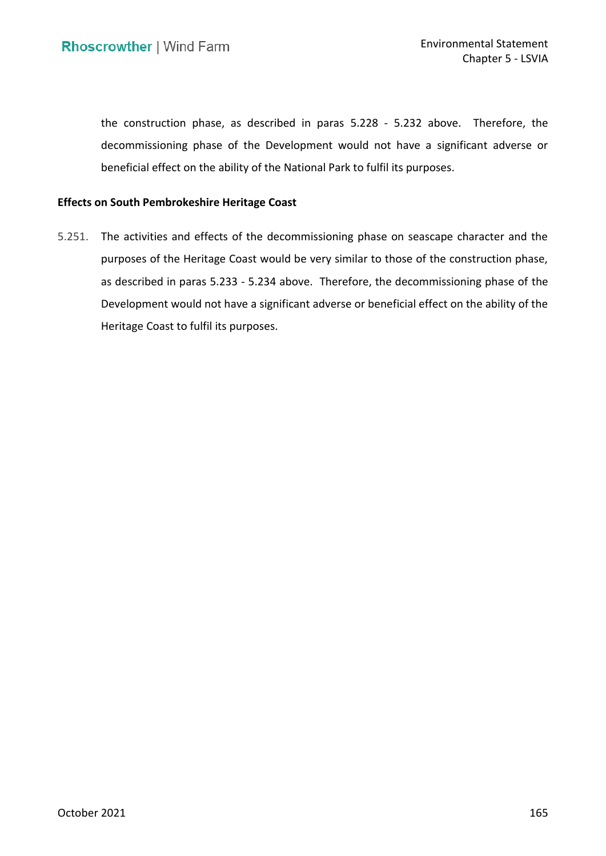the construction phase, as described in paras 5.228 - [5.232](#page-76-0) above. Therefore, the decommissioning phase of the Development would not have a significant adverse or beneficial effect on the ability of the National Park to fulfil its purposes.

# **Effects on South Pembrokeshire Heritage Coast**

 5.251. The activities and effects of the decommissioning phase on seascape character and the purposes of the Heritage Coast would be very similar to those of the construction phase, as described in paras [5.233](#page-76-1) - [5.234](#page-76-2) above. Therefore, the decommissioning phase of the Development would not have a significant adverse or beneficial effect on the ability of the Heritage Coast to fulfil its purposes. Heritage Coast to fulfil its purposes.<br>
Actober 2021<br>
October 2021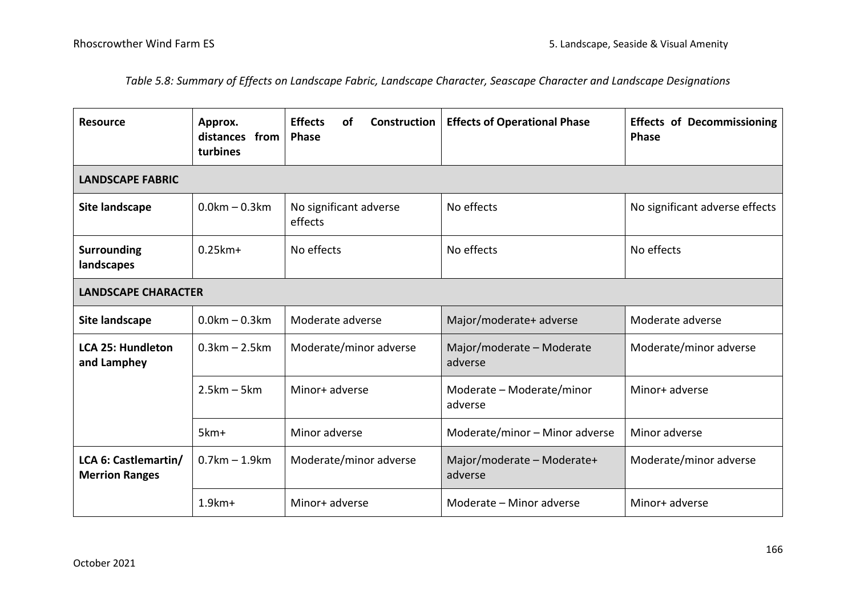*Table 5.8: Summary of Effects on Landscape Fabric, Landscape Character, Seascape Character and Landscape Designations* 

| <b>Resource</b>                               | Approx.<br>distances from<br>turbines | <b>Effects</b><br><b>Construction</b><br>οf<br><b>Phase</b> | <b>Effects of Operational Phase</b>   | <b>Effects of Decommissioning</b><br><b>Phase</b> |  |  |  |
|-----------------------------------------------|---------------------------------------|-------------------------------------------------------------|---------------------------------------|---------------------------------------------------|--|--|--|
| <b>LANDSCAPE FABRIC</b>                       |                                       |                                                             |                                       |                                                   |  |  |  |
| Site landscape                                | $0.0km - 0.3km$                       | No significant adverse<br>effects                           | No effects                            | No significant adverse effects                    |  |  |  |
| <b>Surrounding</b><br>landscapes              | $0.25$ km +                           | No effects                                                  | No effects                            | No effects                                        |  |  |  |
| <b>LANDSCAPE CHARACTER</b>                    |                                       |                                                             |                                       |                                                   |  |  |  |
| Site landscape                                | $0.0km - 0.3km$                       | Moderate adverse                                            | Major/moderate+ adverse               | Moderate adverse                                  |  |  |  |
| <b>LCA 25: Hundleton</b><br>and Lamphey       | $0.3km - 2.5km$                       | Moderate/minor adverse                                      | Major/moderate - Moderate<br>adverse  | Moderate/minor adverse                            |  |  |  |
|                                               | $2.5km - 5km$                         | Minor+ adverse                                              | Moderate - Moderate/minor<br>adverse  | Minor+ adverse                                    |  |  |  |
|                                               | 5km+                                  | Minor adverse                                               | Moderate/minor - Minor adverse        | Minor adverse                                     |  |  |  |
| LCA 6: Castlemartin/<br><b>Merrion Ranges</b> | $0.7km - 1.9km$                       | Moderate/minor adverse                                      | Major/moderate - Moderate+<br>adverse | Moderate/minor adverse                            |  |  |  |
|                                               | $1.9km+$                              | Minor+ adverse                                              | Moderate - Minor adverse              | Minor+ adverse                                    |  |  |  |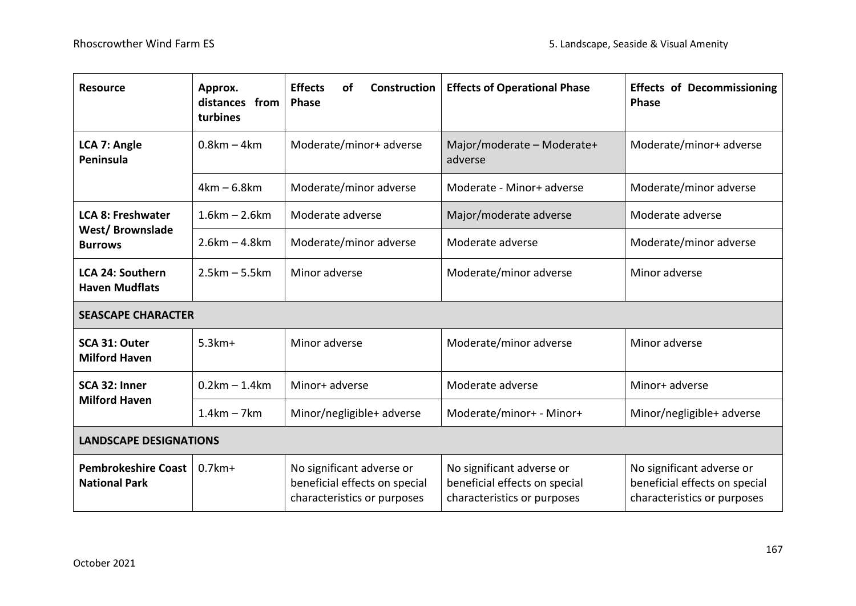| <b>Resource</b>                                                      | Approx.<br>distances from<br>turbines | <b>Effects</b><br><b>Construction</b><br><b>of</b><br><b>Phase</b>                        | <b>Effects of Operational Phase</b>                                                       | <b>Effects of Decommissioning</b><br>Phase                                                |  |  |
|----------------------------------------------------------------------|---------------------------------------|-------------------------------------------------------------------------------------------|-------------------------------------------------------------------------------------------|-------------------------------------------------------------------------------------------|--|--|
| LCA 7: Angle<br>Peninsula                                            | $0.8km - 4km$                         | Moderate/minor+ adverse                                                                   | Major/moderate - Moderate+<br>adverse                                                     | Moderate/minor+ adverse                                                                   |  |  |
|                                                                      | $4km - 6.8km$                         | Moderate/minor adverse                                                                    | Moderate - Minor+ adverse                                                                 | Moderate/minor adverse                                                                    |  |  |
| <b>LCA 8: Freshwater</b><br><b>West/Brownslade</b><br><b>Burrows</b> | $1.6km - 2.6km$                       | Moderate adverse                                                                          | Major/moderate adverse                                                                    | Moderate adverse                                                                          |  |  |
|                                                                      | $2.6km - 4.8km$                       | Moderate/minor adverse                                                                    | Moderate adverse                                                                          | Moderate/minor adverse                                                                    |  |  |
| <b>LCA 24: Southern</b><br><b>Haven Mudflats</b>                     | $2.5km - 5.5km$                       | Minor adverse                                                                             | Moderate/minor adverse                                                                    | Minor adverse                                                                             |  |  |
| <b>SEASCAPE CHARACTER</b>                                            |                                       |                                                                                           |                                                                                           |                                                                                           |  |  |
| SCA 31: Outer<br><b>Milford Haven</b>                                | $5.3km+$                              | Minor adverse                                                                             | Moderate/minor adverse                                                                    | Minor adverse                                                                             |  |  |
| SCA 32: Inner<br><b>Milford Haven</b>                                | $0.2km - 1.4km$                       | Minor+ adverse                                                                            | Moderate adverse                                                                          | Minor+ adverse                                                                            |  |  |
|                                                                      | $1.4km - 7km$                         | Minor/negligible+ adverse                                                                 | Moderate/minor+ - Minor+                                                                  | Minor/negligible+ adverse                                                                 |  |  |
| <b>LANDSCAPE DESIGNATIONS</b>                                        |                                       |                                                                                           |                                                                                           |                                                                                           |  |  |
| <b>Pembrokeshire Coast</b><br><b>National Park</b>                   | $0.7$ km +                            | No significant adverse or<br>beneficial effects on special<br>characteristics or purposes | No significant adverse or<br>beneficial effects on special<br>characteristics or purposes | No significant adverse or<br>beneficial effects on special<br>characteristics or purposes |  |  |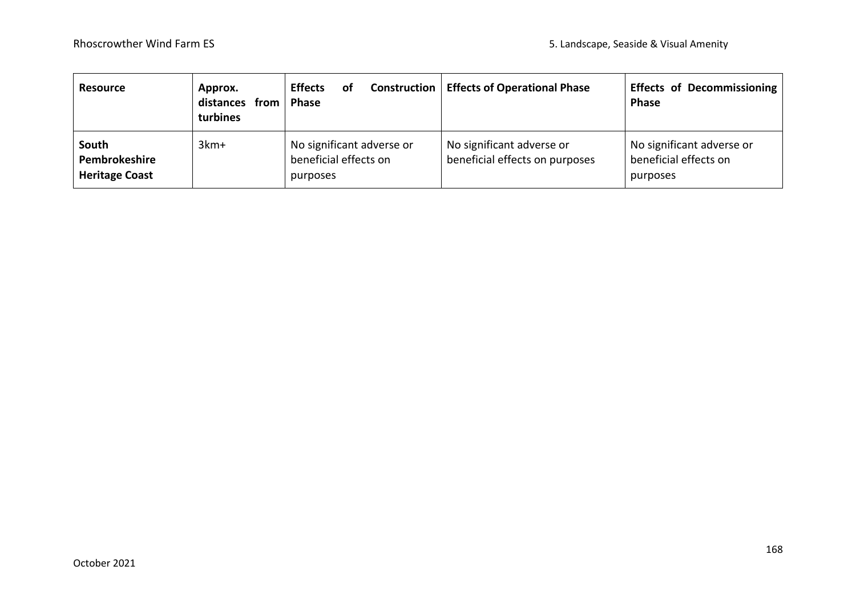| <b>Resource</b>                                 | Approx.<br>distances from<br>turbines | <b>Effects</b><br>οf<br><b>Phase</b>                           | <b>Construction   Effects of Operational Phase</b>          | <b>Effects of Decommissioning</b><br><b>Phase</b>              |
|-------------------------------------------------|---------------------------------------|----------------------------------------------------------------|-------------------------------------------------------------|----------------------------------------------------------------|
| South<br>Pembrokeshire<br><b>Heritage Coast</b> | $3km+$                                | No significant adverse or<br>beneficial effects on<br>purposes | No significant adverse or<br>beneficial effects on purposes | No significant adverse or<br>beneficial effects on<br>purposes |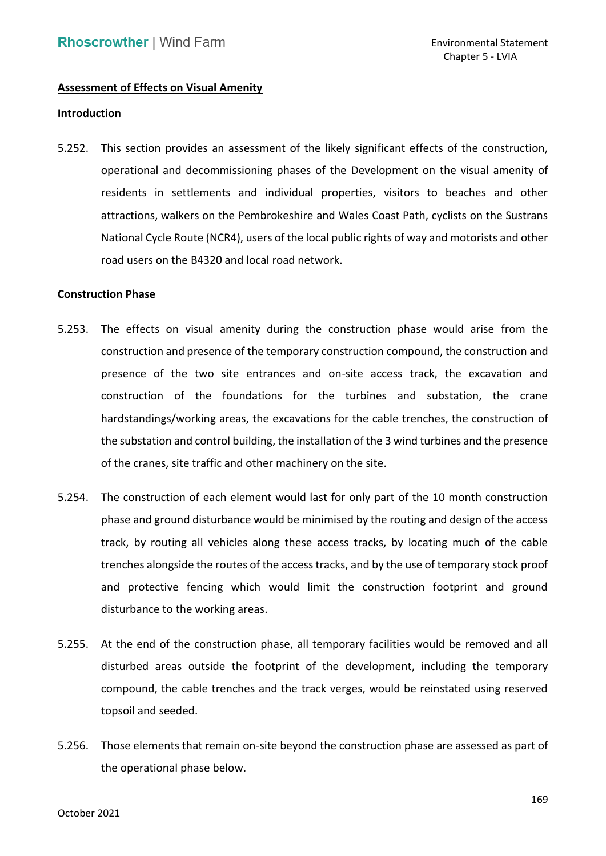## **Assessment of Effects on Visual Amenity**

#### **Introduction**

 5.252. This section provides an assessment of the likely significant effects of the construction, residents in settlements and individual properties, visitors to beaches and other attractions, walkers on the Pembrokeshire and Wales Coast Path, cyclists on the Sustrans National Cycle Route (NCR4), users of the local public rights of way and motorists and other road users on the B4320 and local road network. operational and decommissioning phases of the Development on the visual amenity of

#### **Construction Phase**

- <span id="page-85-0"></span> construction and presence of the temporary construction compound, the construction and presence of the two site entrances and on-site access track, the excavation and construction of the foundations for the turbines and substation, the crane hardstandings/working areas, the excavations for the cable trenches, the construction of the substation and control building, the installation of the 3 wind turbines and the presence of the cranes, site traffic and other machinery on the site. 5.253. The effects on visual amenity during the construction phase would arise from the
- 5.254. The construction of each element would last for only part of the 10 month construction phase and ground disturbance would be minimised by the routing and design of the access track, by routing all vehicles along these access tracks, by locating much of the cable trenches alongside the routes of the access tracks, and by the use of temporary stock proof and protective fencing which would limit the construction footprint and ground disturbance to the working areas.
- 5.255. At the end of the construction phase, all temporary facilities would be removed and all disturbed areas outside the footprint of the development, including the temporary compound, the cable trenches and the track verges, would be reinstated using reserved topsoil and seeded.
- 5.256. Those elements that remain on-site beyond the construction phase are assessed as part of the operational phase below.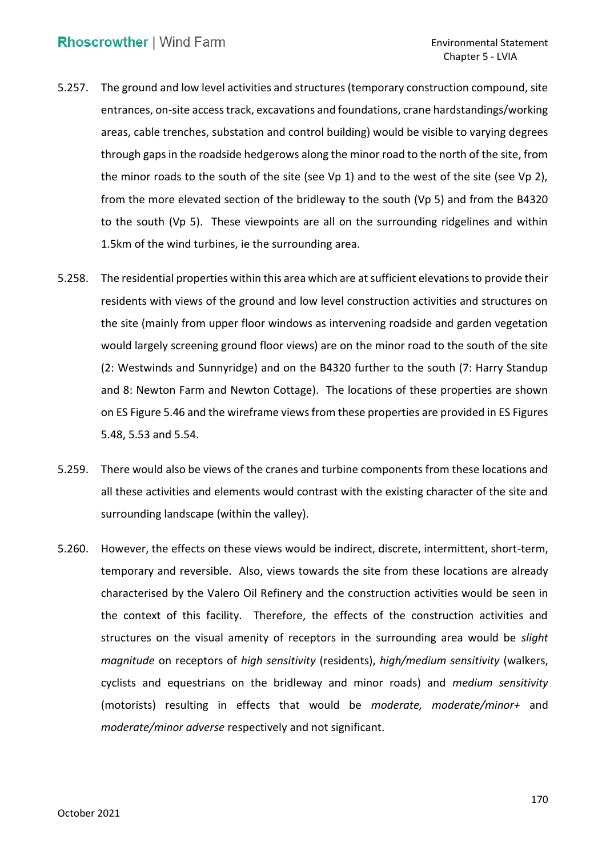- 5.257. The ground and low level activities and structures (temporary construction compound, site areas, cable trenches, substation and control building) would be visible to varying degrees through gaps in the roadside hedgerows along the minor road to the north of the site, from the minor roads to the south of the site (see Vp 1) and to the west of the site (see Vp 2), from the more elevated section of the bridleway to the south (Vp 5) and from the B4320 to the south (Vp 5). These viewpoints are all on the surrounding ridgelines and within entrances, on-site access track, excavations and foundations, crane hardstandings/working 1.5km of the wind turbines, ie the surrounding area.
- 5.258. The residential properties within this area which are at sufficient elevations to provide their residents with views of the ground and low level construction activities and structures on the site (mainly from upper floor windows as intervening roadside and garden vegetation would largely screening ground floor views) are on the minor road to the south of the site (2: Westwinds and Sunnyridge) and on the B4320 further to the south (7: Harry Standup and 8: Newton Farm and Newton Cottage). The locations of these properties are shown on ES Figure 5.46 and the wireframe views from these properties are provided in ES Figures 5.48, 5.53 and 5.54.
- 5.259. There would also be views of the cranes and turbine components from these locations and all these activities and elements would contrast with the existing character of the site and surrounding landscape (within the valley).
- 5.260. However, the effects on these views would be indirect, discrete, intermittent, short-term, temporary and reversible. Also, views towards the site from these locations are already characterised by the Valero Oil Refinery and the construction activities would be seen in the context of this facility. Therefore, the effects of the construction activities and structures on the visual amenity of receptors in the surrounding area would be *slight magnitude* on receptors of *high sensitivity* (residents), *high/medium sensitivity* (walkers, cyclists and equestrians on the bridleway and minor roads) and *medium sensitivity*  (motorists) resulting in effects that would be *moderate, moderate/minor+* and *moderate/minor adverse* respectively and not significant.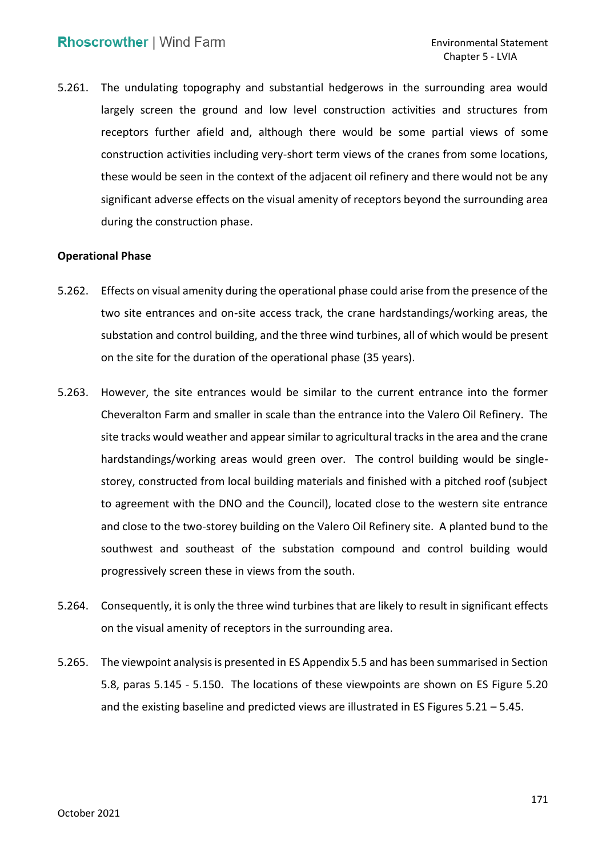<span id="page-87-0"></span> 5.261. The undulating topography and substantial hedgerows in the surrounding area would largely screen the ground and low level construction activities and structures from receptors further afield and, although there would be some partial views of some construction activities including very-short term views of the cranes from some locations, these would be seen in the context of the adjacent oil refinery and there would not be any significant adverse effects on the visual amenity of receptors beyond the surrounding area during the construction phase.

## **Operational Phase**

- 5.262. Effects on visual amenity during the operational phase could arise from the presence of the two site entrances and on-site access track, the crane hardstandings/working areas, the substation and control building, and the three wind turbines, all of which would be present on the site for the duration of the operational phase (35 years).
- 5.263. However, the site entrances would be similar to the current entrance into the former Cheveralton Farm and smaller in scale than the entrance into the Valero Oil Refinery. The site tracks would weather and appear similar to agricultural tracks in the area and the crane hardstandings/working areas would green over. The control building would be single- storey, constructed from local building materials and finished with a pitched roof (subject to agreement with the DNO and the Council), located close to the western site entrance and close to the two-storey building on the Valero Oil Refinery site. A planted bund to the southwest and southeast of the substation compound and control building would progressively screen these in views from the south.
- 5.264. Consequently, it is only the three wind turbines that are likely to result in significant effects on the visual amenity of receptors in the surrounding area.
- 5.265. The viewpoint analysis is presented in ES Appendix 5.5 and has been summarised in Section 5.8, paras [5.145](#page-55-0) - [5.150.](#page-57-0) The locations of these viewpoints are shown on ES Figure 5.20 and the existing baseline and predicted views are illustrated in ES Figures 5.21 – 5.45.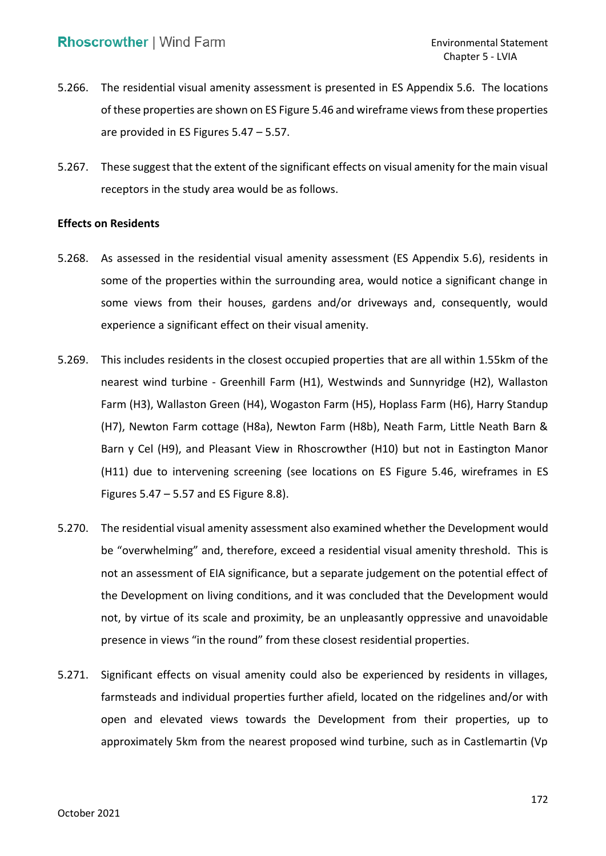- 5.266. The residential visual amenity assessment is presented in ES Appendix 5.6. The locations of these properties are shown on ES Figure 5.46 and wireframe views from these properties are provided in ES Figures 5.47 – 5.57.
- 5.267. These suggest that the extent of the significant effects on visual amenity for the main visual receptors in the study area would be as follows.

### **Effects on Residents**

- 5.268. As assessed in the residential visual amenity assessment (ES Appendix 5.6), residents in some of the properties within the surrounding area, would notice a significant change in some views from their houses, gardens and/or driveways and, consequently, would experience a significant effect on their visual amenity.
- 5.269. This includes residents in the closest occupied properties that are all within 1.55km of the nearest wind turbine - Greenhill Farm (H1), Westwinds and Sunnyridge (H2), Wallaston Farm (H3), Wallaston Green (H4), Wogaston Farm (H5), Hoplass Farm (H6), Harry Standup (H7), Newton Farm cottage (H8a), Newton Farm (H8b), Neath Farm, Little Neath Barn & Barn y Cel (H9), and Pleasant View in Rhoscrowther (H10) but not in Eastington Manor (H11) due to intervening screening (see locations on ES Figure 5.46, wireframes in ES Figures 5.47 – 5.57 and ES Figure 8.8).
- 5.270. The residential visual amenity assessment also examined whether the Development would be "overwhelming" and, therefore, exceed a residential visual amenity threshold. This is not an assessment of EIA significance, but a separate judgement on the potential effect of the Development on living conditions, and it was concluded that the Development would presence in views "in the round" from these closest residential properties. not, by virtue of its scale and proximity, be an unpleasantly oppressive and unavoidable
- 5.271. Significant effects on visual amenity could also be experienced by residents in villages, farmsteads and individual properties further afield, located on the ridgelines and/or with open and elevated views towards the Development from their properties, up to approximately 5km from the nearest proposed wind turbine, such as in Castlemartin (Vp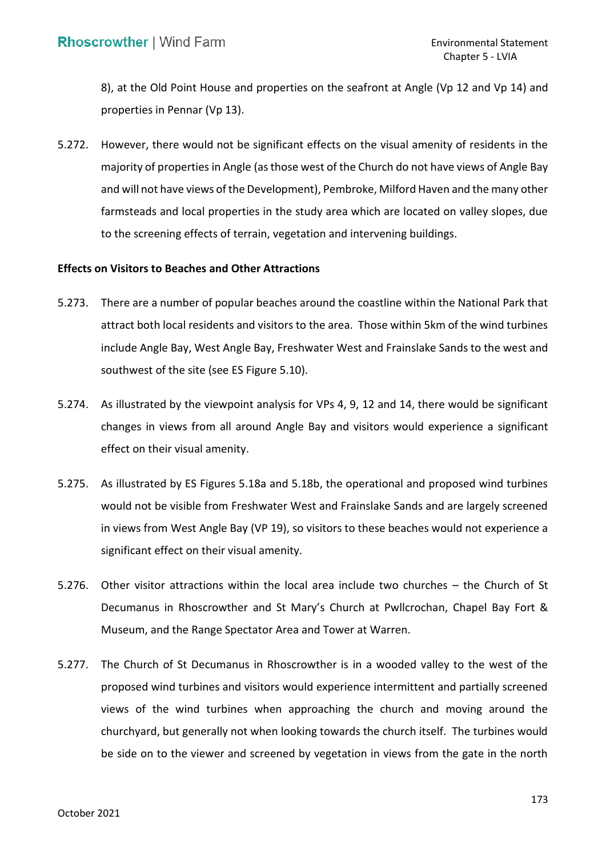8), at the Old Point House and properties on the seafront at Angle (Vp 12 and Vp 14) and properties in Pennar (Vp 13).

 5.272. However, there would not be significant effects on the visual amenity of residents in the majority of properties in Angle (as those west of the Church do not have views of Angle Bay and will not have views of the Development), Pembroke, Milford Haven and the many other farmsteads and local properties in the study area which are located on valley slopes, due to the screening effects of terrain, vegetation and intervening buildings.

## **Effects on Visitors to Beaches and Other Attractions**

- 5.273. There are a number of popular beaches around the coastline within the National Park that attract both local residents and visitors to the area. Those within 5km of the wind turbines include Angle Bay, West Angle Bay, Freshwater West and Frainslake Sands to the west and southwest of the site (see ES Figure 5.10).
- 5.274. As illustrated by the viewpoint analysis for VPs 4, 9, 12 and 14, there would be significant changes in views from all around Angle Bay and visitors would experience a significant effect on their visual amenity.
- 5.275. As illustrated by ES Figures 5.18a and 5.18b, the operational and proposed wind turbines would not be visible from Freshwater West and Frainslake Sands and are largely screened in views from West Angle Bay (VP 19), so visitors to these beaches would not experience a significant effect on their visual amenity.
- 5.276. Other visitor attractions within the local area include two churches the Church of St Decumanus in Rhoscrowther and St Mary's Church at Pwllcrochan, Chapel Bay Fort & Museum, and the Range Spectator Area and Tower at Warren.
- 5.277. The Church of St Decumanus in Rhoscrowther is in a wooded valley to the west of the proposed wind turbines and visitors would experience intermittent and partially screened views of the wind turbines when approaching the church and moving around the churchyard, but generally not when looking towards the church itself. The turbines would be side on to the viewer and screened by vegetation in views from the gate in the north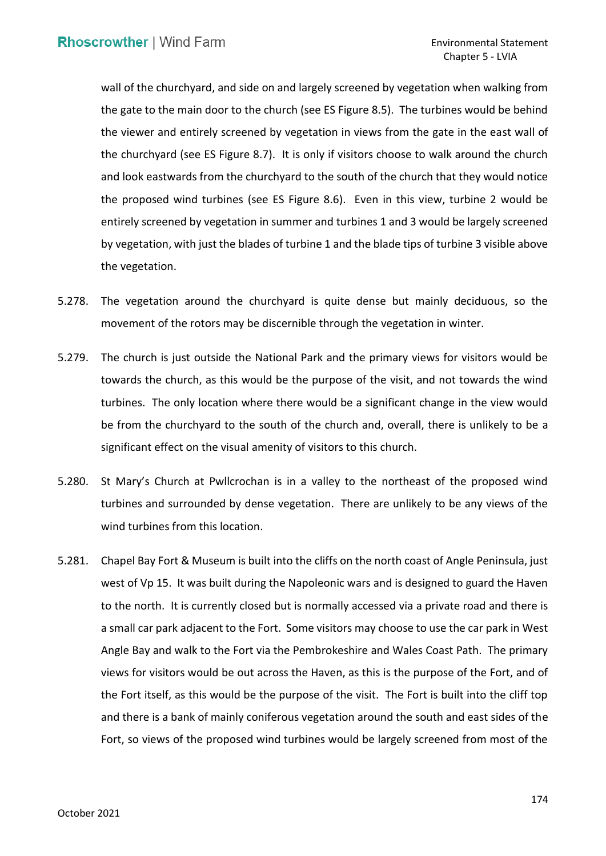wall of the churchyard, and side on and largely screened by vegetation when walking from the gate to the main door to the church (see ES Figure 8.5). The turbines would be behind the viewer and entirely screened by vegetation in views from the gate in the east wall of the churchyard (see ES Figure 8.7). It is only if visitors choose to walk around the church and look eastwards from the churchyard to the south of the church that they would notice the proposed wind turbines (see ES Figure 8.6). Even in this view, turbine 2 would be entirely screened by vegetation in summer and turbines 1 and 3 would be largely screened by vegetation, with just the blades of turbine 1 and the blade tips of turbine 3 visible above the vegetation.

- 5.278. The vegetation around the churchyard is quite dense but mainly deciduous, so the movement of the rotors may be discernible through the vegetation in winter.
- 5.279. The church is just outside the National Park and the primary views for visitors would be towards the church, as this would be the purpose of the visit, and not towards the wind turbines. The only location where there would be a significant change in the view would be from the churchyard to the south of the church and, overall, there is unlikely to be a significant effect on the visual amenity of visitors to this church.
- 5.280. St Mary's Church at Pwllcrochan is in a valley to the northeast of the proposed wind turbines and surrounded by dense vegetation. There are unlikely to be any views of the wind turbines from this location.
- 5.281. Chapel Bay Fort & Museum is built into the cliffs on the north coast of Angle Peninsula, just west of Vp 15. It was built during the Napoleonic wars and is designed to guard the Haven to the north. It is currently closed but is normally accessed via a private road and there is a small car park adjacent to the Fort. Some visitors may choose to use the car park in West Angle Bay and walk to the Fort via the Pembrokeshire and Wales Coast Path. The primary views for visitors would be out across the Haven, as this is the purpose of the Fort, and of the Fort itself, as this would be the purpose of the visit. The Fort is built into the cliff top and there is a bank of mainly coniferous vegetation around the south and east sides of the Fort, so views of the proposed wind turbines would be largely screened from most of the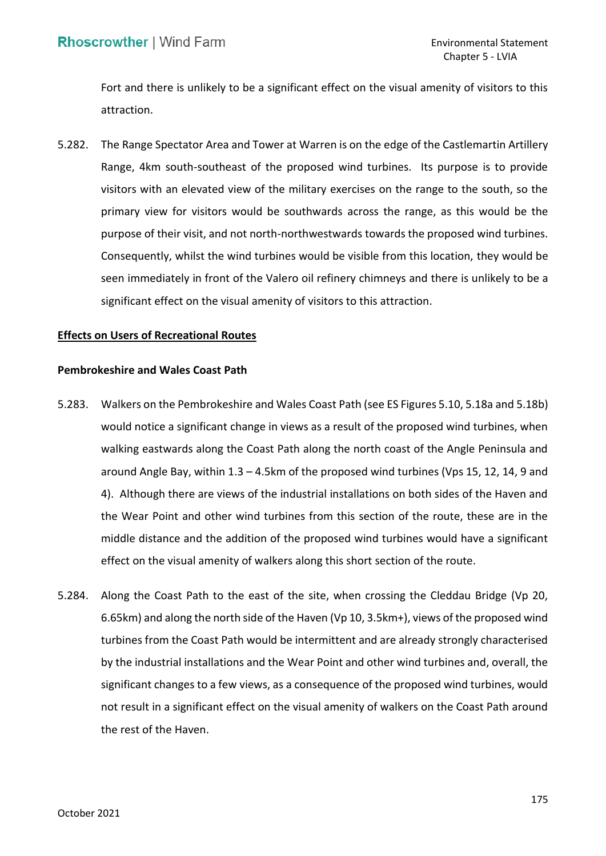Fort and there is unlikely to be a significant effect on the visual amenity of visitors to this attraction.

 5.282. The Range Spectator Area and Tower at Warren is on the edge of the Castlemartin Artillery Range, 4km south-southeast of the proposed wind turbines. Its purpose is to provide visitors with an elevated view of the military exercises on the range to the south, so the primary view for visitors would be southwards across the range, as this would be the purpose of their visit, and not north-northwestwards towards the proposed wind turbines. Consequently, whilst the wind turbines would be visible from this location, they would be seen immediately in front of the Valero oil refinery chimneys and there is unlikely to be a significant effect on the visual amenity of visitors to this attraction.

## **Effects on Users of Recreational Routes**

# **Pembrokeshire and Wales Coast Path**

- 5.283. Walkers on the Pembrokeshire and Wales Coast Path (see ES Figures 5.10, 5.18a and 5.18b) would notice a significant change in views as a result of the proposed wind turbines, when walking eastwards along the Coast Path along the north coast of the Angle Peninsula and around Angle Bay, within 1.3 – 4.5km of the proposed wind turbines (Vps 15, 12, 14, 9 and 4). Although there are views of the industrial installations on both sides of the Haven and the Wear Point and other wind turbines from this section of the route, these are in the middle distance and the addition of the proposed wind turbines would have a significant effect on the visual amenity of walkers along this short section of the route.
- 5.284. Along the Coast Path to the east of the site, when crossing the Cleddau Bridge (Vp 20, 6.65km) and along the north side of the Haven (Vp 10, 3.5km+), views of the proposed wind turbines from the Coast Path would be intermittent and are already strongly characterised by the industrial installations and the Wear Point and other wind turbines and, overall, the significant changes to a few views, as a consequence of the proposed wind turbines, would not result in a significant effect on the visual amenity of walkers on the Coast Path around the rest of the Haven.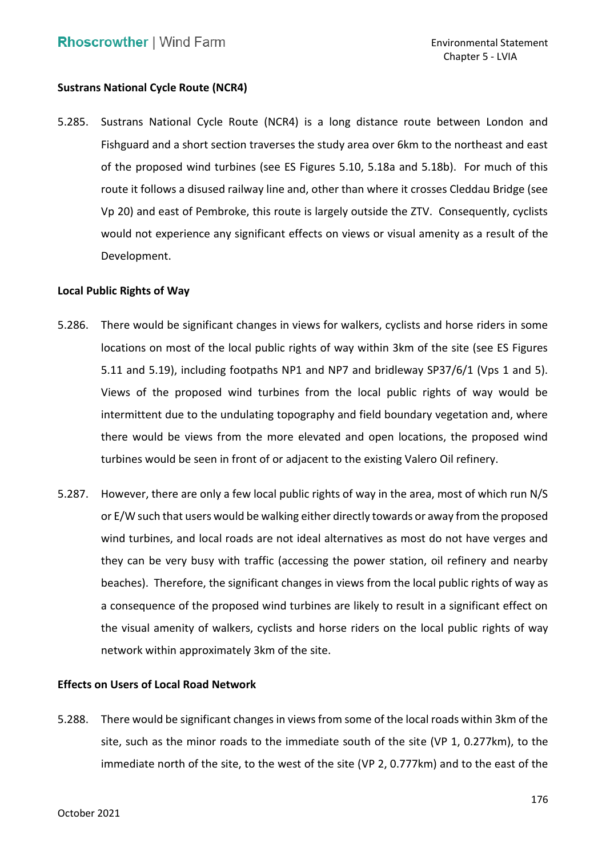# **Sustrans National Cycle Route (NCR4)**

 5.285. Sustrans National Cycle Route (NCR4) is a long distance route between London and Fishguard and a short section traverses the study area over 6km to the northeast and east of the proposed wind turbines (see ES Figures 5.10, 5.18a and 5.18b). For much of this route it follows a disused railway line and, other than where it crosses Cleddau Bridge (see Vp 20) and east of Pembroke, this route is largely outside the ZTV. Consequently, cyclists would not experience any significant effects on views or visual amenity as a result of the Development.

## **Local Public Rights of Way**

- 5.286. There would be significant changes in views for walkers, cyclists and horse riders in some locations on most of the local public rights of way within 3km of the site (see ES Figures 5.11 and 5.19), including footpaths NP1 and NP7 and bridleway SP37/6/1 (Vps 1 and 5). Views of the proposed wind turbines from the local public rights of way would be intermittent due to the undulating topography and field boundary vegetation and, where there would be views from the more elevated and open locations, the proposed wind turbines would be seen in front of or adjacent to the existing Valero Oil refinery.
- 5.287. However, there are only a few local public rights of way in the area, most of which run N/S or E/W such that users would be walking either directly towards or away from the proposed wind turbines, and local roads are not ideal alternatives as most do not have verges and they can be very busy with traffic (accessing the power station, oil refinery and nearby beaches). Therefore, the significant changes in views from the local public rights of way as a consequence of the proposed wind turbines are likely to result in a significant effect on the visual amenity of walkers, cyclists and horse riders on the local public rights of way network within approximately 3km of the site.

## **Effects on Users of Local Road Network**

 5.288. There would be significant changes in views from some of the local roads within 3km of the site, such as the minor roads to the immediate south of the site (VP 1, 0.277km), to the immediate north of the site, to the west of the site (VP 2, 0.777km) and to the east of the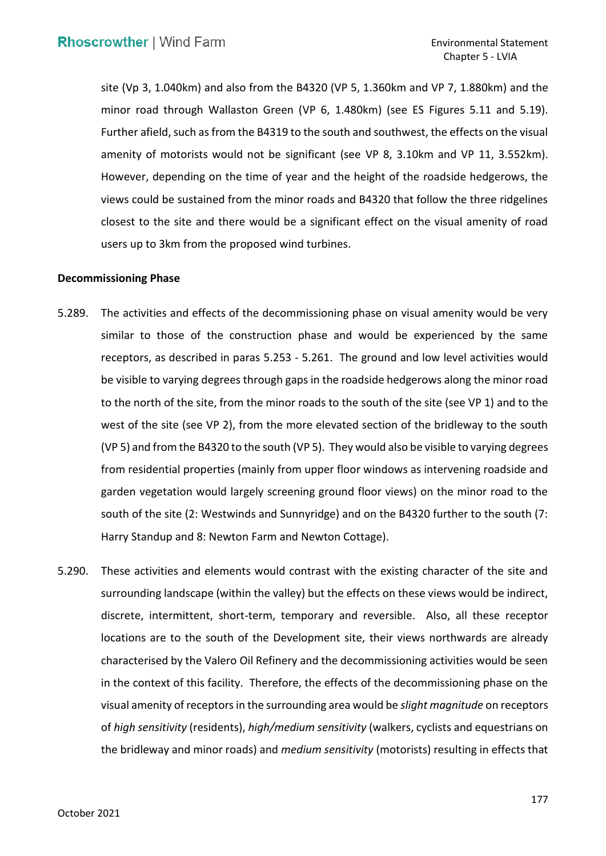site (Vp 3, 1.040km) and also from the B4320 (VP 5, 1.360km and VP 7, 1.880km) and the minor road through Wallaston Green (VP 6, 1.480km) (see ES Figures 5.11 and 5.19). Further afield, such as from the B4319 to the south and southwest, the effects on the visual amenity of motorists would not be significant (see VP 8, 3.10km and VP 11, 3.552km). However, depending on the time of year and the height of the roadside hedgerows, the views could be sustained from the minor roads and B4320 that follow the three ridgelines closest to the site and there would be a significant effect on the visual amenity of road users up to 3km from the proposed wind turbines.

#### **Decommissioning Phase**

- 5.289. The activities and effects of the decommissioning phase on visual amenity would be very similar to those of the construction phase and would be experienced by the same receptors, as described in paras [5.253](#page-85-0) - [5.261.](#page-87-0) The ground and low level activities would be visible to varying degrees through gaps in the roadside hedgerows along the minor road to the north of the site, from the minor roads to the south of the site (see VP 1) and to the west of the site (see VP 2), from the more elevated section of the bridleway to the south (VP 5) and from the B4320 to the south (VP 5). They would also be visible to varying degrees from residential properties (mainly from upper floor windows as intervening roadside and garden vegetation would largely screening ground floor views) on the minor road to the south of the site (2: Westwinds and Sunnyridge) and on the B4320 further to the south (7: Harry Standup and 8: Newton Farm and Newton Cottage).
- 5.290. These activities and elements would contrast with the existing character of the site and surrounding landscape (within the valley) but the effects on these views would be indirect, discrete, intermittent, short-term, temporary and reversible. Also, all these receptor locations are to the south of the Development site, their views northwards are already characterised by the Valero Oil Refinery and the decommissioning activities would be seen in the context of this facility. Therefore, the effects of the decommissioning phase on the visual amenity of receptors in the surrounding area would be *slight magnitude* on receptors of *high sensitivity* (residents), *high/medium sensitivity* (walkers, cyclists and equestrians on the bridleway and minor roads) and *medium sensitivity* (motorists) resulting in effects that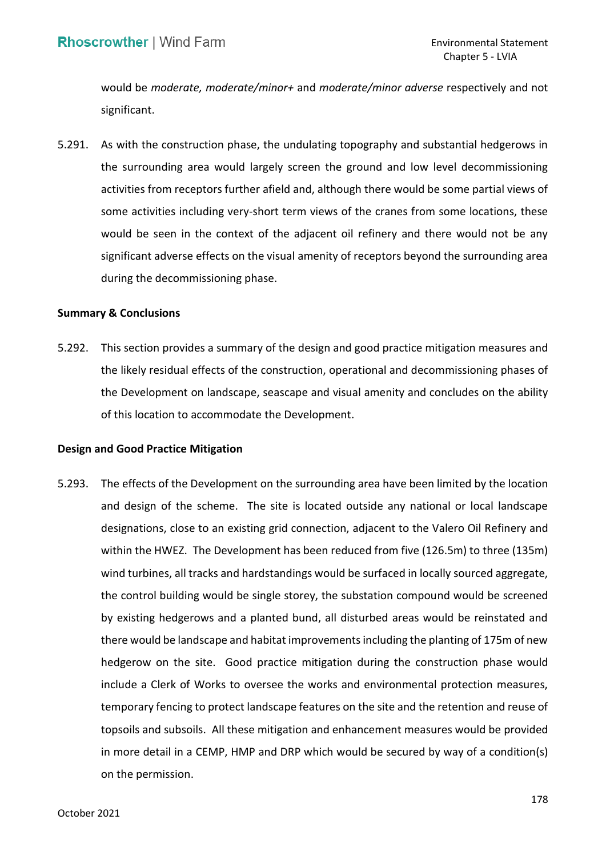would be *moderate, moderate/minor+* and *moderate/minor adverse* respectively and not significant.

 the surrounding area would largely screen the ground and low level decommissioning activities from receptors further afield and, although there would be some partial views of some activities including very-short term views of the cranes from some locations, these would be seen in the context of the adjacent oil refinery and there would not be any significant adverse effects on the visual amenity of receptors beyond the surrounding area 5.291. As with the construction phase, the undulating topography and substantial hedgerows in during the decommissioning phase.

### **Summary & Conclusions**

 5.292. This section provides a summary of the design and good practice mitigation measures and the likely residual effects of the construction, operational and decommissioning phases of the Development on landscape, seascape and visual amenity and concludes on the ability of this location to accommodate the Development.

## **Design and Good Practice Mitigation**

 5.293. The effects of the Development on the surrounding area have been limited by the location and design of the scheme. The site is located outside any national or local landscape designations, close to an existing grid connection, adjacent to the Valero Oil Refinery and within the HWEZ. The Development has been reduced from five (126.5m) to three (135m) wind turbines, all tracks and hardstandings would be surfaced in locally sourced aggregate, the control building would be single storey, the substation compound would be screened by existing hedgerows and a planted bund, all disturbed areas would be reinstated and there would be landscape and habitat improvements including the planting of 175m of new hedgerow on the site. Good practice mitigation during the construction phase would include a Clerk of Works to oversee the works and environmental protection measures, temporary fencing to protect landscape features on the site and the retention and reuse of topsoils and subsoils. All these mitigation and enhancement measures would be provided in more detail in a CEMP, HMP and DRP which would be secured by way of a condition(s) on the permission.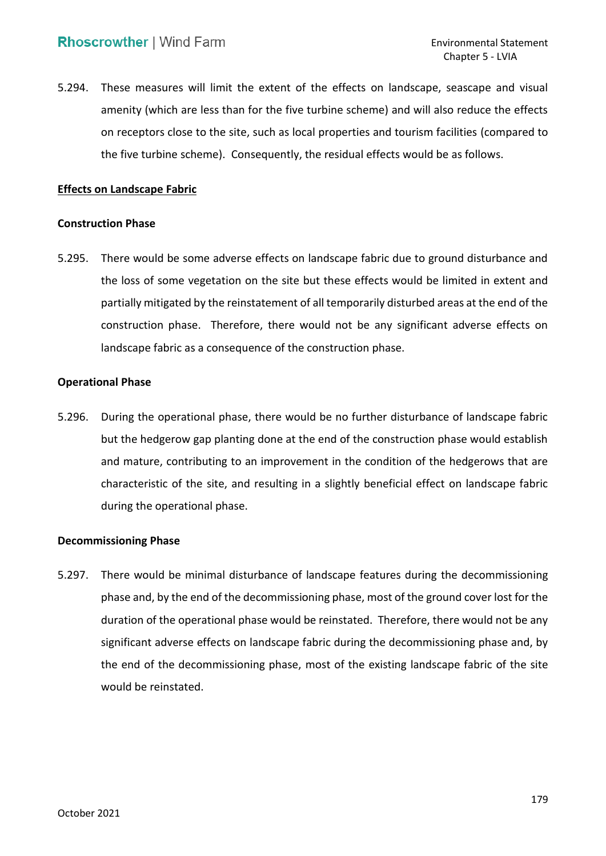5.294. These measures will limit the extent of the effects on landscape, seascape and visual amenity (which are less than for the five turbine scheme) and will also reduce the effects on receptors close to the site, such as local properties and tourism facilities (compared to the five turbine scheme). Consequently, the residual effects would be as follows.

# **Effects on Landscape Fabric**

#### **Construction Phase**

 5.295. There would be some adverse effects on landscape fabric due to ground disturbance and the loss of some vegetation on the site but these effects would be limited in extent and partially mitigated by the reinstatement of all temporarily disturbed areas at the end of the construction phase. Therefore, there would not be any significant adverse effects on landscape fabric as a consequence of the construction phase.

#### **Operational Phase**

 5.296. During the operational phase, there would be no further disturbance of landscape fabric but the hedgerow gap planting done at the end of the construction phase would establish and mature, contributing to an improvement in the condition of the hedgerows that are characteristic of the site, and resulting in a slightly beneficial effect on landscape fabric during the operational phase.

## **Decommissioning Phase**

 5.297. There would be minimal disturbance of landscape features during the decommissioning phase and, by the end of the decommissioning phase, most of the ground cover lost for the duration of the operational phase would be reinstated. Therefore, there would not be any significant adverse effects on landscape fabric during the decommissioning phase and, by the end of the decommissioning phase, most of the existing landscape fabric of the site would be reinstated.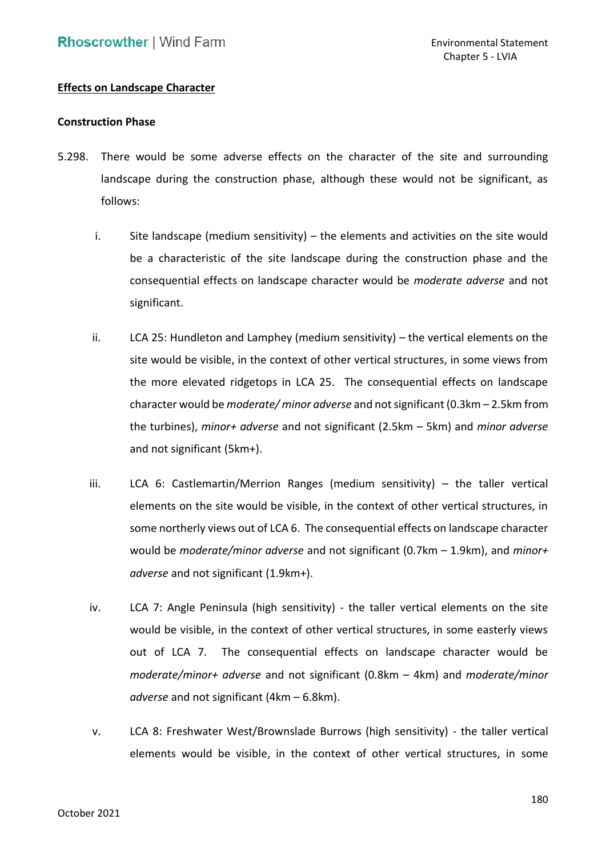# **Effects on Landscape Character**

#### **Construction Phase**

- 5.298. There would be some adverse effects on the character of the site and surrounding landscape during the construction phase, although these would not be significant, as follows:
	- be a characteristic of the site landscape during the construction phase and the consequential effects on landscape character would be *moderate adverse* and not i. Site landscape (medium sensitivity) – the elements and activities on the site would significant.
	- ii. LCA 25: Hundleton and Lamphey (medium sensitivity) the vertical elements on the site would be visible, in the context of other vertical structures, in some views from the more elevated ridgetops in LCA 25. The consequential effects on landscape character would be *moderate/ minor adverse* and not significant (0.3km – 2.5km from the turbines), *minor+ adverse* and not significant (2.5km – 5km) and *minor adverse*  and not significant (5km+).
	- iii. LCA 6: Castlemartin/Merrion Ranges (medium sensitivity) the taller vertical elements on the site would be visible, in the context of other vertical structures, in some northerly views out of LCA 6. The consequential effects on landscape character would be *moderate/minor adverse* and not significant (0.7km – 1.9km), and *minor+ adverse* and not significant (1.9km+).
	- iv. LCA 7: Angle Peninsula (high sensitivity) the taller vertical elements on the site would be visible, in the context of other vertical structures, in some easterly views out of LCA 7. The consequential effects on landscape character would be *moderate/minor+ adverse* and not significant (0.8km – 4km) and *moderate/minor adverse* and not significant (4km – 6.8km).
	- v. LCA 8: Freshwater West/Brownslade Burrows (high sensitivity) the taller vertical elements would be visible, in the context of other vertical structures, in some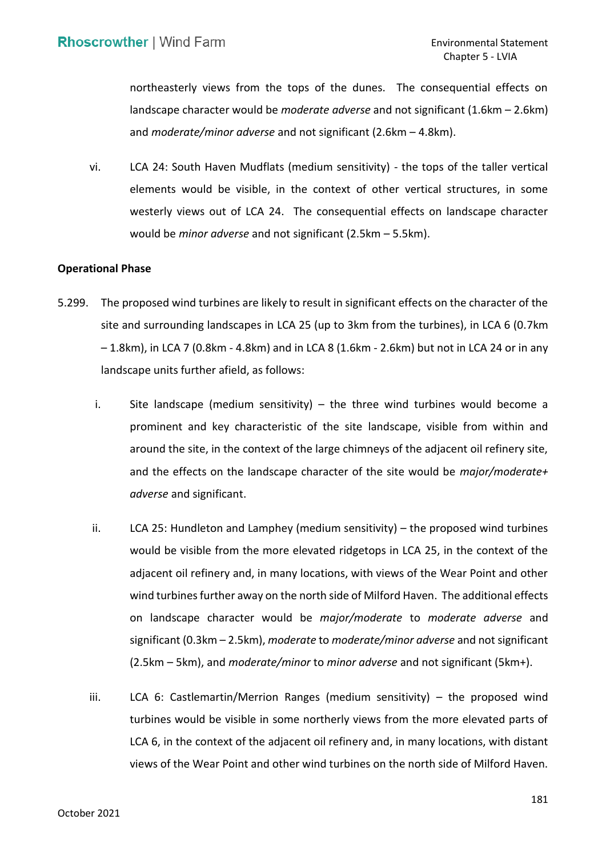northeasterly views from the tops of the dunes. The consequential effects on landscape character would be *moderate adverse* and not significant (1.6km – 2.6km) and moderate/minor adverse and not significant (2.6km  $-$  4.8km).

 and *moderate/minor adverse* and not significant (2.6km – 4.8km). vi. LCA 24: South Haven Mudflats (medium sensitivity) - the tops of the taller vertical elements would be visible, in the context of other vertical structures, in some westerly views out of LCA 24. The consequential effects on landscape character would be *minor adverse* and not significant (2.5km – 5.5km).

#### **Operational Phase**

- 5.299. The proposed wind turbines are likely to result in significant effects on the character of the site and surrounding landscapes in LCA 25 (up to 3km from the turbines), in LCA 6 (0.7km – 1.8km), in LCA 7 (0.8km - 4.8km) and in LCA 8 (1.6km - 2.6km) but not in LCA 24 or in any landscape units further afield, as follows:
	- i. Site landscape (medium sensitivity) the three wind turbines would become a prominent and key characteristic of the site landscape, visible from within and around the site, in the context of the large chimneys of the adjacent oil refinery site, and the effects on the landscape character of the site would be *major/moderate+ adverse* and significant.
	- ii. LCA 25: Hundleton and Lamphey (medium sensitivity) the proposed wind turbines would be visible from the more elevated ridgetops in LCA 25, in the context of the adjacent oil refinery and, in many locations, with views of the Wear Point and other wind turbines further away on the north side of Milford Haven. The additional effects on landscape character would be *major/moderate* to *moderate adverse* and significant (0.3km – 2.5km), *moderate* to *moderate/minor adverse* and not significant (2.5km – 5km), and *moderate/minor* to *minor adverse* and not significant (5km+).
	- iii. LCA 6: Castlemartin/Merrion Ranges (medium sensitivity) the proposed wind turbines would be visible in some northerly views from the more elevated parts of LCA 6, in the context of the adjacent oil refinery and, in many locations, with distant views of the Wear Point and other wind turbines on the north side of Milford Haven.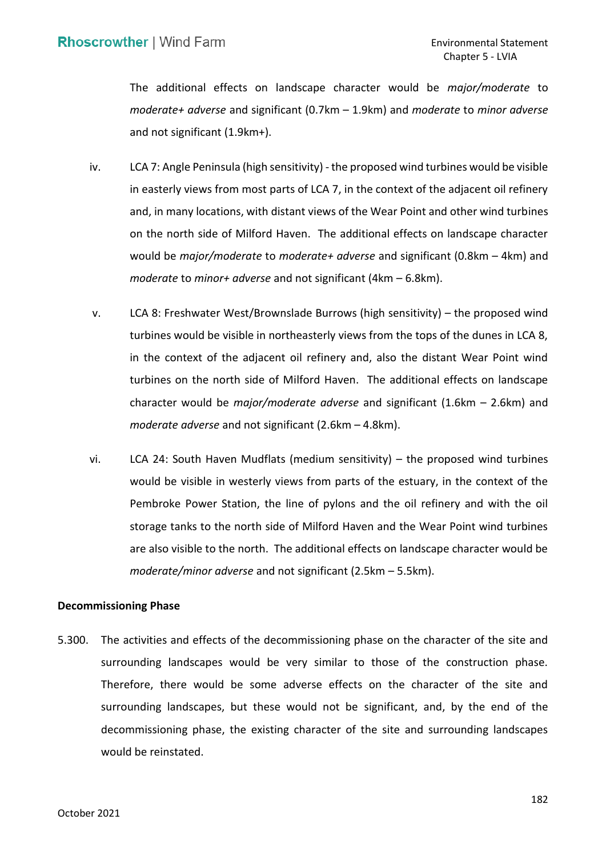The additional effects on landscape character would be *major/moderate* to *moderate+ adverse* and significant (0.7km – 1.9km) and *moderate* to *minor adverse*  and not significant (1.9km+).

- iv. LCA 7: Angle Peninsula (high sensitivity) the proposed wind turbines would be visible in easterly views from most parts of LCA 7, in the context of the adjacent oil refinery and, in many locations, with distant views of the Wear Point and other wind turbines on the north side of Milford Haven. The additional effects on landscape character would be *major/moderate* to *moderate+ adverse* and significant (0.8km – 4km) and moderate to minor+ adverse and not significant (4km – 6.8km).
- *moderate* to *minor+ adverse* and not significant (4km 6.8km). v. LCA 8: Freshwater West/Brownslade Burrows (high sensitivity) the proposed wind turbines would be visible in northeasterly views from the tops of the dunes in LCA 8, in the context of the adjacent oil refinery and, also the distant Wear Point wind turbines on the north side of Milford Haven. The additional effects on landscape character would be *major/moderate adverse* and significant (1.6km – 2.6km) and *moderate adverse* and not significant (2.6km – 4.8km).
- vi. LCA 24: South Haven Mudflats (medium sensitivity) the proposed wind turbines would be visible in westerly views from parts of the estuary, in the context of the Pembroke Power Station, the line of pylons and the oil refinery and with the oil storage tanks to the north side of Milford Haven and the Wear Point wind turbines are also visible to the north. The additional effects on landscape character would be *moderate/minor adverse* and not significant (2.5km – 5.5km).

#### **Decommissioning Phase**

 5.300. The activities and effects of the decommissioning phase on the character of the site and surrounding landscapes would be very similar to those of the construction phase. Therefore, there would be some adverse effects on the character of the site and surrounding landscapes, but these would not be significant, and, by the end of the decommissioning phase, the existing character of the site and surrounding landscapes would be reinstated.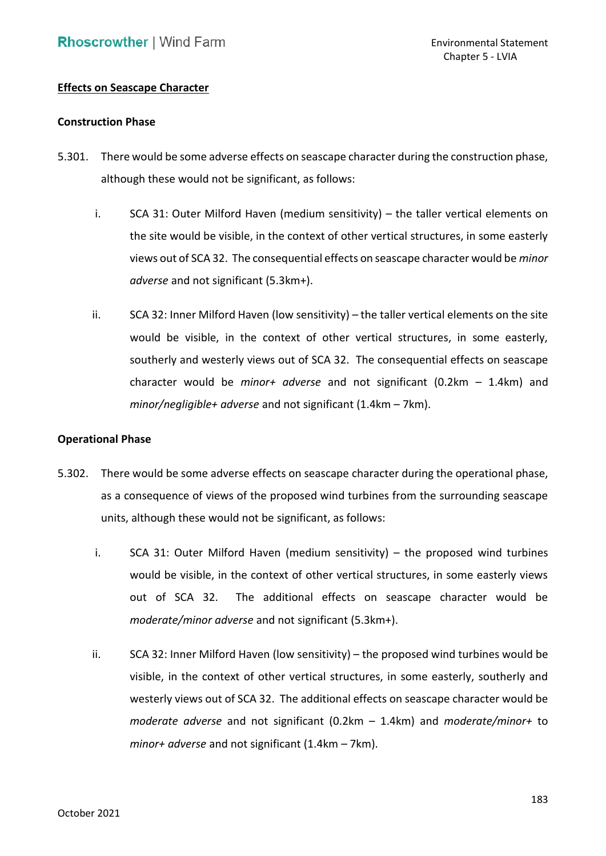# **Effects on Seascape Character**

#### **Construction Phase**

- 5.301. There would be some adverse effects on seascape character during the construction phase, although these would not be significant, as follows:
	- i. SCA 31: Outer Milford Haven (medium sensitivity) the taller vertical elements on the site would be visible, in the context of other vertical structures, in some easterly views out of SCA 32. The consequential effects on seascape character would be *minor adverse* and not significant (5.3km+).
	- ii. SCA 32: Inner Milford Haven (low sensitivity) the taller vertical elements on the site would be visible, in the context of other vertical structures, in some easterly, southerly and westerly views out of SCA 32. The consequential effects on seascape character would be *minor+ adverse* and not significant (0.2km – 1.4km) and *minor/negligible+ adverse* and not significant (1.4km – 7km).

#### **Operational Phase**

- 5.302. There would be some adverse effects on seascape character during the operational phase, as a consequence of views of the proposed wind turbines from the surrounding seascape units, although these would not be significant, as follows:
	- i. SCA 31: Outer Milford Haven (medium sensitivity) the proposed wind turbines would be visible, in the context of other vertical structures, in some easterly views *moderate/minor adverse* and not significant (5.3km+). out of SCA 32. The additional effects on seascape character would be
	- ii. SCA 32: Inner Milford Haven (low sensitivity) the proposed wind turbines would be visible, in the context of other vertical structures, in some easterly, southerly and westerly views out of SCA 32. The additional effects on seascape character would be *moderate adverse* and not significant (0.2km – 1.4km) and *moderate/minor+* to *minor+ adverse* and not significant (1.4km – 7km).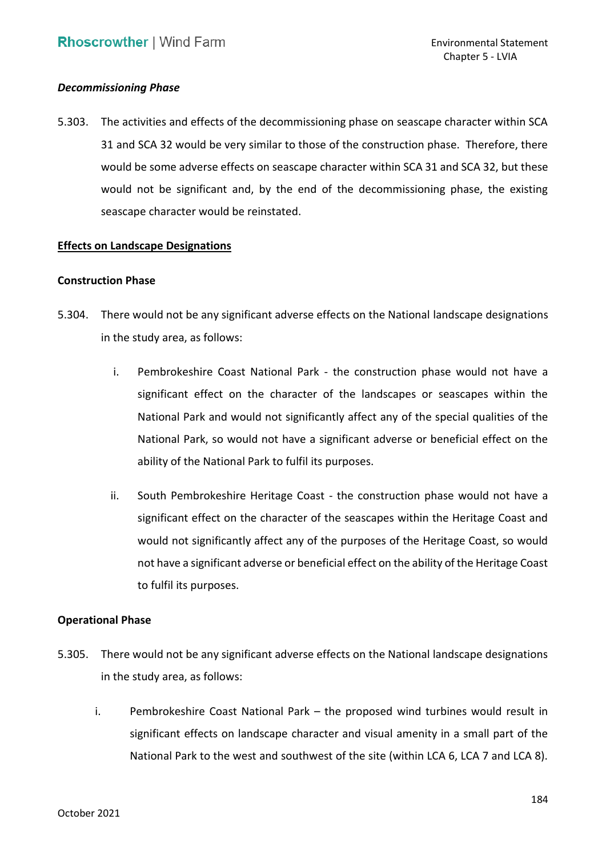### *Decommissioning Phase*

 5.303. The activities and effects of the decommissioning phase on seascape character within SCA 31 and SCA 32 would be very similar to those of the construction phase. Therefore, there would be some adverse effects on seascape character within SCA 31 and SCA 32, but these would not be significant and, by the end of the decommissioning phase, the existing seascape character would be reinstated.

## **Effects on Landscape Designations**

#### **Construction Phase**

- 5.304. There would not be any significant adverse effects on the National landscape designations in the study area, as follows:
	- i. Pembrokeshire Coast National Park the construction phase would not have a significant effect on the character of the landscapes or seascapes within the National Park and would not significantly affect any of the special qualities of the National Park, so would not have a significant adverse or beneficial effect on the ability of the National Park to fulfil its purposes.
	- ability of the National Park to fulfil its purposes.<br>ii. South Pembrokeshire Heritage Coast the construction phase would not have a significant effect on the character of the seascapes within the Heritage Coast and would not significantly affect any of the purposes of the Heritage Coast, so would not have a significant adverse or beneficial effect on the ability of the Heritage Coast to fulfil its purposes.

#### **Operational Phase**

- 5.305. There would not be any significant adverse effects on the National landscape designations in the study area, as follows:
	- i. Pembrokeshire Coast National Park the proposed wind turbines would result in significant effects on landscape character and visual amenity in a small part of the National Park to the west and southwest of the site (within LCA 6, LCA 7 and LCA 8).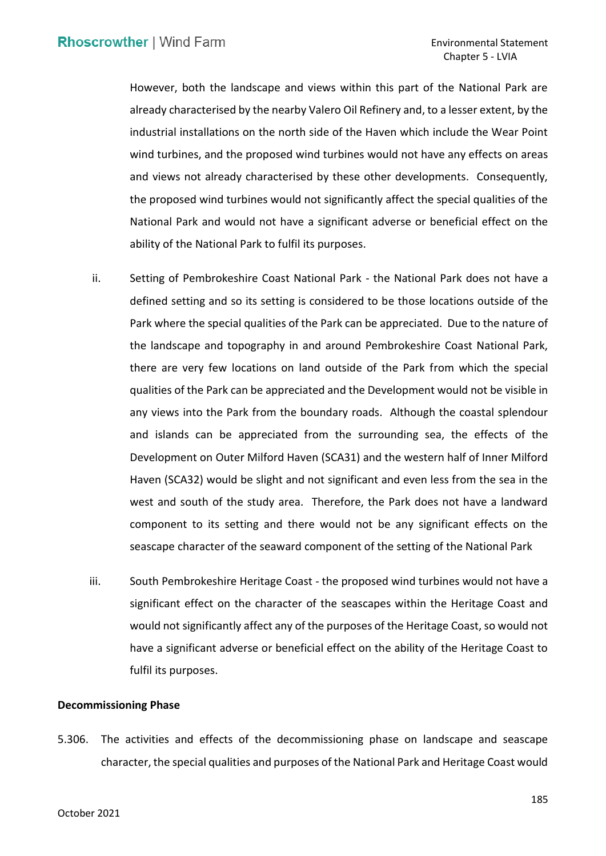However, both the landscape and views within this part of the National Park are already characterised by the nearby Valero Oil Refinery and, to a lesser extent, by the industrial installations on the north side of the Haven which include the Wear Point wind turbines, and the proposed wind turbines would not have any effects on areas and views not already characterised by these other developments. Consequently, the proposed wind turbines would not significantly affect the special qualities of the National Park and would not have a significant adverse or beneficial effect on the ability of the National Park to fulfil its purposes.

- ability of the National Park to fulfil its purposes.<br>ii. Setting of Pembrokeshire Coast National Park the National Park does not have a defined setting and so its setting is considered to be those locations outside of the Park where the special qualities of the Park can be appreciated. Due to the nature of the landscape and topography in and around Pembrokeshire Coast National Park, there are very few locations on land outside of the Park from which the special qualities of the Park can be appreciated and the Development would not be visible in any views into the Park from the boundary roads. Although the coastal splendour and islands can be appreciated from the surrounding sea, the effects of the Development on Outer Milford Haven (SCA31) and the western half of Inner Milford Haven (SCA32) would be slight and not significant and even less from the sea in the west and south of the study area. Therefore, the Park does not have a landward component to its setting and there would not be any significant effects on the seascape character of the seaward component of the setting of the National Park
- iii. South Pembrokeshire Heritage Coast the proposed wind turbines would not have a significant effect on the character of the seascapes within the Heritage Coast and would not significantly affect any of the purposes of the Heritage Coast, so would not have a significant adverse or beneficial effect on the ability of the Heritage Coast to fulfil its purposes.

#### **Decommissioning Phase**

 5.306. The activities and effects of the decommissioning phase on landscape and seascape character, the special qualities and purposes of the National Park and Heritage Coast would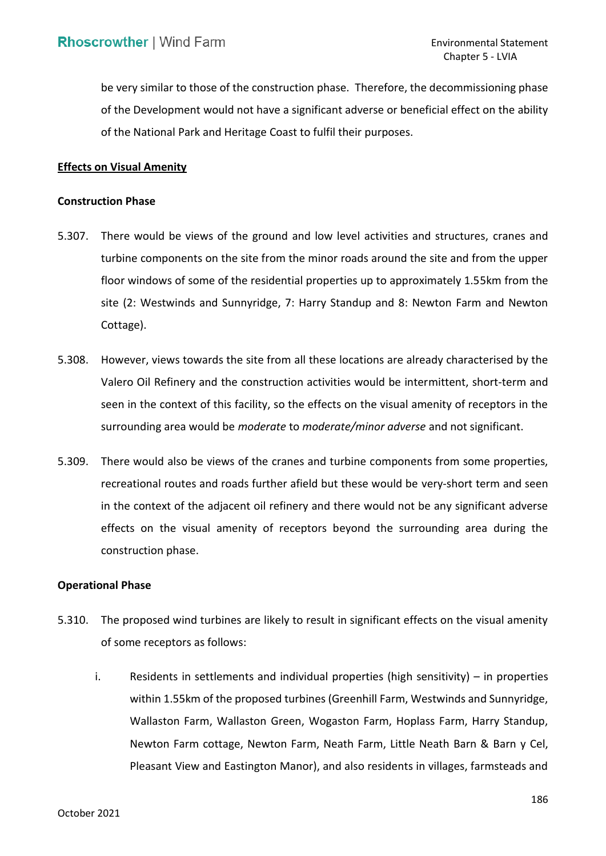be very similar to those of the construction phase. Therefore, the decommissioning phase of the Development would not have a significant adverse or beneficial effect on the ability of the National Park and Heritage Coast to fulfil their purposes.

#### **Effects on Visual Amenity**

#### **Construction Phase**

- 5.307. There would be views of the ground and low level activities and structures, cranes and turbine components on the site from the minor roads around the site and from the upper floor windows of some of the residential properties up to approximately 1.55km from the site (2: Westwinds and Sunnyridge, 7: Harry Standup and 8: Newton Farm and Newton Cottage).
- Cottage).<br>5.308. However, views towards the site from all these locations are already characterised by the Valero Oil Refinery and the construction activities would be intermittent, short-term and seen in the context of this facility, so the effects on the visual amenity of receptors in the surrounding area would be *moderate* to *moderate/minor adverse* and not significant.
- 5.309. There would also be views of the cranes and turbine components from some properties, recreational routes and roads further afield but these would be very-short term and seen in the context of the adjacent oil refinery and there would not be any significant adverse effects on the visual amenity of receptors beyond the surrounding area during the construction phase.

#### **Operational Phase**

- 5.310. The proposed wind turbines are likely to result in significant effects on the visual amenity of some receptors as follows:
	- i. Residents in settlements and individual properties (high sensitivity) in properties within 1.55km of the proposed turbines (Greenhill Farm, Westwinds and Sunnyridge, Wallaston Farm, Wallaston Green, Wogaston Farm, Hoplass Farm, Harry Standup, Newton Farm cottage, Newton Farm, Neath Farm, Little Neath Barn & Barn y Cel, Pleasant View and Eastington Manor), and also residents in villages, farmsteads and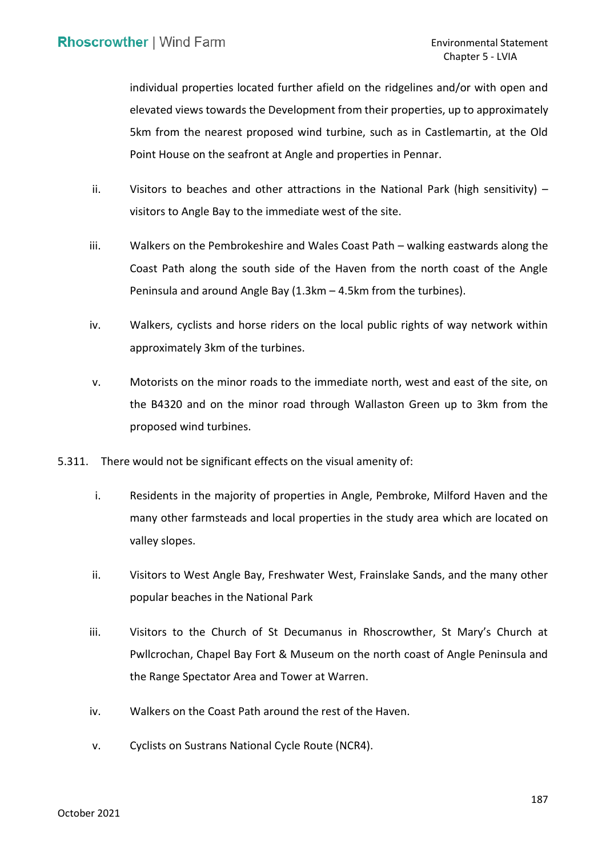individual properties located further afield on the ridgelines and/or with open and 5km from the nearest proposed wind turbine, such as in Castlemartin, at the Old Point House on the seafront at Angle and properties in Pennar. elevated views towards the Development from their properties, up to approximately

- ii. Visitors to beaches and other attractions in the National Park (high sensitivity) visitors to Angle Bay to the immediate west of the site.
- iii. Walkers on the Pembrokeshire and Wales Coast Path walking eastwards along the Coast Path along the south side of the Haven from the north coast of the Angle Peninsula and around Angle Bay (1.3km – 4.5km from the turbines).
- iv. Walkers, cyclists and horse riders on the local public rights of way network within approximately 3km of the turbines.
- v. Motorists on the minor roads to the immediate north, west and east of the site, on the B4320 and on the minor road through Wallaston Green up to 3km from the proposed wind turbines.
- 5.311. There would not be significant effects on the visual amenity of:
	- i. Residents in the majority of properties in Angle, Pembroke, Milford Haven and the many other farmsteads and local properties in the study area which are located on valley slopes.
	- ii. Visitors to West Angle Bay, Freshwater West, Frainslake Sands, and the many other popular beaches in the National Park
	- iii. Visitors to the Church of St Decumanus in Rhoscrowther, St Mary's Church at Pwllcrochan, Chapel Bay Fort & Museum on the north coast of Angle Peninsula and the Range Spectator Area and Tower at Warren.
	- iv. Walkers on the Coast Path around the rest of the Haven.
	- v. Cyclists on Sustrans National Cycle Route (NCR4).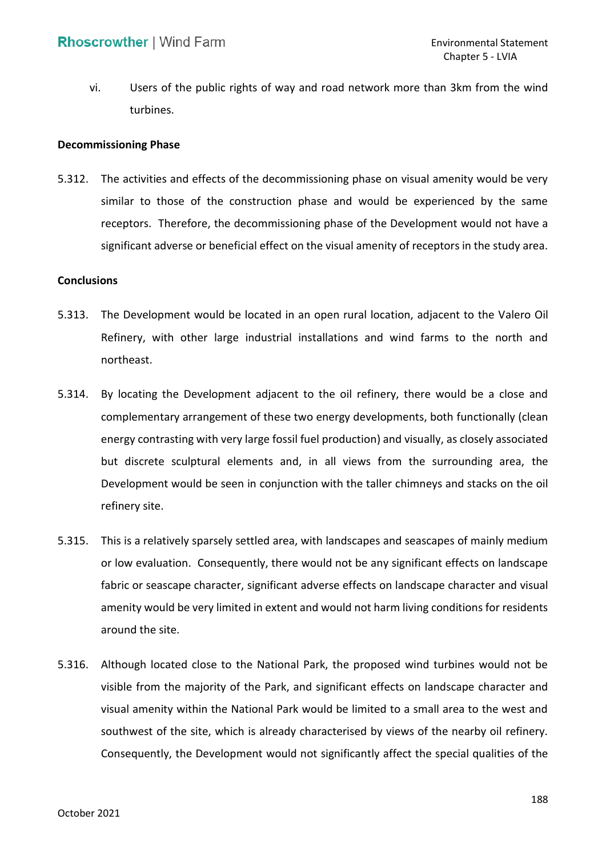vi. Users of the public rights of way and road network more than 3km from the wind turbines.

#### **Decommissioning Phase**

 5.312. The activities and effects of the decommissioning phase on visual amenity would be very similar to those of the construction phase and would be experienced by the same receptors. Therefore, the decommissioning phase of the Development would not have a significant adverse or beneficial effect on the visual amenity of receptors in the study area.

#### **Conclusions**

- 5.313. The Development would be located in an open rural location, adjacent to the Valero Oil Refinery, with other large industrial installations and wind farms to the north and northeast.
- 5.314. By locating the Development adjacent to the oil refinery, there would be a close and complementary arrangement of these two energy developments, both functionally (clean energy contrasting with very large fossil fuel production) and visually, as closely associated but discrete sculptural elements and, in all views from the surrounding area, the Development would be seen in conjunction with the taller chimneys and stacks on the oil refinery site.
- 5.315. This is a relatively sparsely settled area, with landscapes and seascapes of mainly medium or low evaluation. Consequently, there would not be any significant effects on landscape fabric or seascape character, significant adverse effects on landscape character and visual amenity would be very limited in extent and would not harm living conditions for residents around the site.
- 5.316. Although located close to the National Park, the proposed wind turbines would not be visual amenity within the National Park would be limited to a small area to the west and southwest of the site, which is already characterised by views of the nearby oil refinery. Consequently, the Development would not significantly affect the special qualities of the visible from the majority of the Park, and significant effects on landscape character and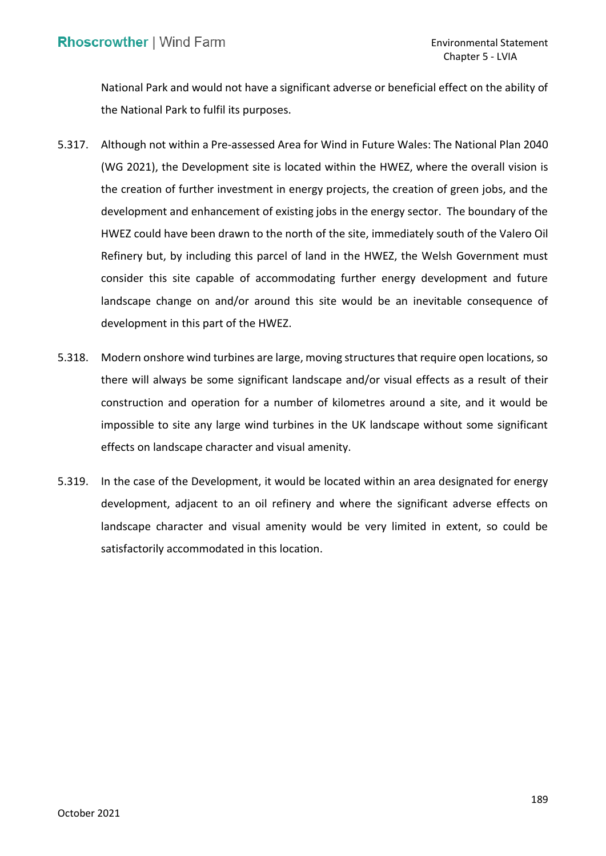National Park and would not have a significant adverse or beneficial effect on the ability of the National Park to fulfil its purposes.

- 5.317. Although not within a Pre-assessed Area for Wind in Future Wales: The National Plan 2040 (WG 2021), the Development site is located within the HWEZ, where the overall vision is the creation of further investment in energy projects, the creation of green jobs, and the development and enhancement of existing jobs in the energy sector. The boundary of the HWEZ could have been drawn to the north of the site, immediately south of the Valero Oil Refinery but, by including this parcel of land in the HWEZ, the Welsh Government must consider this site capable of accommodating further energy development and future landscape change on and/or around this site would be an inevitable consequence of development in this part of the HWEZ.
- 5.318. Modern onshore wind turbines are large, moving structures that require open locations, so there will always be some significant landscape and/or visual effects as a result of their construction and operation for a number of kilometres around a site, and it would be impossible to site any large wind turbines in the UK landscape without some significant effects on landscape character and visual amenity.
- 5.319. In the case of the Development, it would be located within an area designated for energy development, adjacent to an oil refinery and where the significant adverse effects on landscape character and visual amenity would be very limited in extent, so could be satisfactorily accommodated in this location.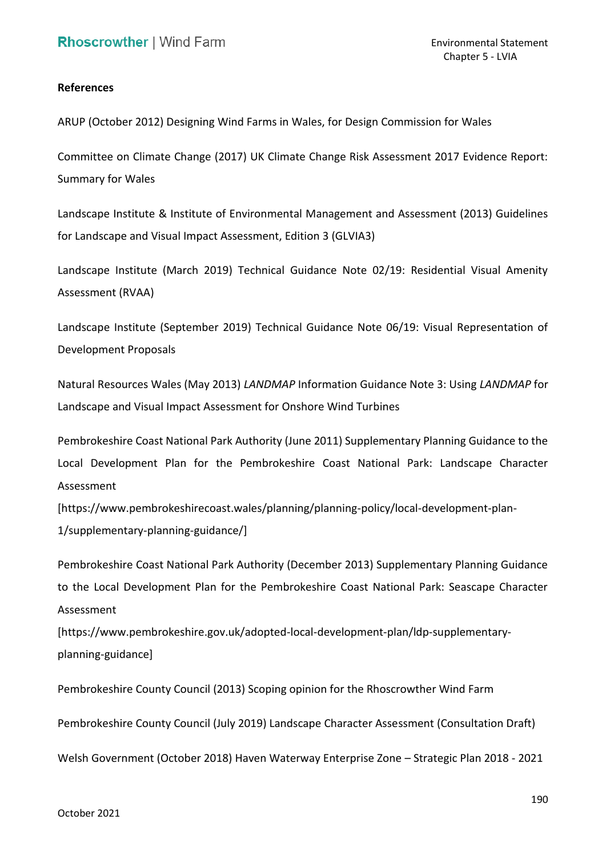## **References**

ARUP (October 2012) Designing Wind Farms in Wales, for Design Commission for Wales

 Committee on Climate Change (2017) UK Climate Change Risk Assessment 2017 Evidence Report: Summary for Wales

 Landscape Institute & Institute of Environmental Management and Assessment (2013) Guidelines for Landscape and Visual Impact Assessment, Edition 3 (GLVIA3)

 Landscape Institute (March 2019) Technical Guidance Note 02/19: Residential Visual Amenity Assessment (RVAA)

 Landscape Institute (September 2019) Technical Guidance Note 06/19: Visual Representation of Development Proposals

 Landscape and Visual Impact Assessment for Onshore Wind Turbines Natural Resources Wales (May 2013) *LANDMAP* Information Guidance Note 3: Using *LANDMAP* for

 Pembrokeshire Coast National Park Authority (June 2011) Supplementary Planning Guidance to the Local Development Plan for the Pembrokeshire Coast National Park: Landscape Character Assessment

[\[https://www.pembrokeshirecoast.wales/planning/planning-policy/local-development-plan](https://www.pembrokeshirecoast.wales/planning/planning-policy/local-development-plan)-1/supplementary-planning-guidance/]

 to the Local Development Plan for the Pembrokeshire Coast National Park: Seascape Character Pembrokeshire Coast National Park Authority (December 2013) Supplementary Planning Guidance Assessment

[\[https://www.pembrokeshire.gov.uk/adopted-local-development-plan/ldp-supplementary](https://www.pembrokeshire.gov.uk/adopted-local-development-plan/ldp-supplementary)planning-guidance]

Pembrokeshire County Council (2013) Scoping opinion for the Rhoscrowther Wind Farm

Pembrokeshire County Council (July 2019) Landscape Character Assessment (Consultation Draft)

Welsh Government (October 2018) Haven Waterway Enterprise Zone – Strategic Plan 2018 - 2021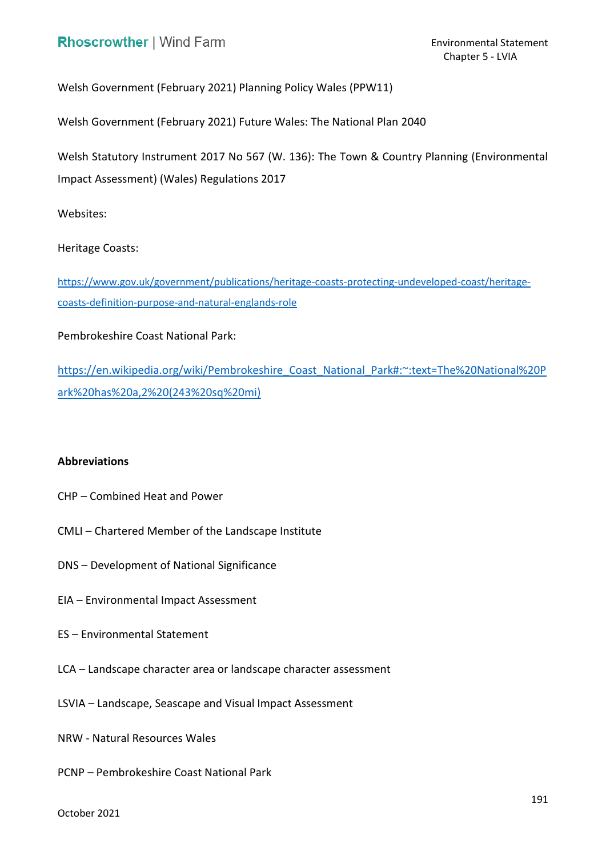Welsh Government (February 2021) Planning Policy Wales (PPW11)

Welsh Government (February 2021) Future Wales: The National Plan 2040

 Welsh Statutory Instrument 2017 No 567 (W. 136): The Town & Country Planning (Environmental Impact Assessment) (Wales) Regulations 2017

Websites:

Heritage Coasts:

[https://www.gov.uk/government/publications/heritage-coasts-protecting-undeveloped-coast/heritage](https://www.gov.uk/government/publications/heritage-coasts-protecting-undeveloped-coast/heritage-coasts-definition-purpose-and-natural-englands-role)[coasts-definition-purpose-and-natural-englands-role](https://www.gov.uk/government/publications/heritage-coasts-protecting-undeveloped-coast/heritage-coasts-definition-purpose-and-natural-englands-role) 

Pembrokeshire Coast National Park:

https://en.wikipedia.org/wiki/Pembrokeshire\_Coast\_National\_Park#:~:text=The%20National%20P [ark%20has%20a,2%20\(243%20sq%20mi\)](https://en.wikipedia.org/wiki/Pembrokeshire_Coast_National_Park#:~:text=The%20National%20Park%20has%20a,2%20(243%20sq%20mi)) 

## **Abbreviations**

- CHP Combined Heat and Power
- CMLI Chartered Member of the Landscape Institute
- DNS Development of National Significance
- EIA Environmental Impact Assessment
- ES Environmental Statement
- LCA Landscape character area or landscape character assessment
- LSVIA Landscape, Seascape and Visual Impact Assessment
- NRW Natural Resources Wales
- PCNP Pembrokeshire Coast National Park